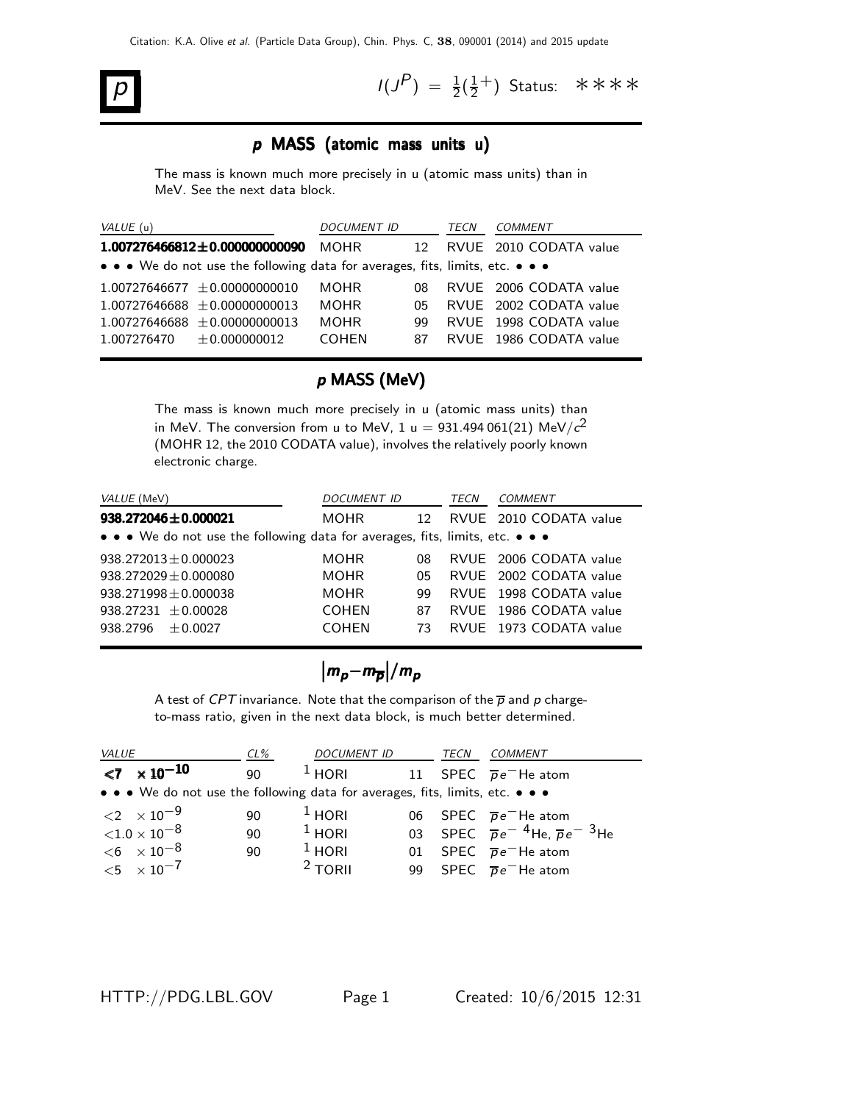# $p$   $\vert$   $\vert$   $\vert$

 $P$ ) =  $\frac{1}{2}(\frac{1}{2})$  $\frac{1}{2}^+$ ) Status: \*\*\*\*

#### p MASS (atomic mass units u)

The mass is known much more precisely in u (atomic mass units) than in MeV. See the next data block.

|                                                    |    | TECN               | COMMENT                                                                       |
|----------------------------------------------------|----|--------------------|-------------------------------------------------------------------------------|
| $1.007276466812 \pm 0.000000000090$<br><b>MOHR</b> | 12 |                    | RVUE 2010 CODATA value                                                        |
|                                                    |    |                    |                                                                               |
| <b>MOHR</b><br>$1.00727646677 + 0.00000000010$     | 08 |                    | RVUE 2006 CODATA value                                                        |
| <b>MOHR</b><br>$1.00727646688 + 0.00000000013$     | 05 |                    | RVUE 2002 CODATA value                                                        |
| <b>MOHR</b><br>$1.00727646688 + 0.00000000013$     | 99 |                    | RVUE 1998 CODATA value                                                        |
| <b>COHEN</b>                                       | 87 |                    | RVUE 1986 CODATA value                                                        |
|                                                    |    | <i>DOCUMENT ID</i> | • • • We do not use the following data for averages, fits, limits, etc. • • • |

#### p MASS (MeV)

The mass is known much more precisely in u (atomic mass units) than in MeV. The conversion from u to MeV, 1 u  $= 931.494\,061(21)$  MeV/ $c^{2}$ (MOHR 12, the 2010 CODATA value), involves the relatively poorly known electronic charge.

| <i>VALUE</i> (MeV)                                                            | DOCUMENT ID  |                 | TECN | COMMENT                |
|-------------------------------------------------------------------------------|--------------|-----------------|------|------------------------|
| $938.272046 \pm 0.000021$                                                     | <b>MOHR</b>  | 12 <sub>1</sub> |      | RVUE 2010 CODATA value |
| • • • We do not use the following data for averages, fits, limits, etc. • • • |              |                 |      |                        |
| $938.272013 \pm 0.000023$                                                     | <b>MOHR</b>  | 08              |      | RVUE 2006 CODATA value |
| $938.272029 \pm 0.000080$                                                     | <b>MOHR</b>  | 05              |      | RVUE 2002 CODATA value |
| $938.271998 \pm 0.000038$                                                     | <b>MOHR</b>  | 99              |      | RVUE 1998 CODATA value |
| 938.27231 $\pm$ 0.00028                                                       | <b>COHEN</b> | 87              |      | RVUE 1986 CODATA value |
| 938.2796<br>$+0.0027$                                                         | <b>COHEN</b> | 73              |      | RVUE 1973 CODATA value |

$$
|m_{p}-m_{\overline{p}}|/m_{p}
$$

A test of CPT invariance. Note that the comparison of the  $\overline{p}$  and p chargeto-mass ratio, given in the next data block, is much better determined.

| <b>VALUE</b> |                                     | $CL\%$ | <b>DOCUMENT ID</b>                                                            | TECN | COMMENT                                                  |
|--------------|-------------------------------------|--------|-------------------------------------------------------------------------------|------|----------------------------------------------------------|
|              | $\langle 7 \times 10^{-10} \rangle$ | 90     | $^1$ HORI                                                                     |      | 11 SPEC $\overline{p}e^{-}$ He atom                      |
|              |                                     |        | • • • We do not use the following data for averages, fits, limits, etc. • • • |      |                                                          |
|              | $\langle 2 \times 10^{-9} \rangle$  | 90     | $1$ HORI                                                                      |      | 06 SPEC $\overline{p}e^{-}$ He atom                      |
|              | ${<}1.0\times10^{-8}$               | 90     | $1$ HORI                                                                      |      | 03 SPEC $\overline{p}e^{-4}$ He, $\overline{p}e^{-3}$ He |
|              | $< 6 \times 10^{-8}$                | 90     | $1$ HORI                                                                      |      | 01 SPEC $\overline{p}e^{-}$ He atom                      |
|              | $<$ 5 $\times$ 10 <sup>-7</sup>     |        | $2$ TORII                                                                     |      | 99 SPEC $\overline{p}e^{-}$ He atom                      |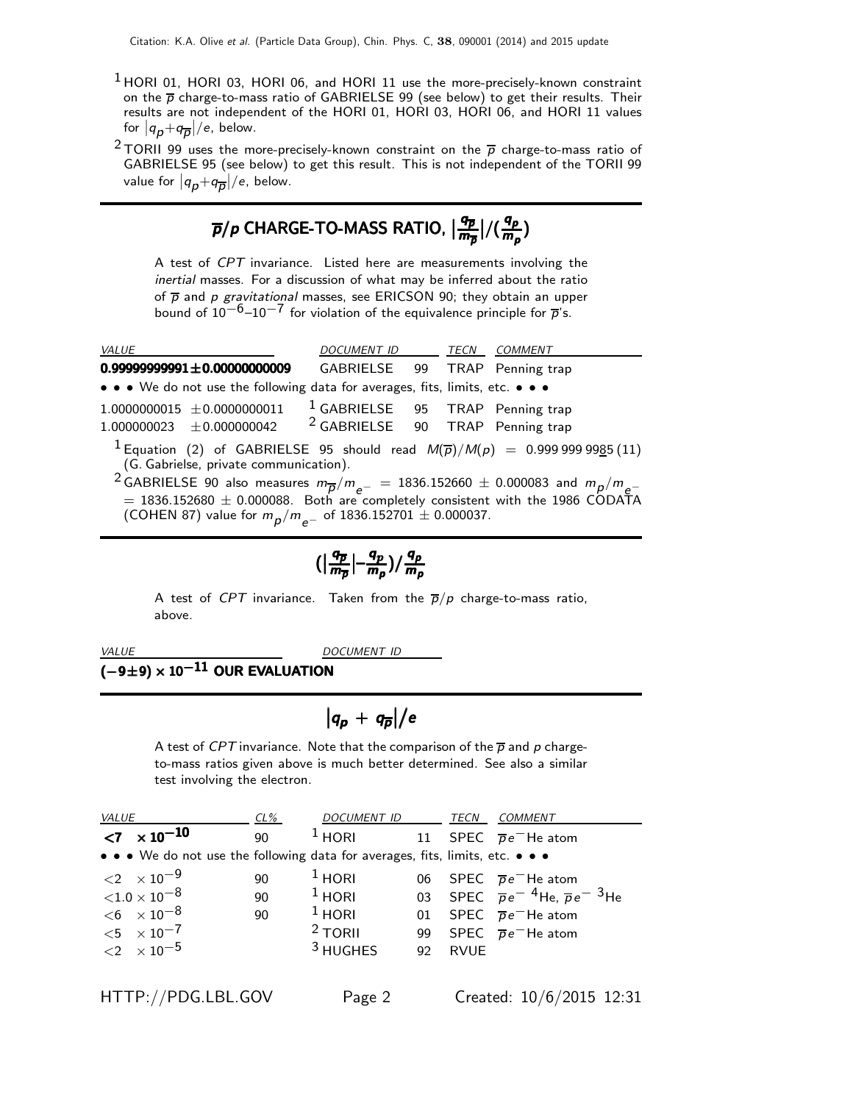- $1$  HORI 01, HORI 03, HORI 06, and HORI 11 use the more-precisely-known constraint on the  $\overline{p}$  charge-to-mass ratio of GABRIELSE 99 (see below) to get their results. Their results are not independent of the HORI 01, HORI 03, HORI 06, and HORI 11 values for  $|q_p+q_{\overline{p}}|/e$ , below.
- <sup>2</sup> TORII 99 uses the more-precisely-known constraint on the  $\overline{p}$  charge-to-mass ratio of GABRIELSE 95 (see below) to get this result. This is not independent of the TORII 99 value for  $\left|q_{\boldsymbol{\mathcal{p}}}+\!q_{\overline{\boldsymbol{\mathcal{p}}}}\right|\!/e$ , below.

#### $\overline{p}/p$  CHARGE-TO-MASS RATIO,  $\mid$  $\bm{q}_{\bm{\bar{p}}}$  $\overline{p}/p$  CHARGE-TO-MASS RATIO,  $\big|\frac{q_{\overline{p}}}{m_{\overline{p}}}\big|/(\frac{q_p}{m_p})\big|$  $\overline{\rho}/\rho$  CHARGE-TO-MASS RATIO,  $\big|\frac{q_{\overline{p}}}{m_{\overline{p}}}\big|/(\frac{q_p}{m_{\rho}})$

A test of CPT invariance. Listed here are measurements involving the inertial masses. For a discussion of what may be inferred about the ratio of  $\overline{p}$  and p gravitational masses, see ERICSON 90; they obtain an upper bound of  $10^{-6}$ – $10^{-7}$  for violation of the equivalence principle for  $\overline{p}$ 's.

| <b>VALUE</b>                                                                                                                                                                                                                                                                                                                                                                                                          | DOCUMENT ID TECN COMMENT                    |  |  |
|-----------------------------------------------------------------------------------------------------------------------------------------------------------------------------------------------------------------------------------------------------------------------------------------------------------------------------------------------------------------------------------------------------------------------|---------------------------------------------|--|--|
| $0.99999999991 \pm 0.00000000009$                                                                                                                                                                                                                                                                                                                                                                                     | GABRIELSE 99 TRAP Penning trap              |  |  |
| • • • We do not use the following data for averages, fits, limits, etc. • • •                                                                                                                                                                                                                                                                                                                                         |                                             |  |  |
| $1.0000000015 \pm 0.0000000011$<br>1.000000023 $\pm$ 0.000000042 <sup>2</sup> GABRIELSE 90 TRAP Penning trap                                                                                                                                                                                                                                                                                                          | <sup>1</sup> GABRIELSE 95 TRAP Penning trap |  |  |
| <sup>1</sup> Equation (2) of GABRIELSE 95 should read $M(\overline{p})/M(p) = 0.9999999985(11)$<br>(G. Gabrielse, private communication).<br><sup>2</sup> GABRIELSE 90 also measures $m_{\overline{p}}/m_{e^-} = 1836.152660 \pm 0.000083$ and $m_p/m_{e^-} = 1836.152680 \pm 0.000088$ . Both are completely consistent with the 1986 CODATA<br>(COHEN 87) value for $m_p/m_{\rho^-}$ of 1836.152701 $\pm$ 0.000037. |                                             |  |  |

$$
\Big(\Big|\frac{q_{\overline{p}}}{m_{\overline{p}}}\Big|-\frac{q_p}{m_p}\Big)/\frac{q_p}{m_p}
$$

A test of CPT invariance. Taken from the  $\overline{p}/p$  charge-to-mass ratio, above.

DOCUMENT ID

#### ( $-9\pm9$ )  $\times$   $10^{-11}$  OUR EVALUATION

## $\left|q_p+q_{\overline{p}}\right|/e$

A test of CPT invariance. Note that the comparison of the  $\overline{p}$  and p chargeto-mass ratios given above is much better determined. See also a similar test involving the electron.

| <b>VALUE</b> |                                                                                                                   | $CL\%$         | DOCUMENT ID                                   |    | TECN        | COMMENT                                                                                                                                                                    |
|--------------|-------------------------------------------------------------------------------------------------------------------|----------------|-----------------------------------------------|----|-------------|----------------------------------------------------------------------------------------------------------------------------------------------------------------------------|
|              | $<$ 7 $\times$ 10 <sup>-10</sup>                                                                                  | 90             | $1$ HORI                                      | 11 |             | SPEC $\overline{p}e^{-}$ He atom                                                                                                                                           |
|              | • • • We do not use the following data for averages, fits, limits, etc. • • •                                     |                |                                               |    |             |                                                                                                                                                                            |
|              | $\langle 2 \times 10^{-9} \rangle$<br>${<}1.0\times10^{-8}$<br>$<$ 6 $\times$ 10 $^{-8}$<br>${<}5 \times 10^{-7}$ | 90<br>90<br>90 | $1$ HORI<br>$1$ HORI<br>$1$ HORI<br>$2$ TORII | 06 |             | SPEC $\overline{p}e^{-}$ He atom<br>03 SPEC $\overline{p}e^{-4}$ He, $\overline{p}e^{-3}$ He<br>01 SPEC $\overline{p}e^{-}$ He atom<br>99 SPEC $\overline{p}e^{-}$ He atom |
|              | ${11}$ $\times 10^{-5}$                                                                                           |                | $3$ HUGHES                                    | 92 | <b>RVUE</b> |                                                                                                                                                                            |

HTTP://PDG.LBL.GOV Page 2 Created: 10/6/2015 12:31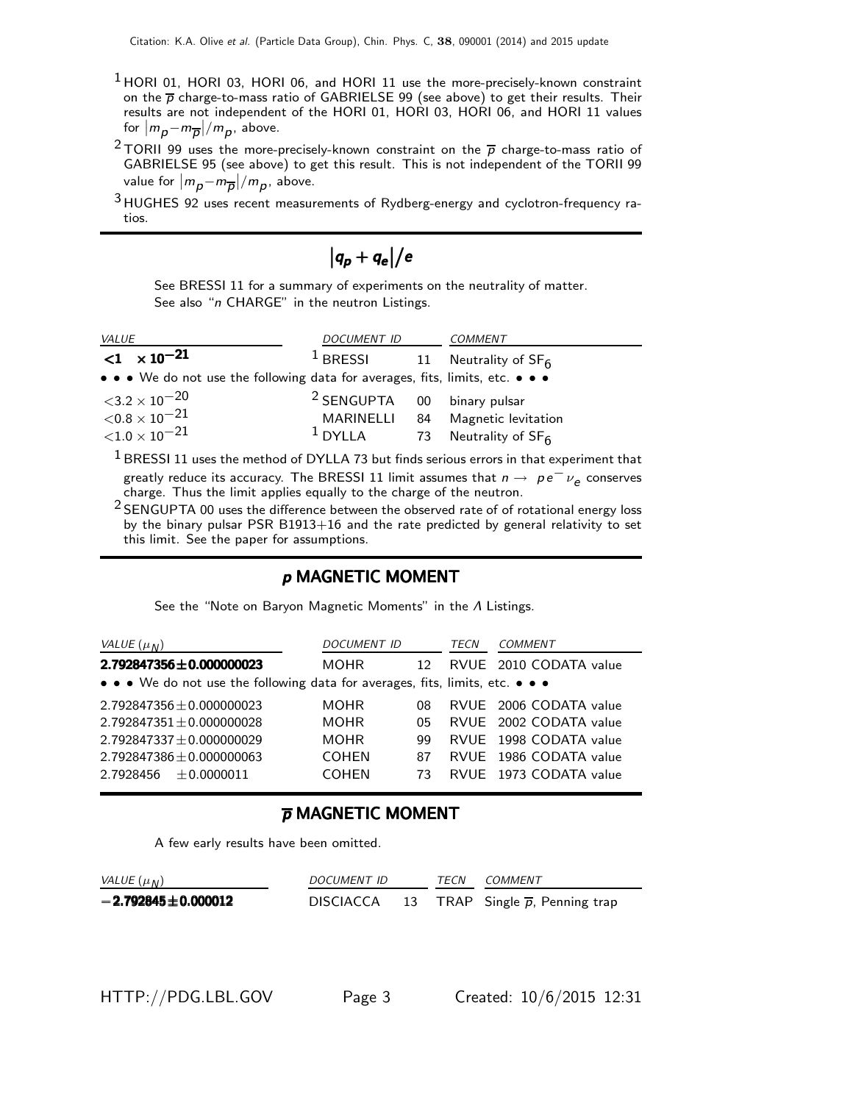- $<sup>1</sup>$  HORI 01, HORI 03, HORI 06, and HORI 11 use the more-precisely-known constraint</sup> on the  $\overline{p}$  charge-to-mass ratio of GABRIELSE 99 (see above) to get their results. Their results are not independent of the HORI 01, HORI 03, HORI 06, and HORI 11 values for  $|m_p-m_{\overline{p}}|/m_p$ , above.
- <sup>2</sup> TORII 99 uses the more-precisely-known constraint on the  $\overline{p}$  charge-to-mass ratio of GABRIELSE 95 (see above) to get this result. This is not independent of the TORII 99 value for  $|m_{\boldsymbol{p}}{-}m_{\overline{\boldsymbol{p}}}|/m_{\boldsymbol{p}}$ , above.
- <sup>3</sup> HUGHES 92 uses recent measurements of Rydberg-energy and cyclotron-frequency ratios.

$$
|q_p+q_e|/e
$$

See BRESSI 11 for a summary of experiments on the neutrality of matter. See also "n CHARGE" in the neutron Listings.

| <b>VALUE</b>                                                                                                          | <b>DOCUMENT ID</b>                     |    | COMMENT                          |  |  |
|-----------------------------------------------------------------------------------------------------------------------|----------------------------------------|----|----------------------------------|--|--|
| $<$ 1 $\times$ 10 <sup>-21</sup>                                                                                      | $1$ BRESSI                             |    | 11 Neutrality of SF <sub>6</sub> |  |  |
| $\bullet \bullet \bullet$ We do not use the following data for averages, fits, limits, etc. $\bullet \bullet \bullet$ |                                        |    |                                  |  |  |
| ${<}3.2\times10^{-20}$                                                                                                | <sup>2</sup> SENGUPTA 00 binary pulsar |    |                                  |  |  |
| ${<}0.8\times10^{-21}$                                                                                                | MARINELLI                              | 84 | Magnetic levitation              |  |  |
| ${<}1.0\times10^{-21}$                                                                                                | $1$ DYLLA                              |    | 73 Neutrality of SF <sub>6</sub> |  |  |

 $1$  BRESSI 11 uses the method of DYLLA 73 but finds serious errors in that experiment that greatly reduce its accuracy. The BRESSI 11 limit assumes that  $n \to p e^- \nu_e$  conserves charge. Thus the limit applies equally to the charge of the neutron.

 $2$  SENGUPTA 00 uses the difference between the observed rate of of rotational energy loss by the binary pulsar PSR B1913+16 and the rate predicted by general relativity to set this limit. See the paper for assumptions.

#### p MAGNETIC MOMENT

See the "Note on Baryon Magnetic Moments" in the Λ Listings.

| VALUE $(\mu_N)$                                                               | <b>DOCUMENT ID</b> |                 | TECN | COMMENT                |  |  |  |
|-------------------------------------------------------------------------------|--------------------|-----------------|------|------------------------|--|--|--|
| $2.792847356 \pm 0.000000023$                                                 | <b>MOHR</b>        | 12 <sup>°</sup> |      | RVUE 2010 CODATA value |  |  |  |
| • • • We do not use the following data for averages, fits, limits, etc. • • • |                    |                 |      |                        |  |  |  |
| $2.792847356 + 0.000000023$                                                   | <b>MOHR</b>        | 08              |      | RVUE 2006 CODATA value |  |  |  |
| $2.792847351 + 0.000000028$                                                   | <b>MOHR</b>        | 05              |      | RVUE 2002 CODATA value |  |  |  |
| $2.792847337 \pm 0.000000029$                                                 | <b>MOHR</b>        | 99              |      | RVUE 1998 CODATA value |  |  |  |
| $2.792847386 \pm 0.000000063$                                                 | <b>COHEN</b>       | 87              |      | RVUE 1986 CODATA value |  |  |  |
| $2.7928456 + 0.0000011$                                                       | <b>COHEN</b>       | 73              |      | RVUE 1973 CODATA value |  |  |  |

#### p MAGNETIC MOMENT

A few early results have been omitted.

| VALUE $(\mu_N)$          | DOCUMENT ID      |  | <i>TFCN</i> | <i>COMMENT</i>                               |
|--------------------------|------------------|--|-------------|----------------------------------------------|
| $-2.792845 \pm 0.000012$ | <b>DISCIACCA</b> |  |             | 13 TRAP Single $\overline{p}$ , Penning trap |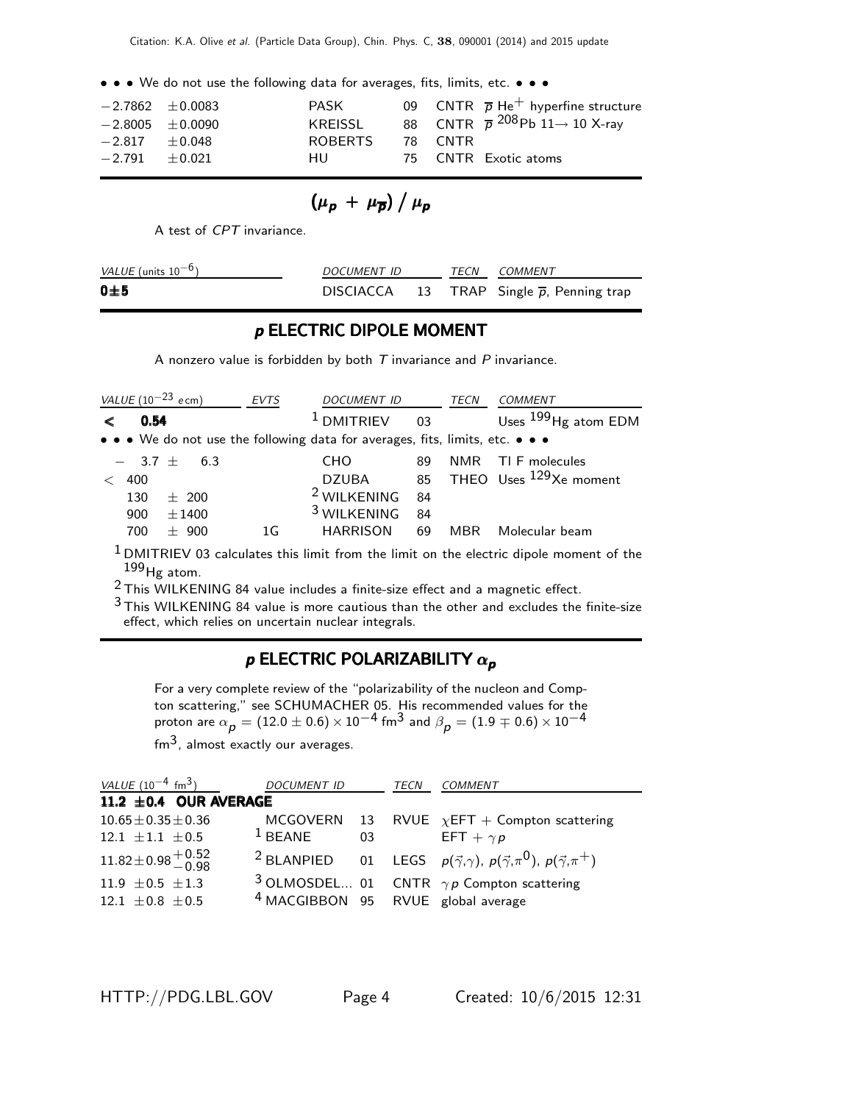• • • We do not use the following data for averages, fits, limits, etc. • • •

| $-2.7862 \pm 0.0083$ | PASK    |         | 09 CNTR $\overline{p}$ He <sup>+</sup> hyperfine structure |
|----------------------|---------|---------|------------------------------------------------------------|
| $-2.8005 + 0.0090$   | KREISSL |         | 88 CNTR $\overline{p}^{208}$ Pb 11 $\rightarrow$ 10 X-ray  |
| $-2.817 + 0.048$     | ROBERTS | 78 CNTR |                                                            |
| $-2.791 + 0.021$     | HU.     |         | 75 CNTR Exotic atoms                                       |

$$
(\mu_{p} + \mu_{\overline{p}}) / \mu_{p}
$$

A test of CPT invariance.

| <i>VALUE</i> (units $10^{-6}$ ) | <i>DOCUMENT ID</i> |  |  | TECN COMMENT                                           |  |
|---------------------------------|--------------------|--|--|--------------------------------------------------------|--|
| $0\pm 5$                        |                    |  |  | DISCIACCA 13 TRAP Single $\overline{p}$ , Penning trap |  |

#### p ELECTRIC DIPOLE MOMENT

A nonzero value is forbidden by both  $T$  invariance and  $P$  invariance.

|      | VALUE $(10^{-23}$ ecm) | <b>EVTS</b> | <b>DOCUMENT ID</b>                                                            |    | TECN | <b>COMMENT</b>                        |
|------|------------------------|-------------|-------------------------------------------------------------------------------|----|------|---------------------------------------|
| 0.54 |                        |             | <sup>1</sup> DMITRIEV                                                         | 03 |      | Uses $^{199}$ Hg atom EDM             |
|      |                        |             | • • • We do not use the following data for averages, fits, limits, etc. • • • |    |      |                                       |
|      | $-3.7 \pm 6.3$         |             | CHO.                                                                          | 89 | NMR. | TI F molecules                        |
| 400  |                        |             | DZUBA                                                                         |    |      | 85 THEO Uses <sup>129</sup> Xe moment |
| 130  | $+200$                 |             | <sup>2</sup> WILKENING                                                        | 84 |      |                                       |
| 900  | $\pm 1400$             |             | <sup>3</sup> WILKENING                                                        | 84 |      |                                       |
| 700  | 900                    | 1G          | <b>HARRISON</b>                                                               | 69 | MBR  | Molecular beam                        |

 $1$  DMITRIEV 03 calculates this limit from the limit on the electric dipole moment of the  $199$  Hg atom.

2 This WILKENING 84 value includes a finite-size effect and a magnetic effect.

 $3$  This WILKENING 84 value is more cautious than the other and excludes the finite-size effect, which relies on uncertain nuclear integrals.

#### p ELECTRIC POLARIZABILITY  $\alpha_{p}$

For a very complete review of the "polarizability of the nucleon and Compton scattering," see SCHUMACHER 05. His recommended values for the proton are  $\alpha_{\bm p}^{[1]}=(12.0\pm0.6)\times10^{-4}$  fm $^3$  and  $\beta_{\bm p}^{[1]}=(1.9\mp0.6)\times10^{-4}$  $\text{fm}^3$ , almost exactly our averages.

| VALUE $(10^{-4} \text{ fm}^3)$ DOCUMENT ID                   |                                               | TECN | COMMENT                                                                                                       |
|--------------------------------------------------------------|-----------------------------------------------|------|---------------------------------------------------------------------------------------------------------------|
| 11.2 $\pm$ 0.4 OUR AVERAGE                                   |                                               |      |                                                                                                               |
| $10.65 \pm 0.35 \pm 0.36$                                    |                                               |      | MCGOVERN 13 RVUE $\chi$ EFT + Compton scattering                                                              |
| 12.1 $\pm 1.1$ $\pm 0.5$                                     | $1$ BEANE                                     |      | 03 EFT + $\gamma p$                                                                                           |
| $11.82 \pm 0.98 \begin{array}{c} +0.52 \\ -0.98 \end{array}$ |                                               |      | <sup>2</sup> BLANPIED 01 LEGS $p(\vec{\gamma}, \gamma)$ , $p(\vec{\gamma}, \pi^0)$ , $p(\vec{\gamma}, \pi^+)$ |
| 11.9 $\pm 0.5 \pm 1.3$                                       |                                               |      | <sup>3</sup> OLMOSDEL 01 CNTR $\gamma p$ Compton scattering                                                   |
| $12.1 \pm 0.8 \pm 0.5$                                       | <sup>4</sup> MACGIBBON 95 RVUE global average |      |                                                                                                               |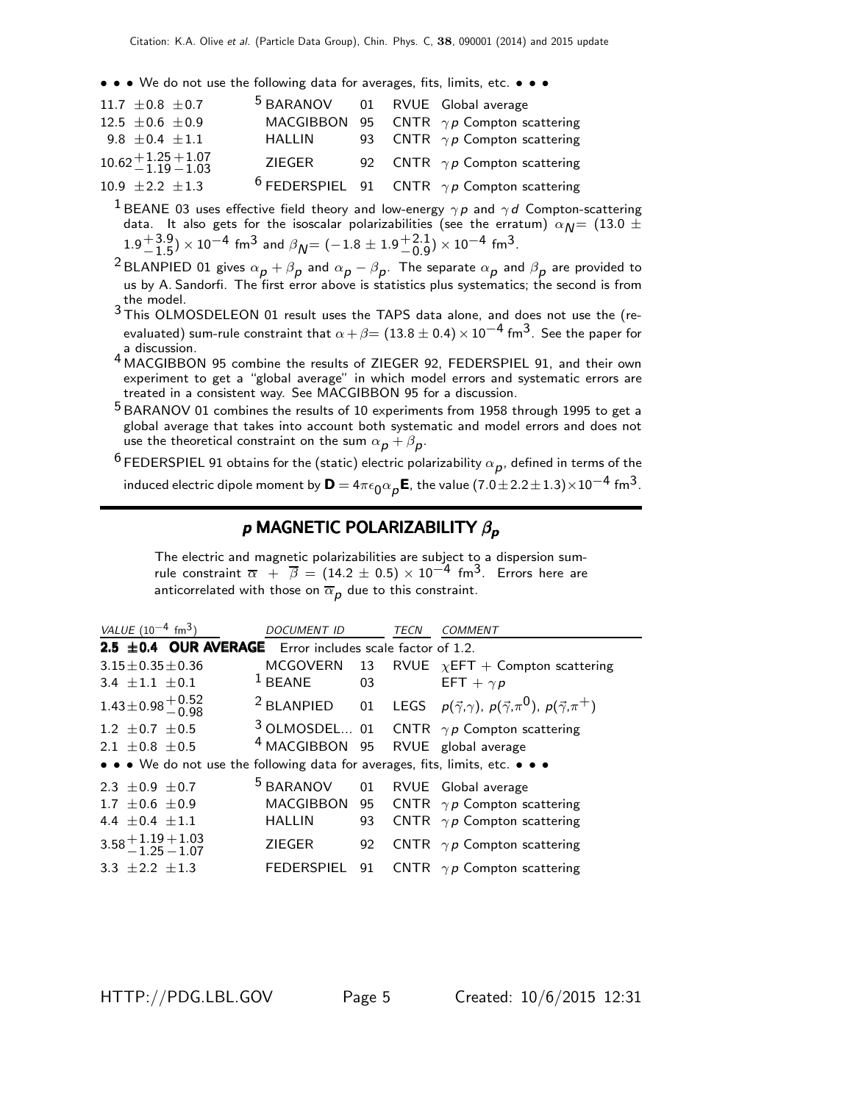• • • We do not use the following data for averages, fits, limits, etc. • • •

| 11.7 $\pm$ 0.8 $\pm$ 0.7                | <sup>5</sup> BARANOV 01 RVUE Global average |  |                                                               |
|-----------------------------------------|---------------------------------------------|--|---------------------------------------------------------------|
| 12.5 $\pm$ 0.6 $\pm$ 0.9                |                                             |  | MACGIBBON 95 CNTR $\gamma p$ Compton scattering               |
| 9.8 $\pm$ 0.4 $\pm$ 1.1                 | HALLIN                                      |  | 93 CNTR $\gamma p$ Compton scattering                         |
| $10.62 + 1.25 + 1.07$<br>$-1.19 - 1.03$ | ZIEGER                                      |  | 92 CNTR $\gamma p$ Compton scattering                         |
| 10.9 $\pm 2.2$ $\pm 1.3$                |                                             |  | <sup>6</sup> FEDERSPIEL 91 CNTR $\gamma p$ Compton scattering |

<sup>1</sup> BEANE 03 uses effective field theory and low-energy  $\gamma p$  and  $\gamma d$  Compton-scattering data. It also gets for the isoscalar polarizabilities (see the erratum)  $\alpha_{\textit{N}} = (13.0 \pm 1.00)$  $1.9 + 3.9$  $^{+3.9}_{-1.5})\times10^{-4}$  fm $^3$  and  $\beta_{\cal N}$ = ( $-1.8\pm1.9{+2.1\atop -0.9}$  $^{+2.1}_{-0.9}$ ) × 10<sup>-4</sup> fm<sup>3</sup>.

 $^2$ BLANPIED 01 gives  $\alpha_{\bm p}+\beta_{\bm p}$  and  $\alpha_{\bm p}-\beta_{\bm p}.$  The separate  $\alpha_{\bm p}$  and  $\beta_{\bm p}$  are provided to us by A. Sandorfi. The first error above is statistics plus systematics; the second is from the model.

3 This OLMOSDELEON 01 result uses the TAPS data alone, and does not use the (reevaluated) sum-rule constraint that  $\alpha + \beta = (13.8 \pm 0.4) \times 10^{-4}$  fm $^3$ . See the paper for a discussion.

- 4 MACGIBBON 95 combine the results of ZIEGER 92, FEDERSPIEL 91, and their own experiment to get a "global average" in which model errors and systematic errors are treated in a consistent way. See MACGIBBON 95 for a discussion.
- 5 BARANOV 01 combines the results of 10 experiments from 1958 through 1995 to get a global average that takes into account both systematic and model errors and does not use the theoretical constraint on the sum  $\alpha_{\bm p} + \beta_{\bm p} .$

 $^6$ FEDERSPIEL 91 obtains for the (static) electric polarizability  $\alpha_{\bm p}^{}$ , defined in terms of the induced electric dipole moment by  $\textsf{D}=4\pi\epsilon_0\alpha_{\bm{\rho}}\textsf{E}$ , the value  $(7.0\pm2.2\pm1.3)\times10^{-4}$  fm $^3$ .

#### $p$  MAGNETIC POLARIZABILITY  $β<sub>p</sub>$

The electric and magnetic polarizabilities are subject to a dispersion sumrule constraint  $\overline{\alpha}$  +  $\overline{\beta}$  = (14.2 ± 0.5) × 10<sup>-4</sup> fm<sup>3</sup>. Errors here are anticorrelated with those on  $\overline{\alpha}_{\bm p}$  due to this constraint.

| VALUE $(10^{-4}$ fm <sup>3</sup> )                                             | <b>DOCUMENT ID</b>                            |    | <b>TECN</b> | <b>COMMENT</b>                                                                                                |
|--------------------------------------------------------------------------------|-----------------------------------------------|----|-------------|---------------------------------------------------------------------------------------------------------------|
| <b>2.5 <math>\pm</math>0.4 OUR AVERAGE</b> Error includes scale factor of 1.2. |                                               |    |             |                                                                                                               |
| $3.15 \pm 0.35 \pm 0.36$                                                       |                                               |    |             | MCGOVERN 13 RVUE $\chi$ EFT + Compton scattering                                                              |
| 3.4 $\pm$ 1.1 $\pm$ 0.1                                                        | $1$ BEANE<br>$\overline{03}$                  |    |             | EFT + $\gamma p$                                                                                              |
| $1.43 \pm 0.98 \begin{array}{c} +0.52 \\ -0.98 \end{array}$                    |                                               |    |             | <sup>2</sup> BLANPIED 01 LEGS $p(\vec{\gamma}, \gamma)$ , $p(\vec{\gamma}, \pi^0)$ , $p(\vec{\gamma}, \pi^+)$ |
| 1.2 $\pm$ 0.7 $\pm$ 0.5                                                        |                                               |    |             | <sup>3</sup> OLMOSDEL 01 CNTR $\gamma p$ Compton scattering                                                   |
| 2.1 $\pm$ 0.8 $\pm$ 0.5                                                        | <sup>4</sup> MACGIBBON 95 RVUE global average |    |             |                                                                                                               |
| • • • We do not use the following data for averages, fits, limits, etc. • • •  |                                               |    |             |                                                                                                               |
| $2.3 + 0.9 + 0.7$                                                              | <sup>5</sup> BARANOV 01 RVUE Global average   |    |             |                                                                                                               |
| 1.7 $\pm$ 0.6 $\pm$ 0.9                                                        |                                               |    |             | MACGIBBON 95 CNTR $\gamma p$ Compton scattering                                                               |
| 4.4 $+0.4$ $+1.1$                                                              | <b>HALLIN</b>                                 | 93 |             | CNTR $\gamma p$ Compton scattering                                                                            |
| $3.58 + 1.19 + 1.03$<br>$-1.25 - 1.07$                                         | ZIEGER                                        |    |             | 92 CNTR $\gamma p$ Compton scattering                                                                         |
| 3.3 $\pm 2.2$ $\pm 1.3$                                                        |                                               |    |             | FEDERSPIEL 91 CNTR $\gamma p$ Compton scattering                                                              |

HTTP://PDG.LBL.GOV Page 5 Created: 10/6/2015 12:31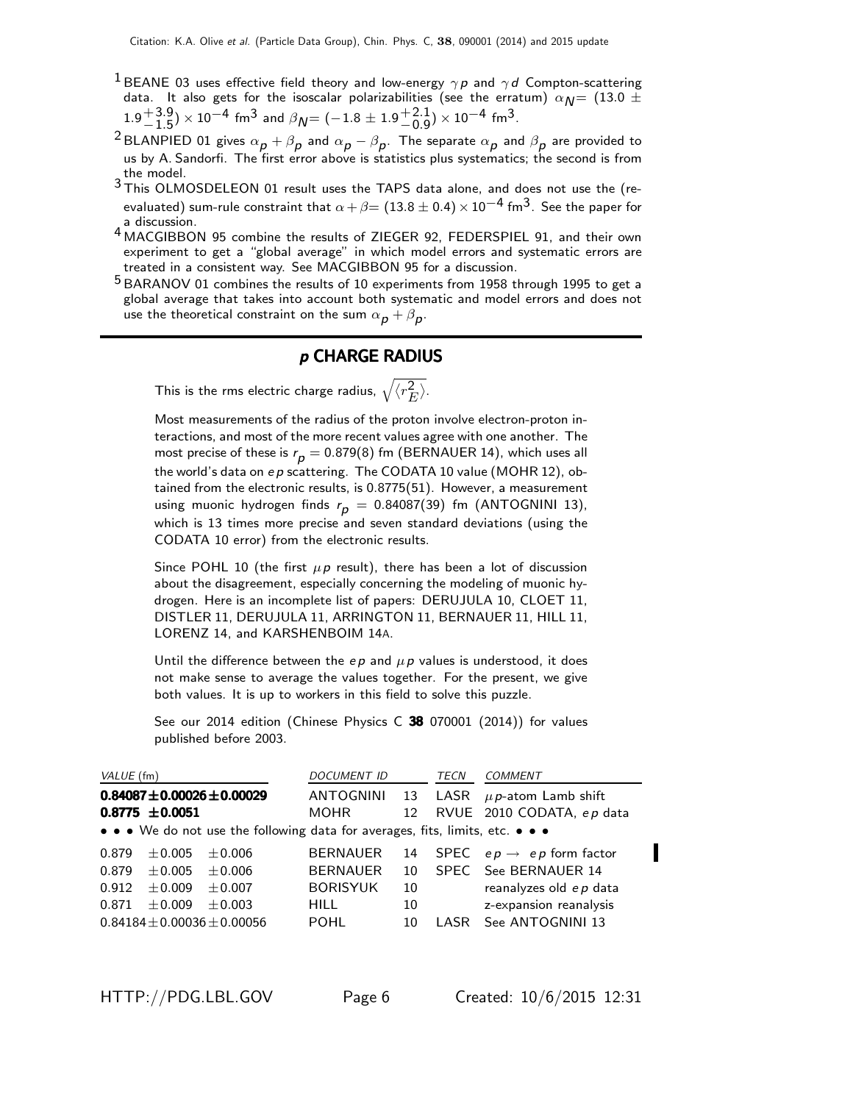- <sup>1</sup> BEANE 03 uses effective field theory and low-energy  $\gamma p$  and  $\gamma d$  Compton-scattering data. It also gets for the isoscalar polarizabilities (see the erratum)  $\alpha_{\text{N}} = (13.0 \pm 1.0)$  $1.9 + 3.9$  $^{+3.9}_{-1.5})\times10^{-4}$  fm $^3$  and  $\beta_{\cal N}$ = ( $-1.8\pm1.9{+2.1\atop -0.9}$  $^{+2.1}_{-0.9}$ ) × 10<sup>-4</sup> fm<sup>3</sup>.
- $^2$ BLANPIED 01 gives  $\alpha_{\bm p}+\beta_{\bm p}$  and  $\alpha_{\bm p}-\beta_{\bm p}.$  The separate  $\alpha_{\bm p}$  and  $\beta_{\bm p}$  are provided to us by A. Sandorfi. The first error above is statistics plus systematics; the second is from the model.
- 3 This OLMOSDELEON 01 result uses the TAPS data alone, and does not use the (reevaluated) sum-rule constraint that  $\alpha + \beta = (13.8 \pm 0.4) \times 10^{-4}$  fm<sup>3</sup>. See the paper for a discussion.
- 4 MACGIBBON 95 combine the results of ZIEGER 92, FEDERSPIEL 91, and their own experiment to get a "global average" in which model errors and systematic errors are treated in a consistent way. See MACGIBBON 95 for a discussion.
- 5 BARANOV 01 combines the results of 10 experiments from 1958 through 1995 to get a global average that takes into account both systematic and model errors and does not use the theoretical constraint on the sum  $\alpha_{\bm p} + \beta_{\bm p} .$

#### p CHARGE RADIUS

This is the rms electric charge radius,  $\sqrt{\langle r_{\scriptscriptstyle L}^2 \rangle}$  $\overset{\text{2}}{E}$ .

Most measurements of the radius of the proton involve electron-proton interactions, and most of the more recent values agree with one another. The most precise of these is  $r_p = 0.879(8)$  fm (BERNAUER 14), which uses all the world's data on  $ep$  scattering. The CODATA 10 value (MOHR 12), obtained from the electronic results, is 0.8775(51). However, a measurement using muonic hydrogen finds  $r_p = 0.84087(39)$  fm (ANTOGNINI 13), which is 13 times more precise and seven standard deviations (using the CODATA 10 error) from the electronic results.

Since POHL 10 (the first  $\mu p$  result), there has been a lot of discussion about the disagreement, especially concerning the modeling of muonic hydrogen. Here is an incomplete list of papers: DERUJULA 10, CLOET 11, DISTLER 11, DERUJULA 11, ARRINGTON 11, BERNAUER 11, HILL 11, LORENZ 14, and KARSHENBOIM 14A.

Until the difference between the  $ep$  and  $\mu p$  values is understood, it does not make sense to average the values together. For the present, we give both values. It is up to workers in this field to solve this puzzle.

See our 2014 edition (Chinese Physics C 38 070001 (2014)) for values published before 2003.

| VALUE (fm) |                     |                                                                               | DOCUMENT ID      |      | TECN  | COMMENT                              |
|------------|---------------------|-------------------------------------------------------------------------------|------------------|------|-------|--------------------------------------|
|            |                     | $0.84087 \pm 0.00026 \pm 0.00029$                                             | <b>ANTOGNINI</b> | - 13 | LASR  | $\mu$ p-atom Lamb shift              |
|            | $0.8775 \pm 0.0051$ |                                                                               | <b>MOHR</b>      | 12   |       | RVUE 2010 CODATA, ep data            |
|            |                     | • • • We do not use the following data for averages, fits, limits, etc. • • • |                  |      |       |                                      |
| 0.879      | $+0.005$            | $+0.006$                                                                      | <b>BERNAUER</b>  | 14   |       | SPEC $ep \rightarrow ep$ form factor |
| 0.879      | $\pm 0.005$         | $+0.006$                                                                      | <b>BERNAUER</b>  | 10   |       | SPEC See BERNAUER 14                 |
| 0.912      | $\pm 0.009$         | $+0.007$                                                                      | <b>BORISYUK</b>  | 10   |       | reanalyzes old ep data               |
| 0.871      | $+0.009$            | $+0.003$                                                                      | <b>HILL</b>      | 10   |       | z-expansion reanalysis               |
|            |                     | $0.84184 \pm 0.00036 \pm 0.00056$                                             | <b>POHL</b>      | 10   | LASR. | See ANTOGNINI 13                     |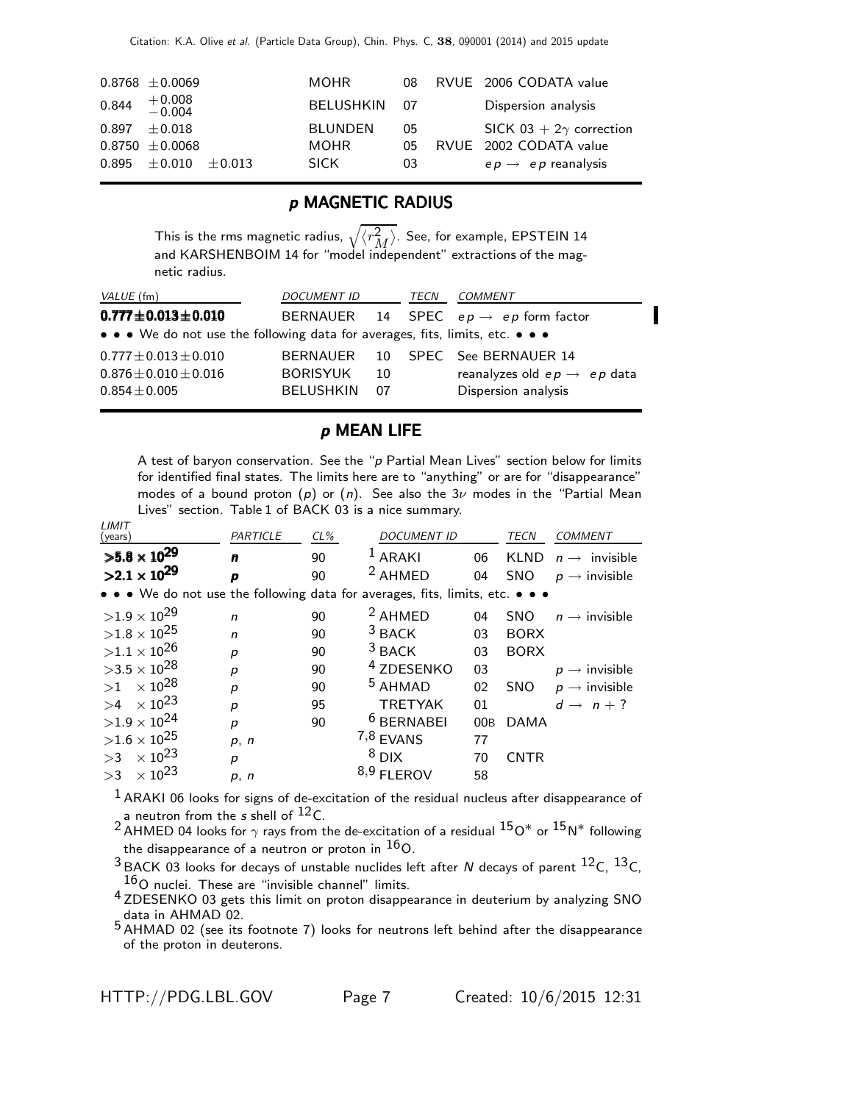|       | $0.8768 \pm 0.0069$        |          | <b>MOHR</b>    | 08   | RVUE 2006 CODATA value         |
|-------|----------------------------|----------|----------------|------|--------------------------------|
|       | $0.844$ $+0.008$<br>-0.004 |          | BELUSHKIN      | - 07 | Dispersion analysis            |
| 0.897 | $\pm$ 0.018                |          | <b>BLUNDEN</b> | 05   | SICK 03 + $2\gamma$ correction |
|       | $0.8750 \pm 0.0068$        |          | MOHR.          | 05   | RVUE 2002 CODATA value         |
| 0.895 | $+0.010$                   | $+0.013$ | <b>SICK</b>    | 03   | $ep \rightarrow ep$ reanalysis |

#### p MAGNETIC RADIUS

This is the rms magnetic radius,  $\sqrt{\langle r_M^2 \rangle}$ . See, for example, EPSTEIN 14 and KARSHENBOIM 14 for "model independent" extractions of the magnetic radius.

| VALUE (fm)                                                                      | <i>DOCUMENT ID</i>                  |           | TECN | <i>COMMENT</i>                                                                                     |  |
|---------------------------------------------------------------------------------|-------------------------------------|-----------|------|----------------------------------------------------------------------------------------------------|--|
| $0.777 \pm 0.013 \pm 0.010$                                                     |                                     |           |      | BERNAUER 14 SPEC $ep \rightarrow ep$ form factor                                                   |  |
| • • • We do not use the following data for averages, fits, limits, etc. • • •   |                                     |           |      |                                                                                                    |  |
| $0.777 \pm 0.013 \pm 0.010$<br>$0.876 \pm 0.010 \pm 0.016$<br>$0.854 \pm 0.005$ | <b>BORISYUK</b><br><b>BELUSHKIN</b> | 10<br>-07 |      | BERNAUER 10 SPEC See BERNAUER 14<br>reanalyzes old $ep \rightarrow ep$ data<br>Dispersion analysis |  |

#### p MEAN LIFE

A test of baryon conservation. See the "p Partial Mean Lives" section below for limits for identified final states. The limits here are to "anything" or are for "disappearance" modes of a bound proton (p) or (n). See also the  $3\nu$  modes in the "Partial Mean Lives" section. Table 1 of BACK 03 is a nice summary.

| LIMI I<br>(years)                                                             | PARTICLE     | $CL\%$ | <b>DOCUMENT ID</b>    |     | <b>TECN</b> | <b>COMMENT</b>            |
|-------------------------------------------------------------------------------|--------------|--------|-----------------------|-----|-------------|---------------------------|
| $>5.8 \times 10^{29}$                                                         | n            | 90     | $L ARAKI$             | 06  | <b>KLND</b> | $n \rightarrow$ invisible |
| $>2.1 \times 10^{29}$                                                         | p            | 90     | <sup>2</sup> AHMED    | 04  | <b>SNO</b>  | $p \rightarrow$ invisible |
| • • • We do not use the following data for averages, fits, limits, etc. • • • |              |        |                       |     |             |                           |
| $>1.9\times10^{29}$                                                           | $\mathsf{n}$ | 90     | <sup>2</sup> AHMED    | 04  | <b>SNO</b>  | $n \rightarrow$ invisible |
| ${>}1.8\times10^{25}$                                                         | $\mathsf{n}$ | 90     | $3$ BACK              | 03  | <b>BORX</b> |                           |
| $>1.1\times10^{26}$                                                           | p            | 90     | $3$ BACK              | 03  | <b>BORX</b> |                           |
| $>3.5\times10^{28}$                                                           | p            | 90     | <sup>4</sup> ZDESENKO | 03  |             | $p \rightarrow$ invisible |
| $>1$ $\times$ 10 <sup>28</sup>                                                | p            | 90     | <sup>5</sup> AHMAD    | 02  | <b>SNO</b>  | $p \rightarrow$ invisible |
| $>4$ $\times$ 10 <sup>23</sup>                                                | p            | 95     | <b>TRETYAK</b>        | 01  |             | $d \rightarrow n + ?$     |
| $>1.9\times10^{24}$                                                           | p            | 90     | <sup>6</sup> BERNABEI | 00B | <b>DAMA</b> |                           |
| $>1.6\times10^{25}$                                                           | p, n         |        | $7,8$ EVANS           | 77  |             |                           |
| $\times$ 10 $^{23}$<br>>3                                                     | p            |        | $8$ DIX               | 70  | <b>CNTR</b> |                           |
| $\times$ 10 <sup>23</sup><br>>3                                               | p, n         |        | $8,9$ FLEROV          | 58  |             |                           |
|                                                                               |              |        |                       |     |             |                           |

 $1$  ARAKI 06 looks for signs of de-excitation of the residual nucleus after disappearance of a neutron from the  $s$  shell of  $^{12}$ C.

2 AHMED 04 looks for  $\gamma$  rays from the de-excitation of a residual  $150^*$  or  $15N^*$  following the disappearance of a neutron or proton in  $16$ O.

 $3$  BACK 03 looks for decays of unstable nuclides left after N decays of parent  ${}^{12}$ C,  ${}^{13}$ C,  $16$ O nuclei. These are "invisible channel" limits.

<sup>4</sup> ZDESENKO 03 gets this limit on proton disappearance in deuterium by analyzing SNO data in AHMAD 02.

5 AHMAD 02 (see its footnote 7) looks for neutrons left behind after the disappearance of the proton in deuterons.

LIMIT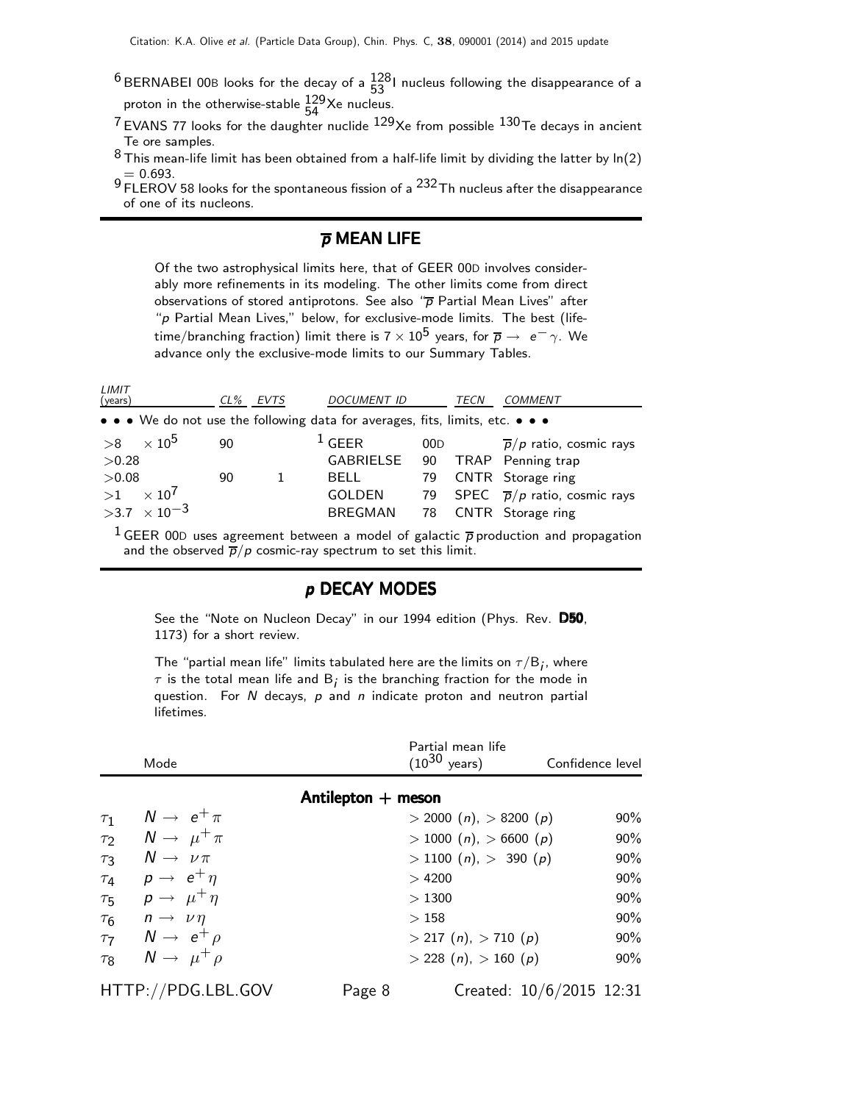$^6$ BERNABEI 00B looks for the decay of a  $^{128}_{53}$ I nucleus following the disappearance of a proton in the otherwise-stable  $\frac{129}{54}$ Xe nucleus.

- $7$  EVANS 77 looks for the daughter nuclide  $129$ Xe from possible  $130$ Te decays in ancient Te ore samples.
- $8$  This mean-life limit has been obtained from a half-life limit by dividing the latter by ln(2)  $= 0.693.$
- $9 0.9$  FLEROV 58 looks for the spontaneous fission of a  $232$  Th nucleus after the disappearance of one of its nucleons.

#### $\overline{p}$  MEAN LIFE

Of the two astrophysical limits here, that of GEER 00D involves considerably more refinements in its modeling. The other limits come from direct observations of stored antiprotons. See also " $\overline{p}$  Partial Mean Lives" after "p Partial Mean Lives," below, for exclusive-mode limits. The best (lifetime/branching fraction) limit there is  $7 \times 10^5$  years, for  $\overline{p} \rightarrow e^- \gamma$ . We advance only the exclusive-mode limits to our Summary Tables.

| LIMIT<br>(years)                                                              | $CL\%$ | EVTS | <b>DOCUMENT ID</b> |     | TECN | <b>COMMENT</b>                                                                         |
|-------------------------------------------------------------------------------|--------|------|--------------------|-----|------|----------------------------------------------------------------------------------------|
| • • • We do not use the following data for averages, fits, limits, etc. • • • |        |      |                    |     |      |                                                                                        |
| $>8$ $\times$ 10 <sup>5</sup>                                                 | 90     |      | $1$ GEER           | 00D |      | $\overline{p}/p$ ratio, cosmic rays                                                    |
| >0.28                                                                         |        |      | GABRIELSE          | 90  |      | TRAP Penning trap                                                                      |
| >0.08                                                                         | 90     |      | <b>BELL</b>        | 79  |      | CNTR Storage ring                                                                      |
| $>1$ $\times$ 10 <sup>7</sup>                                                 |        |      | <b>GOLDEN</b>      |     |      | 79 SPEC $\bar{p}/p$ ratio, cosmic rays                                                 |
| $>3.7 \times 10^{-3}$                                                         |        |      | <b>BREGMAN</b>     | 78  |      | CNTR Storage ring                                                                      |
|                                                                               |        |      |                    |     |      | $1$ $CFTD$ 000 $111$ $111$ $111$ $111$ $111$ $111$ $111$ $111$ $111$ $111$ $111$ $111$ |

GEER 00D uses agreement between a model of galactic  $\bar{p}$  production and propagation and the observed  $\overline{p}/p$  cosmic-ray spectrum to set this limit.

#### p DECAY MODES

See the "Note on Nucleon Decay" in our 1994 edition (Phys. Rev. D50, 1173) for a short review.

The "partial mean life" limits tabulated here are the limits on  $\tau/\mathsf{B}_i$ , where  $\tau$  is the total mean life and B<sub>i</sub> is the branching fraction for the mode in question. For  $N$  decays,  $p$  and  $n$  indicate proton and neutron partial lifetimes.

| Mode                                         |                      | Partial mean life<br>$(10^{30} \text{ years})$ | Confidence level         |     |
|----------------------------------------------|----------------------|------------------------------------------------|--------------------------|-----|
|                                              | Antilepton $+$ meson |                                                |                          |     |
| $N \rightarrow e^+ \pi$<br>$\tau_1$          |                      | $>$ 2000 (n), $>$ 8200 (p)                     |                          | 90% |
| $N \rightarrow \mu^+ \pi$<br>$\tau_2$        |                      | > 1000(n), > 6600(p)                           |                          | 90% |
| $N \rightarrow \nu \pi$<br>$\tau_3$          |                      | $>$ 1100 ( <i>n</i> ), $>$ 390 ( <i>p</i> )    |                          | 90% |
| $p \rightarrow e^+ \eta$<br>$\tau_4$         |                      | >4200                                          |                          | 90% |
| $p \rightarrow \mu^+ \eta$<br>$\tau_{5}$     |                      | >1300                                          |                          | 90% |
| $n \rightarrow \nu \eta$<br>$\tau_6$         |                      | >158                                           |                          | 90% |
| $N \rightarrow e^+ \rho$<br>$\tau$           |                      | $>$ 217 (n), $>$ 710 (p)                       |                          | 90% |
| $N \rightarrow \mu^+ \rho$<br>$\tau_{\rm R}$ |                      | $>$ 228 (n), $>$ 160 (p)                       |                          | 90% |
| HTTP://PDG.LBL.GOV                           | Page 8               |                                                | Created: 10/6/2015 12:31 |     |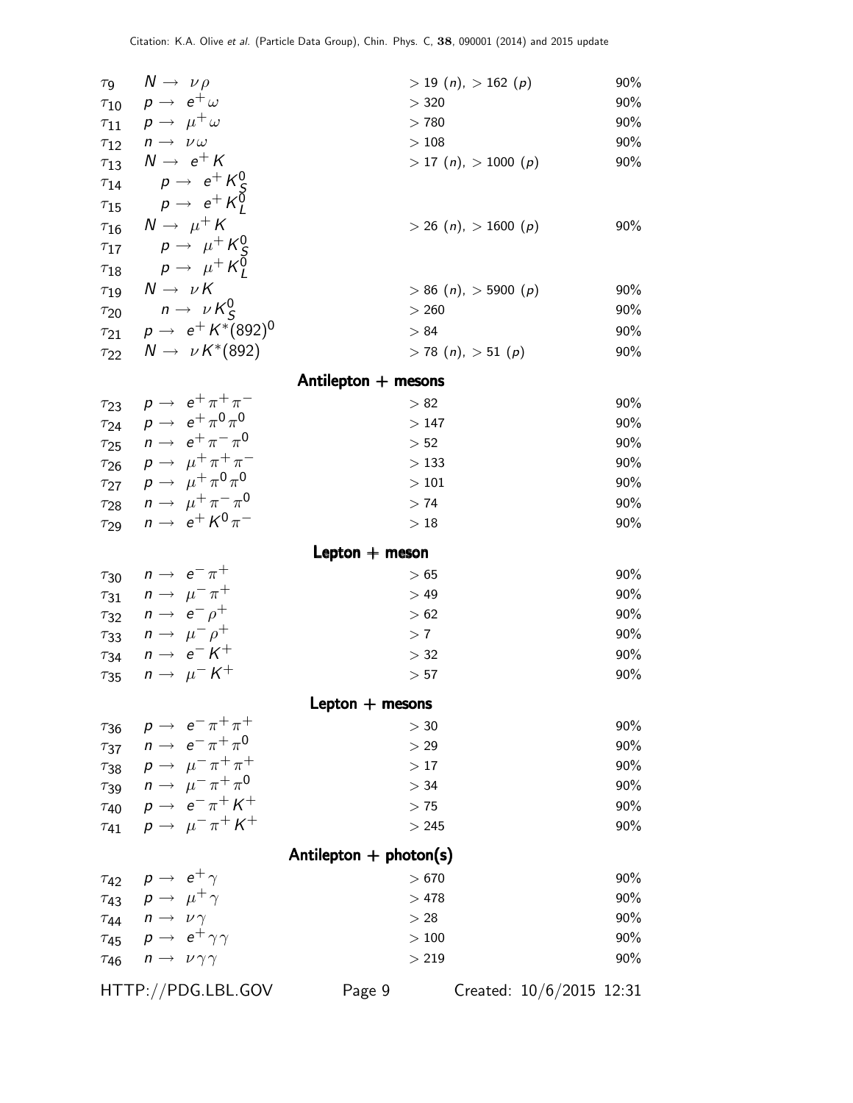| $N \rightarrow \nu \rho$<br>$\tau$ <sub>9</sub>         |                          | 90%<br>$> 19(n)$ , $> 162(p)$                     |
|---------------------------------------------------------|--------------------------|---------------------------------------------------|
| $\tau_{10}$ $p \rightarrow e^+ \omega$                  | > 320                    | 90%                                               |
| $p \rightarrow \mu^+ \omega$<br>$\tau_{11}$             | >780                     | 90%                                               |
| $n \rightarrow \nu \omega$<br>$\tau_{12}$               | $>108\,$                 | 90%                                               |
| $N \rightarrow e^+ K$<br>$\tau_{13}$                    |                          | $>$ 17 ( <i>n</i> ), $>$ 1000 ( <i>p</i> )<br>90% |
| $p \rightarrow e^+ K_c^0$<br>$\tau_{14}$                |                          |                                                   |
| $p \rightarrow e^+ K_1^0$<br>$\tau_{15}$                |                          |                                                   |
| $N \rightarrow \mu^+ K$<br>$\tau_{16}$                  |                          | $>$ 26 (n), $>$ 1600 (p)<br>90%                   |
| $p \rightarrow \mu^+ K_S^0$<br>$\tau_{17}$              |                          |                                                   |
| $p \rightarrow \mu^+ K^{\bar{0}}_I$<br>$\tau_{18}$      |                          |                                                   |
| $N \rightarrow \nu K$<br>$\tau_{19}$                    |                          | $> 86$ (n), $> 5900$ (p)<br>90%                   |
| $n \rightarrow \nu K_S^0$<br>$\tau_{20}$                | > 260                    | 90%                                               |
| $p \to e^+ K^*(892)^0$<br>$\tau_{21}$                   | > 84                     | 90%                                               |
| $N \rightarrow \nu K^*(892)$<br>$\tau_{22}$             |                          | $> 78$ (n), $> 51$ (p)<br>90%                     |
|                                                         | Antilepton $+$ mesons    |                                                   |
| $p \rightarrow e^+ \pi^+ \pi^-$<br>$\tau_{23}$          | > 82                     | 90%                                               |
| $p \rightarrow e^+ \pi^0 \pi^0$<br>$\tau_{24}$          | >147                     | 90%                                               |
| $n \rightarrow e^+ \pi^- \pi^0$<br>$\tau_{25}$          | > 52                     | 90%                                               |
| $p \rightarrow \mu^+ \pi^+ \pi^-$<br>$\tau_{26}$        | >133                     | 90%                                               |
| $p \rightarrow \mu^+ \pi^0 \pi^0$<br>$\tau_{27}$        | $>101$                   | 90%                                               |
| $\tau_{28}$ $n \rightarrow \mu^+ \pi^- \pi^0$           | >74                      | 90%                                               |
| $n \rightarrow e^+ K^0 \pi^-$<br>$\tau_{29}$            | >18                      | 90%                                               |
|                                                         |                          |                                                   |
| $n \rightarrow e^- \pi^+$                               | Lepton $+$ meson<br>>65  | 90%                                               |
| $\tau_{30}$<br>$n \rightarrow \mu^- \pi^+$              | >49                      | 90%                                               |
| $\tau_{31}$<br>$n \rightarrow e^- \rho^+$               | > 62                     | 90%                                               |
| $\tau_{32}$<br>$n \rightarrow \mu^- \rho^+$             | >7                       | 90%                                               |
| $\tau_{33}$<br>$n \rightarrow e^- K^+$                  | > 32                     | 90%                                               |
| $\tau_{34}$<br>$n \rightarrow \mu^- K^+$<br>$\tau_{35}$ | > 57                     | 90%                                               |
|                                                         |                          |                                                   |
|                                                         | Lepton $+$ mesons        |                                                   |
| $p \rightarrow e^- \pi^+ \pi^+$<br>$\tau_{36}$          | > 30                     | 90%                                               |
| $n \rightarrow e^- \pi^+ \pi^0$<br>$\tau_{37}$          | > 29                     | 90%                                               |
| $p \rightarrow \mu^- \pi^+ \pi^+$<br>$\tau_{38}$        | >17                      | 90%                                               |
| $n \to \mu^- \pi^+ \pi^0$<br>$\tau_{39}$                | > 34                     | 90%                                               |
| $p \rightarrow e^- \pi^+ K^+$<br>$\tau_{40}$            | >75                      | 90%                                               |
| $p \rightarrow \mu^- \pi^+ K^+$<br>$\tau_{41}$          | > 245                    | 90%                                               |
|                                                         | Antilepton $+$ photon(s) |                                                   |
| $p \rightarrow e^+ \gamma$<br>$\tau_{42}$               | >670                     | 90%                                               |
| $\rho \rightarrow \mu^+ \gamma$<br>$\tau_{43}$          | >478                     | 90%                                               |
| $n \rightarrow \nu \gamma$<br>$\tau_{44}$               | > 28                     | 90%                                               |
| $p \rightarrow e^+ \gamma \gamma$<br>$\tau_{45}$        | >100                     | 90%                                               |
| $n \rightarrow \nu \gamma \gamma$<br>$\tau_{46}$        | > 219                    | 90%                                               |
|                                                         |                          |                                                   |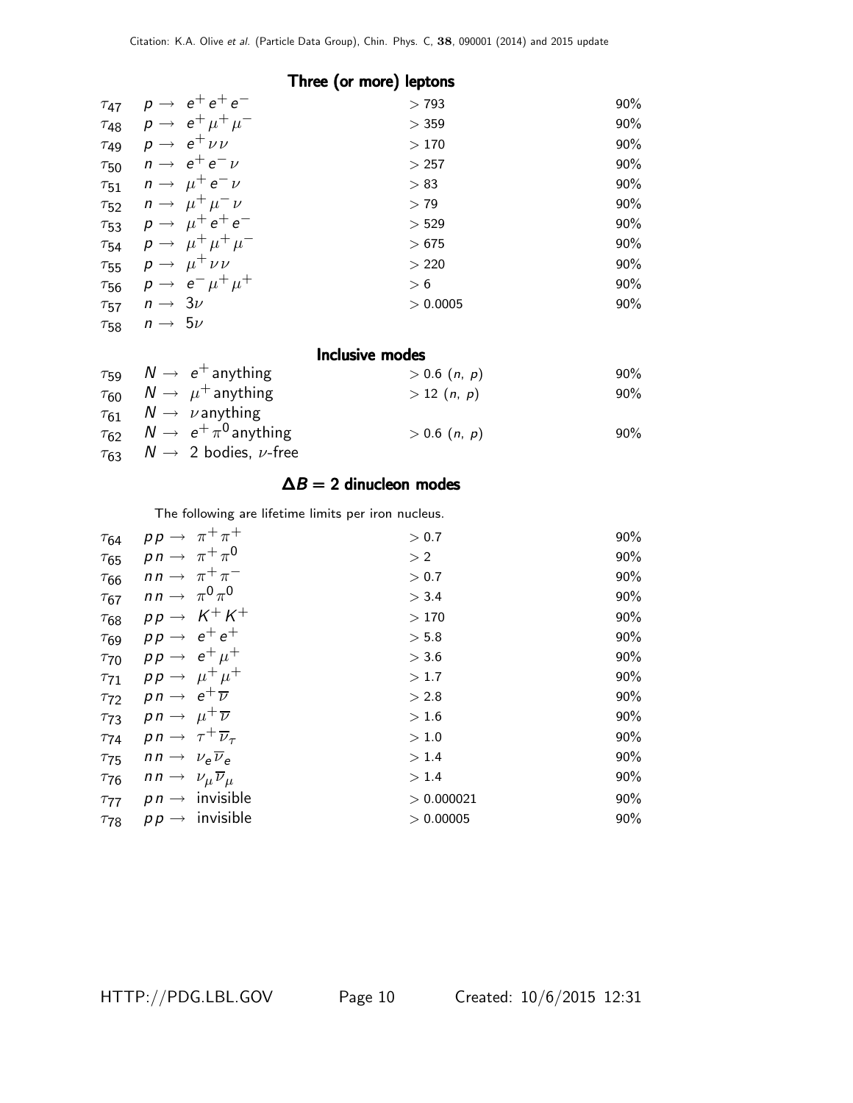|             | Three (or more) leptons |                                             |          |     |  |  |
|-------------|-------------------------|---------------------------------------------|----------|-----|--|--|
| $\tau_{47}$ |                         | $p \rightarrow e^+e^+e^-$                   | >793     | 90% |  |  |
|             |                         | $\tau_{48}$ $p \to e^+ \mu^+ \mu^-$         | > 359    | 90% |  |  |
|             |                         | $\tau_{49}$ $p \rightarrow e^+ \nu \nu$     | >170     | 90% |  |  |
|             |                         | $\tau_{50}$ $n \rightarrow e^+e^-\nu$       | > 257    | 90% |  |  |
|             |                         | $\tau_{51}$ $n \rightarrow \mu^+ e^- \nu$   | > 83     | 90% |  |  |
|             |                         | $\tau_{52}$ $n \rightarrow \mu^+ \mu^- \nu$ | > 79     | 90% |  |  |
|             |                         | $\tau_{53}$ $p \to \mu^+ e^+ e^-$           | > 529    | 90% |  |  |
|             |                         | $\tau_{54}$ $\rho \to \mu^+ \mu^+ \mu^-$    | >675     | 90% |  |  |
|             |                         | $\tau_{55}$ $p \rightarrow \mu^+ \nu \nu$   | > 220    | 90% |  |  |
|             |                         | $\tau_{56}$ $p \to e^- \mu^+ \mu^+$         | > 6      | 90% |  |  |
| $\tau_{57}$ | $n \rightarrow 3\nu$    |                                             | > 0.0005 | 90% |  |  |
| $\tau_{58}$ | $n \rightarrow 5\nu$    |                                             |          |     |  |  |

#### Inclusive modes

| $\tau_{59}$ $N \rightarrow e^+$ anything             | $> 0.6$ $(n, p)$                | $90\%$ |
|------------------------------------------------------|---------------------------------|--------|
| $\tau_{60}$ $N \rightarrow \mu^+$ anything           | > 12(n, p)                      | $90\%$ |
| $\tau_{61}$ $N \rightarrow \nu$ anything             |                                 |        |
| $\tau_{62}$ $N \rightarrow e^+ \pi^0$ anything       | $> 0.6$ ( <i>n</i> , <i>p</i> ) | $90\%$ |
| $\tau_{63}$ $N \rightarrow 2$ bodies, <i>v</i> -free |                                 |        |

#### $\Delta B = 2$  dinucleon modes

The following are lifetime limits per iron nucleus.

| $\tau_{64}$ |                                                            | $pp \rightarrow \pi^+ \pi^+$           | > 0.7      | 90% |
|-------------|------------------------------------------------------------|----------------------------------------|------------|-----|
| $\tau_{65}$ |                                                            | $pn \rightarrow \pi^+ \pi^0$           | > 2        | 90% |
| $\tau_{66}$ |                                                            | $nn \rightarrow \pi^+ \pi^-$           | > 0.7      | 90% |
| $\tau_{67}$ | $nn \rightarrow \pi^0 \pi^0$                               |                                        | $>$ 3.4    | 90% |
| $\tau_{68}$ |                                                            | $pp \rightarrow K^+K^+$                | >170       | 90% |
| $\tau_{69}$ |                                                            | $pp \rightarrow e^+e^+$                | > 5.8      | 90% |
| $\tau_{70}$ |                                                            | $pp \rightarrow e^+ \mu^+$             | > 3.6      | 90% |
| $\tau_{71}$ |                                                            | $pp \rightarrow \mu^+ \mu^+$           | >1.7       | 90% |
| $\tau_{72}$ | $p n \rightarrow e^+ \overline{\nu}$                       |                                        | > 2.8      | 90% |
|             | $\tau_{73}$ pn $\rightarrow$ $\mu^+\overline{\nu}$         |                                        | > 1.6      | 90% |
|             | $\tau_{74}$ pn $\rightarrow \tau^{+}\overline{\nu}_{\tau}$ |                                        | >1.0       | 90% |
| $\tau_{75}$ | $nn \rightarrow \nu_e \overline{\nu}_e$                    |                                        | > 1.4      | 90% |
| $\tau_{76}$ | $nn \rightarrow \nu_{\mu} \overline{\nu}_{\mu}$            |                                        | > 1.4      | 90% |
|             |                                                            | $\tau_{77}$ pn $\rightarrow$ invisible | > 0.000021 | 90% |
| $\tau_{78}$ |                                                            | $p p \rightarrow$ invisible            | > 0.00005  | 90% |
|             |                                                            |                                        |            |     |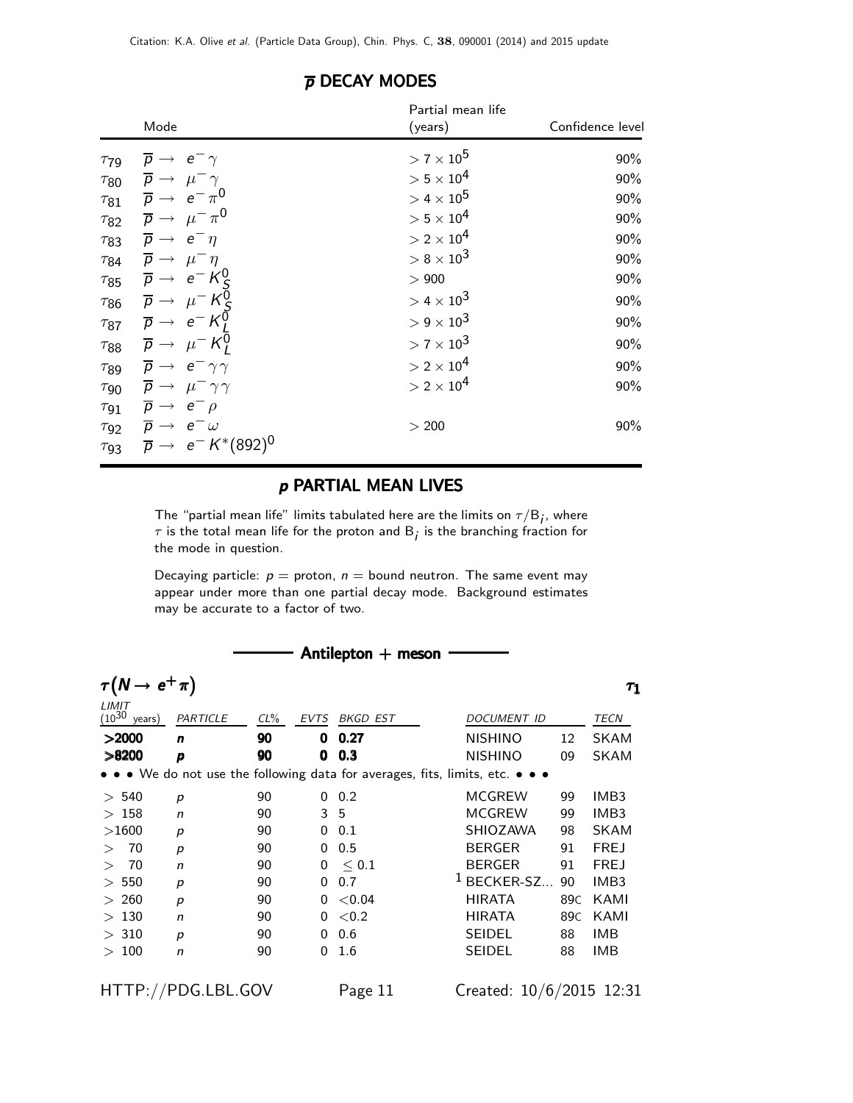| Mode                                                        | Partial mean life<br>(years)   | Confidence level |
|-------------------------------------------------------------|--------------------------------|------------------|
| $\tau_{79}$ $\overline{p} \rightarrow e^- \gamma$           | $> 7 \times 10^5$              | 90%              |
| $\tau_{80}$ $\overline{p} \rightarrow \mu^- \gamma$         | $> 5 \times 10^4$              | 90%              |
| $\tau_{81}$ $\overline{p} \rightarrow e^- \pi^0$            | $> 4 \times 10^5$              | 90%              |
| $\tau_{82}$ $\overline{p} \rightarrow \mu^- \pi^0$          | $> 5 \times 10^4$              | 90%              |
| $\tau_{83}$ $\overline{p} \rightarrow e^- \eta$             | $> 2 \times 10^4$              | 90%              |
| $\tau_{84}$ $\overline{p} \rightarrow \mu^- \eta$           | $> 8 \times 10^3$              | $90\%$           |
| $\tau_{85}$ $\overline{p} \rightarrow e^{-} K_S^0$          | > 900                          | $90\%$           |
| $\tau_{86}$ $\overline{p} \rightarrow \mu^- K^0_S$          | $> 4 \times 10^3$              | 90%              |
| $\tau_{87}$ $\overline{p} \rightarrow e^{-} K_{I}^{0}$      | $> 9 \times 10^3$              | 90%              |
| $\tau_{88}$ $\overline{p} \rightarrow \mu^- K_l^0$          | $> 7 \times 10^3$              | $90\%$           |
| $\tau_{89}$ $\overline{p} \rightarrow e^- \gamma \gamma$    | $>$ 2 $\times$ 10 <sup>4</sup> | 90%              |
| $\tau_{90}$ $\overline{p} \rightarrow \mu^- \gamma \gamma$  | $>2\times10^4$                 | 90%              |
| $\tau_{91}$ $\overline{p} \rightarrow e^{-} \rho$           |                                |                  |
| $\tau_{92}$ $\overline{p} \rightarrow e^{-}\omega$          | > 200                          | $90\%$           |
| $\tau_{93}$ $\overline{p} \rightarrow e^{-} K^{*}(892)^{0}$ |                                |                  |

#### $\overline{p}$  DECAY MODES

#### p PARTIAL MEAN LIVES

The "partial mean life" limits tabulated here are the limits on  $\tau/\mathsf{B}_\mathit{j}$ , where  $\tau$  is the total mean life for the proton and  $\mathsf{B}_j$  is the branching fraction for the mode in question.

Decaying particle:  $p =$  proton,  $n =$  bound neutron. The same event may appear under more than one partial decay mode. Background estimates may be accurate to a factor of two.

| Antilepton $+$ meson               |                             |        |                |          |                                                                               |                         |  |  |  |  |  |
|------------------------------------|-----------------------------|--------|----------------|----------|-------------------------------------------------------------------------------|-------------------------|--|--|--|--|--|
|                                    | $\tau(N \to e^+ \pi)$<br>T1 |        |                |          |                                                                               |                         |  |  |  |  |  |
| LIMIT<br>$(10^{30} \text{ years})$ | PARTICLE                    | $CL\%$ | <b>EVTS</b>    | BKGD EST | DOCUMENT ID                                                                   | TECN                    |  |  |  |  |  |
| >2000                              | n                           | 90     | 0              | 0.27     | <b>NISHINO</b><br>12                                                          | <b>SKAM</b>             |  |  |  |  |  |
| >8200                              | p                           | 90     | 0              | 0.3      | <b>NISHINO</b><br>09                                                          | <b>SKAM</b>             |  |  |  |  |  |
|                                    |                             |        |                |          | • • • We do not use the following data for averages, fits, limits, etc. • • • |                         |  |  |  |  |  |
| > 540                              | $\boldsymbol{p}$            | 90     | 0              | 0.2      | <b>MCGREW</b><br>99                                                           | IMB3                    |  |  |  |  |  |
| >158                               | $\mathsf{n}$                | 90     | 3 <sub>5</sub> |          | <b>MCGREW</b><br>99                                                           | IMB <sub>3</sub>        |  |  |  |  |  |
| >1600                              | $\boldsymbol{p}$            | 90     | 0              | 0.1      | <b>SHIOZAWA</b><br>98                                                         | <b>SKAM</b>             |  |  |  |  |  |
| 70<br>$\geq$                       | $\boldsymbol{p}$            | 90     | 0              | 0.5      | <b>BERGER</b><br>91                                                           | <b>FREJ</b>             |  |  |  |  |  |
| 70<br>$\geq$                       | n                           | 90     | 0              | < 0.1    | <b>BERGER</b><br>91                                                           | <b>FREJ</b>             |  |  |  |  |  |
| > 550                              | p                           | 90     | 0              | 0.7      | $1$ BECKER-SZ<br>90                                                           | IMB <sub>3</sub>        |  |  |  |  |  |
| > 260                              | $\boldsymbol{p}$            | 90     | 0              | < 0.04   | <b>HIRATA</b>                                                                 | KAMI<br>89C             |  |  |  |  |  |
| >130                               | n                           | 90     | 0              | ${<}0.2$ | <b>HIRATA</b>                                                                 | KAMI<br>89 <sub>C</sub> |  |  |  |  |  |
| > 310                              | p                           | 90     | 0              | 0.6      | <b>SEIDEL</b><br>88                                                           | IMB                     |  |  |  |  |  |
| >100                               | n                           | 90     | 0              | 1.6      | <b>SEIDEL</b><br>88                                                           | IMB                     |  |  |  |  |  |
|                                    | HTTP://PDG.LBL.GOV          |        |                | Page 11  | Created: 10/6/2015 12:31                                                      |                         |  |  |  |  |  |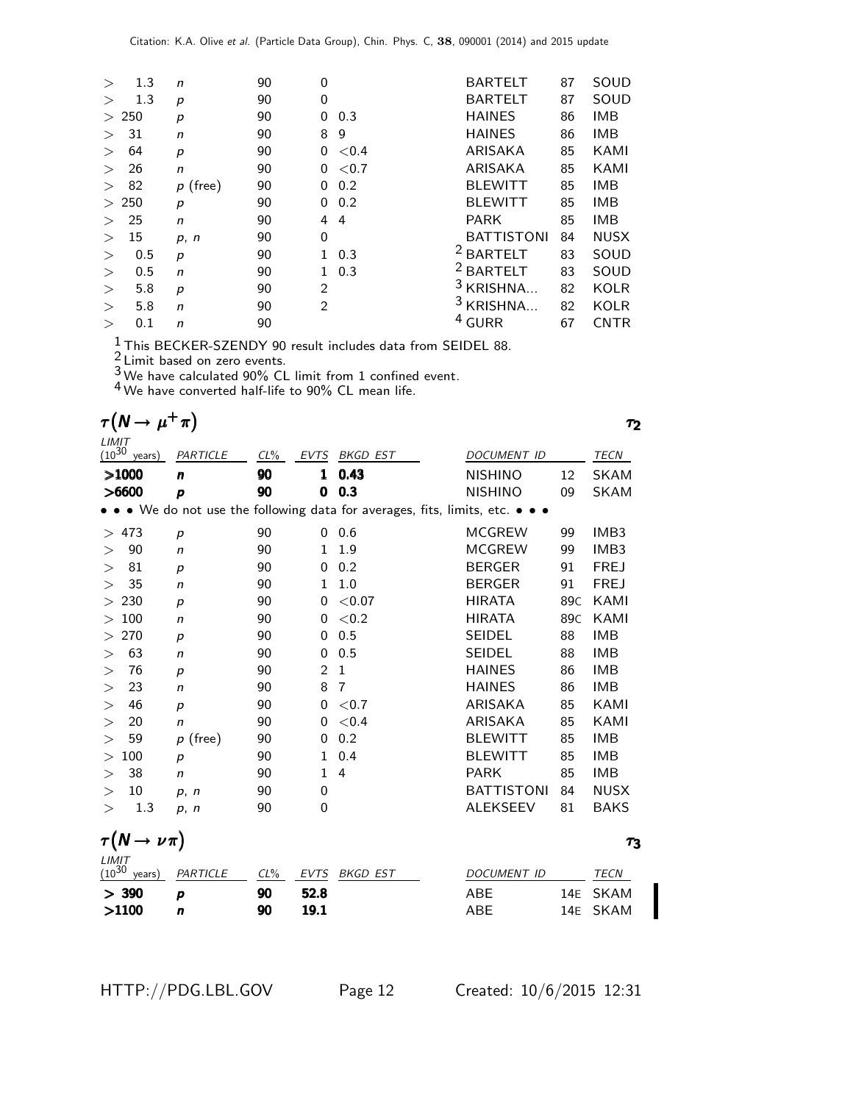| $\geq$ | 1.3   | $\mathsf{n}$ | 90 | 0              |          | <b>BARTELT</b>    | 87 | SOUD        |
|--------|-------|--------------|----|----------------|----------|-------------------|----|-------------|
| $\geq$ | 1.3   | р            | 90 | 0              |          | <b>BARTELT</b>    | 87 | SOUD        |
| $\geq$ | 250   | р            | 90 | 0              | 0.3      | <b>HAINES</b>     | 86 | <b>IMB</b>  |
| $\geq$ | 31    | n            | 90 | 8              | 9        | <b>HAINES</b>     | 86 | <b>IMB</b>  |
| $\geq$ | 64    | p            | 90 | 0              | < 0.4    | ARISAKA           | 85 | KAMI        |
| >      | 26    | n            | 90 | 0              | ${<}0.7$ | ARISAKA           | 85 | KAMI        |
| >      | 82    | $p$ (free)   | 90 | 0              | 0.2      | <b>BLEWITT</b>    | 85 | <b>IMB</b>  |
|        | > 250 | р            | 90 | 0              | 0.2      | <b>BLEWITT</b>    | 85 | <b>IMB</b>  |
| >      | 25    | n            | 90 | 4              | 4        | <b>PARK</b>       | 85 | <b>IMB</b>  |
| $\geq$ | 15    | p, n         | 90 | $\Omega$       |          | <b>BATTISTONI</b> | 84 | <b>NUSX</b> |
| $\geq$ | 0.5   | р            | 90 | 1              | 0.3      | <b>BARTELT</b>    | 83 | SOUD        |
| >      | 0.5   | n            | 90 | 1.             | 0.3      | <b>BARTELT</b>    | 83 | SOUD        |
| >      | 5.8   | p            | 90 | $\overline{2}$ |          | $3$ KRISHNA       | 82 | KOLR        |
| >      | 5.8   | n            | 90 | $\mathcal{P}$  |          | <b>KRISHNA</b>    | 82 | KOLR        |
| >      | 0.1   | n            | 90 |                |          | <b>GURR</b>       | 67 | <b>CNTR</b> |
|        |       |              |    |                |          |                   |    |             |

 $\frac{1}{2}$ This BECKER-SZENDY 90 result includes data from SEIDEL 88.

 $\frac{2}{3}$  Limit based on zero events.

 $3$  We have calculated 90% CL limit from 1 confined event.

4 We have converted half-life to 90% CL mean life.

| $\tau(N \to \mu^+ \pi)$ | アク |
|-------------------------|----|
|                         |    |

| LIMIT      |                                                                                                                       |                  |                       |               |                 |                    |                 |             |  |  |  |
|------------|-----------------------------------------------------------------------------------------------------------------------|------------------|-----------------------|---------------|-----------------|--------------------|-----------------|-------------|--|--|--|
| $(10^{30}$ | years)                                                                                                                | PARTICLE         | $CL\%$<br><b>EVTS</b> |               | <b>BKGD EST</b> | <b>DOCUMENT ID</b> |                 | TECN        |  |  |  |
|            | >1000                                                                                                                 | n                | 90                    | 1             | 0.43            | <b>NISHINO</b>     | 12              | <b>SKAM</b> |  |  |  |
|            | >6600                                                                                                                 | p                | 90                    | 0             | 0.3             | <b>NISHINO</b>     | 09              | SKAM        |  |  |  |
|            | $\bullet \bullet \bullet$ We do not use the following data for averages, fits, limits, etc. $\bullet \bullet \bullet$ |                  |                       |               |                 |                    |                 |             |  |  |  |
| $\rm{>}$   | 473                                                                                                                   | $\boldsymbol{p}$ | 90                    | 0             | 0.6             | <b>MCGREW</b>      | 99              | IMB3        |  |  |  |
| $\rm{>}$   | 90                                                                                                                    | n                | 90                    | 1             | 1.9             | <b>MCGREW</b>      | 99              | IMB3        |  |  |  |
| $\gt$      | 81                                                                                                                    | $\boldsymbol{p}$ | 90                    | 0             | 0.2             | <b>BERGER</b>      | 91              | <b>FREJ</b> |  |  |  |
| $\rm{>}$   | 35                                                                                                                    | $\mathsf{n}$     | 90                    | 1.            | 1.0             | <b>BERGER</b>      | 91              | <b>FREJ</b> |  |  |  |
| $\geq$     | 230                                                                                                                   | $\boldsymbol{p}$ | 90                    | 0             | < 0.07          | <b>HIRATA</b>      | 89C             | KAMI        |  |  |  |
| $\rm{>}$   | 100                                                                                                                   | $\mathsf{n}$     | 90                    | 0             | ${<}0.2$        | <b>HIRATA</b>      | 89 <sub>C</sub> | KAMI        |  |  |  |
| $\gt$      | 270                                                                                                                   | $\boldsymbol{p}$ | 90                    | 0             | 0.5             | <b>SEIDEL</b>      | 88              | <b>IMB</b>  |  |  |  |
| $\rm{>}$   | 63                                                                                                                    | $\mathsf{n}$     | 90                    | 0             | 0.5             | <b>SEIDEL</b>      | 88              | <b>IMB</b>  |  |  |  |
| $\rm{>}$   | 76                                                                                                                    | $\boldsymbol{p}$ | 90                    | $\mathcal{P}$ | $\mathbf{1}$    | <b>HAINES</b>      | 86              | <b>IMB</b>  |  |  |  |
| $\rm{>}$   | 23                                                                                                                    | $\mathsf{n}$     | 90                    | 8             | 7               | <b>HAINES</b>      | 86              | IMB         |  |  |  |
| $\geq$     | 46                                                                                                                    | $\boldsymbol{p}$ | 90                    | 0             | ${<}0.7$        | ARISAKA            | 85              | KAMI        |  |  |  |
| $\geq$     | 20                                                                                                                    | $\mathsf{n}$     | 90                    | 0             | < 0.4           | ARISAKA            | 85              | KAMI        |  |  |  |
| $\rm{>}$   | 59                                                                                                                    | $p$ (free)       | 90                    | 0             | 0.2             | <b>BLEWITT</b>     | 85              | <b>IMB</b>  |  |  |  |
| $\rm{>}$   | 100                                                                                                                   | $\boldsymbol{p}$ | 90                    | 1             | 0.4             | <b>BLEWITT</b>     | 85              | <b>IMB</b>  |  |  |  |
| $\rm{>}$   | 38                                                                                                                    | n                | 90                    | 1             | 4               | <b>PARK</b>        | 85              | IMB         |  |  |  |
| $\rm{>}$   | 10                                                                                                                    | p, n             | 90                    | 0             |                 | <b>BATTISTONI</b>  | 84              | <b>NUSX</b> |  |  |  |
| $\rm{>}$   | 1.3                                                                                                                   | p, n             | 90                    | 0             |                 | <b>ALEKSEEV</b>    | 81              | <b>BAKS</b> |  |  |  |

| $\tau(N \to \nu \pi)$ |  | $\tau_3$ |
|-----------------------|--|----------|
|-----------------------|--|----------|

| LIMIT |   |    | (10 <sup>30</sup> years) PARTICLE CL% EVTS BKGD EST | DOCUMENT ID | TECN    |
|-------|---|----|-----------------------------------------------------|-------------|---------|
| > 390 | D | 90 | 52.8                                                | ABE         | 14E SKA |
| >1100 |   | 90 | 19.1                                                | ARF         | 14E SKA |

HTTP://PDG.LBL.GOV Page 12 Created: 10/6/2015 12:31

τ3

14E SKAM 14E SKAM

τ2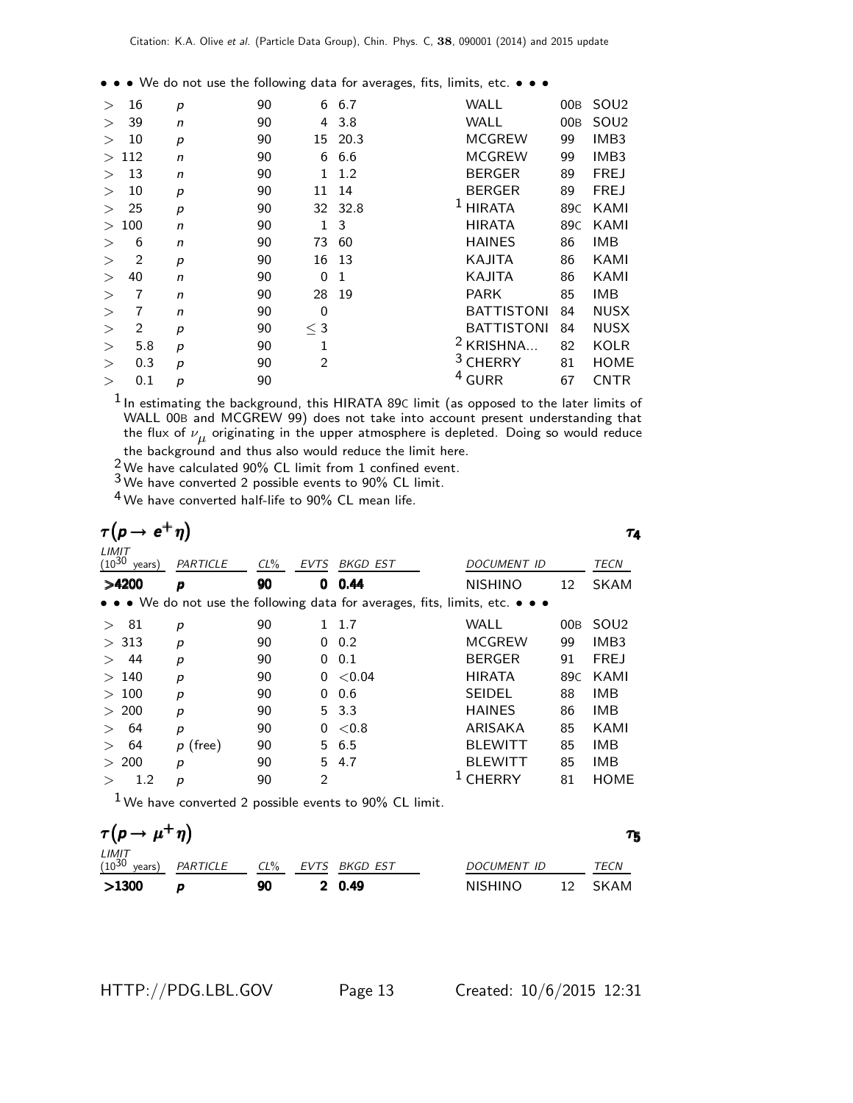• • • We do not use the following data for averages, fits, limits, etc. • • •

| $\geq$ | 16             | p | 90 | 6              | 6.7     | SOU <sub>2</sub><br>WALL<br>00 <sub>B</sub> |                  |
|--------|----------------|---|----|----------------|---------|---------------------------------------------|------------------|
| $\geq$ | 39             | n | 90 | 4              | 3.8     | <b>WALL</b><br>00 <sub>B</sub>              | SOU <sub>2</sub> |
| $\geq$ | 10             | p | 90 |                | 15 20.3 | <b>MCGREW</b><br>IMB <sub>3</sub><br>99     |                  |
| $\geq$ | 112            | n | 90 | 6              | 6.6     | <b>MCGREW</b><br>IMB <sub>3</sub><br>99     |                  |
| $\geq$ | 13             | n | 90 | 1              | 1.2     | <b>BERGER</b><br><b>FREJ</b><br>89          |                  |
| >      | 10             | p | 90 | 11             | 14      | <b>BERGER</b><br><b>FREJ</b><br>89          |                  |
| >      | 25             | p | 90 |                | 32 32.8 | <b>HIRATA</b><br>89 <sub>C</sub>            | KAMI             |
| $\geq$ | 100            | n | 90 | 1              | 3       | <b>HIRATA</b><br>89 <sub>C</sub>            | KAMI             |
| >      | 6              | n | 90 | 73             | 60      | <b>HAINES</b><br><b>IMB</b><br>86           |                  |
| >      | $\overline{2}$ | p | 90 | 16             | -13     | KAJITA<br>86                                | KAMI             |
| >      | 40             | n | 90 | 0              | 1       | KAJITA<br>86                                | KAMI             |
| $\geq$ | 7              | n | 90 | 28             | 19      | <b>PARK</b><br><b>IMB</b><br>85             |                  |
| >      |                | n | 90 | 0              |         | <b>BATTISTONI</b><br>84                     | <b>NUSX</b>      |
| >      | 2              | p | 90 | $\leq 3$       |         | <b>BATTISTONI</b><br>84                     | <b>NUSX</b>      |
| >      | 5.8            | p | 90 | 1              |         | KRISHNA<br>82                               | <b>KOLR</b>      |
| >      | 0.3            | p | 90 | $\overline{2}$ |         | <b>CHERRY</b><br>81                         | <b>HOME</b>      |
| $\geq$ | 0.1            | p | 90 |                |         | $4$ GURR<br>67                              | <b>CNTR</b>      |
|        |                |   |    |                |         |                                             |                  |

 $1$ In estimating the background, this HIRATA 89C limit (as opposed to the later limits of WALL 00B and MCGREW 99) does not take into account present understanding that the flux of  $\nu_{\mu}$  originating in the upper atmosphere is depleted. Doing so would reduce the background and thus also would reduce the limit here.

 $\frac{2}{3}$  We have calculated 90% CL limit from 1 confined event.

3 We have converted 2 possible events to 90% CL limit.

4 We have converted half-life to 90% CL mean life.

|                               |                  |        |             |                                                                                                                       |                |     | ТΔ.              |
|-------------------------------|------------------|--------|-------------|-----------------------------------------------------------------------------------------------------------------------|----------------|-----|------------------|
| LIMIT<br>$(10^{30}$<br>years) | PARTICLE         | $CL\%$ | <b>EVTS</b> | BKGD EST                                                                                                              | DOCUMENT ID    |     | TECN             |
| >4200                         | p                | 90     | 0           | 0.44                                                                                                                  | <b>NISHINO</b> | 12  | <b>SKAM</b>      |
|                               |                  |        |             | $\bullet \bullet \bullet$ We do not use the following data for averages, fits, limits, etc. $\bullet \bullet \bullet$ |                |     |                  |
| 81<br>$\rm{>}$                | $\boldsymbol{p}$ | 90     |             | 1.7                                                                                                                   | WALL           | 00B | SOU <sub>2</sub> |
| 313<br>$\geq$                 | $\boldsymbol{p}$ | 90     | 0           | 0.2                                                                                                                   | <b>MCGREW</b>  | 99  | IMB <sub>3</sub> |
| 44<br>$\geq$                  | p                | 90     | 0           | 0.1                                                                                                                   | <b>BERGER</b>  | 91  | <b>FREJ</b>      |
| 140<br>$\geq$                 | p                | 90     | 0           | ${<}0.04$                                                                                                             | <b>HIRATA</b>  | 89C | KAMI             |
| 100<br>$\geq$                 | $\boldsymbol{p}$ | 90     | 0           | 0.6                                                                                                                   | <b>SEIDEL</b>  | 88  | <b>IMB</b>       |
| 200<br>$\geq$                 | p                | 90     | 5.          | 3.3                                                                                                                   | <b>HAINES</b>  | 86  | <b>IMB</b>       |
| 64<br>$\rm{>}$                | p                | 90     | 0           | < 0.8                                                                                                                 | ARISAKA        | 85  | KAMI             |
| 64<br>$\rm{>}$                | $p$ (free)       | 90     |             | 5 6.5                                                                                                                 | <b>BLEWITT</b> | 85  | <b>IMB</b>       |
| 200<br>$\geq$                 | p                | 90     | 5.          | 4.7                                                                                                                   | <b>BLEWITT</b> | 85  | <b>IMB</b>       |
| 1.2                           | р                | 90     | 2           |                                                                                                                       | <b>CHERRY</b>  | 81  | <b>HOME</b>      |
|                               |                  |        |             |                                                                                                                       |                |     |                  |

 $1$  We have converted 2 possible events to 90% CL limit.

| $\tau(p \to \mu^+ \eta)$ |                 |        |  |               |                |                 |        |  |  |
|--------------------------|-----------------|--------|--|---------------|----------------|-----------------|--------|--|--|
| LIMIT<br>$(10^{30}$      | years) PARTICLE | $CL\%$ |  | EVTS BKGD EST | DOCUMENT ID    |                 | TECN   |  |  |
| >1300                    |                 | 90     |  | 2 0.49        | <b>NISHINO</b> | 12 <sup>°</sup> | – SKAM |  |  |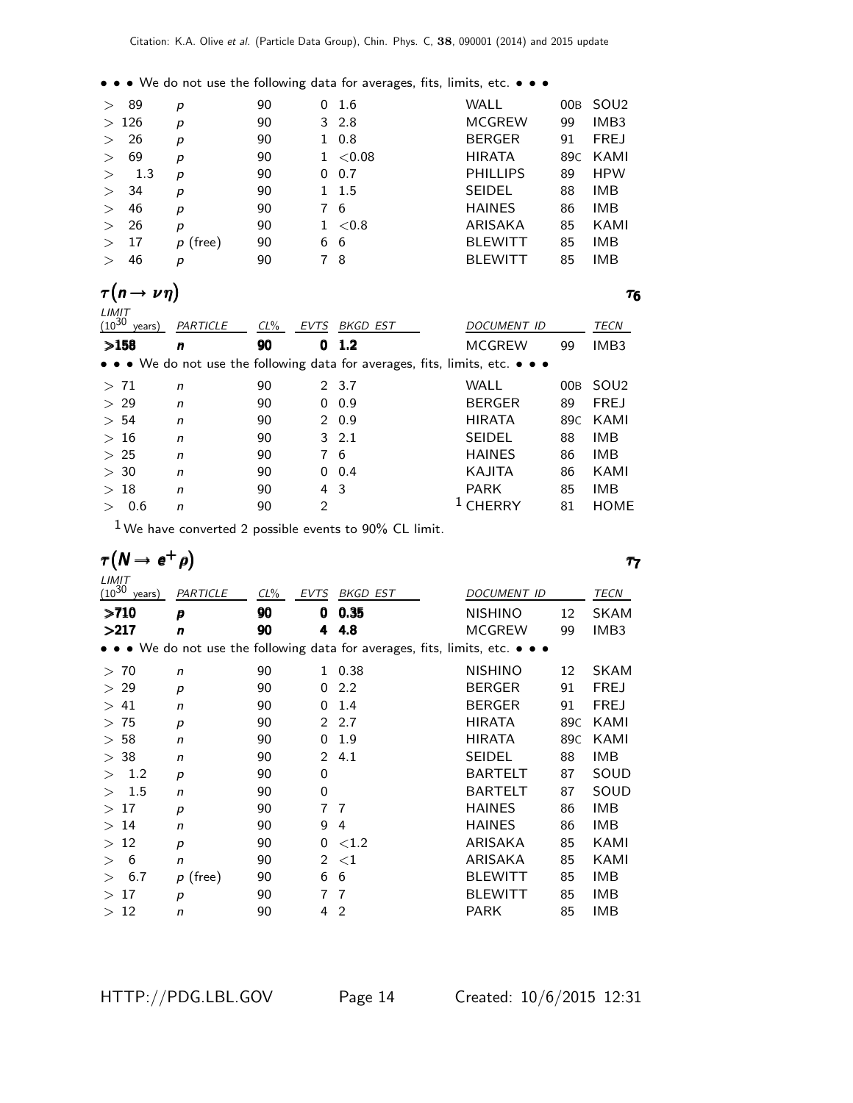• • • We do not use the following data for averages, fits, limits, etc. • • •

| $\geq$ | 89   | р          | 90 | $0\quad 1.6$ | WALL            | 00B | SOU2             |
|--------|------|------------|----|--------------|-----------------|-----|------------------|
|        | >126 | р          | 90 | $3\;\;2.8$   | <b>MCGREW</b>   | 99  | IMB <sub>3</sub> |
| $\geq$ | 26   | р          | 90 | $1 \t0.8$    | <b>BERGER</b>   | 91  | <b>FREJ</b>      |
| $\geq$ | 69   | р          | 90 | $1 \le 0.08$ | <b>HIRATA</b>   | 89C | KAMI             |
| $\geq$ | 1.3  | р          | 90 | $0\quad 0.7$ | <b>PHILLIPS</b> | 89  | <b>HPW</b>       |
| $\geq$ | 34   | p          | 90 | 1 1.5        | <b>SEIDEL</b>   | 88  | IMB              |
| $\geq$ | 46   | p          | 90 | 76           | <b>HAINES</b>   | 86  | <b>IMB</b>       |
| $\geq$ | 26   | р          | 90 | $1 \le 0.8$  | ARISAKA         | 85  | KAMI             |
| $\geq$ | 17   | $p$ (free) | 90 | 66           | <b>BLEWITT</b>  | 85  | <b>IMB</b>       |
|        | 46   | р          | 90 | -8           | <b>BLEWITT</b>  | 85  | <b>IMB</b>       |

| $\tau(n \rightarrow$<br>Τ6 |                               |              |                |                |                                                                                                                       |                    |     |                  |  |  |  |
|----------------------------|-------------------------------|--------------|----------------|----------------|-----------------------------------------------------------------------------------------------------------------------|--------------------|-----|------------------|--|--|--|
|                            | LIMIT<br>$(10^{30}$<br>years) | PARTICLE     | $CL\%$<br>EVTS |                | BKGD EST                                                                                                              | <b>DOCUMENT ID</b> |     | <b>TECN</b>      |  |  |  |
|                            | >158                          | n            | 90             | 0              | 1.2                                                                                                                   | <b>MCGREW</b>      | 99  | IMB <sub>3</sub> |  |  |  |
|                            |                               |              |                |                | $\bullet \bullet \bullet$ We do not use the following data for averages, fits, limits, etc. $\bullet \bullet \bullet$ |                    |     |                  |  |  |  |
|                            | > 71                          | n            | 90             |                | 2 3.7                                                                                                                 | WALL               | 00B | SOU <sub>2</sub> |  |  |  |
|                            | > 29                          | n            | 90             | 0              | 0.9                                                                                                                   | <b>BERGER</b>      | 89  | <b>FREJ</b>      |  |  |  |
|                            | > 54                          | $\mathsf{n}$ | 90             |                | 20.9                                                                                                                  | <b>HIRATA</b>      | 89C | KAMI             |  |  |  |
|                            | >16                           | $\mathsf{n}$ | 90             |                | $3 \t2.1$                                                                                                             | <b>SEIDEL</b>      | 88  | <b>IMB</b>       |  |  |  |
|                            | >25                           | $\mathsf{n}$ | 90             | 7              | - 6                                                                                                                   | <b>HAINES</b>      | 86  | <b>IMB</b>       |  |  |  |
|                            | > 30                          | n            | 90             | 0              | 0.4                                                                                                                   | KAJITA             | 86  | KAMI             |  |  |  |
|                            | >18                           | $\mathsf{n}$ | 90             | 4              | -3                                                                                                                    | <b>PARK</b>        | 85  | <b>IMB</b>       |  |  |  |
|                            | 0.6                           | n            | 90             | $\overline{2}$ |                                                                                                                       | CHERRY             | 81  | <b>HOME</b>      |  |  |  |
|                            |                               |              |                |                |                                                                                                                       |                    |     |                  |  |  |  |

 $1$  We have converted 2 possible events to 90% CL limit.

|                     | $\tau(N \rightarrow e^+$ |                  |        |               |                                                                                                                       |                    |                 |                  |
|---------------------|--------------------------|------------------|--------|---------------|-----------------------------------------------------------------------------------------------------------------------|--------------------|-----------------|------------------|
| LIMIT<br>$(10^{30}$ | years)                   | PARTICLE         | $CL\%$ | <b>EVTS</b>   | <b>BKGD EST</b>                                                                                                       | <b>DOCUMENT ID</b> |                 | <b>TECN</b>      |
| >710                |                          | p                | 90     | 0             | 0.35                                                                                                                  | <b>NISHINO</b>     | 12              | <b>SKAM</b>      |
| >217                |                          | n                | 90     | 4             | 4.8                                                                                                                   | <b>MCGREW</b>      | 99              | IMB <sub>3</sub> |
|                     |                          |                  |        |               | $\bullet \bullet \bullet$ We do not use the following data for averages, fits, limits, etc. $\bullet \bullet \bullet$ |                    |                 |                  |
| > 70                |                          | n                | 90     | 1             | 0.38                                                                                                                  | <b>NISHINO</b>     | 12              | <b>SKAM</b>      |
| > 29                |                          | $\boldsymbol{p}$ | 90     | 0             | 2.2                                                                                                                   | <b>BERGER</b>      | 91              | <b>FREJ</b>      |
| $\gt$               | 41                       | $\mathsf{n}$     | 90     | 0             | 1.4                                                                                                                   | <b>BERGER</b>      | 91              | <b>FREJ</b>      |
| $\geq$              | 75                       | p                | 90     | $\mathcal{P}$ | 2.7                                                                                                                   | <b>HIRATA</b>      | 89C             | KAMI             |
| $\geq$              | 58                       | n                | 90     | 0             | 1.9                                                                                                                   | <b>HIRATA</b>      | 89 <sub>C</sub> | KAMI             |
| > 38                |                          | n                | 90     | $\mathcal{P}$ | 4.1                                                                                                                   | <b>SEIDEL</b>      | 88              | IMB              |
| $\rm{>}$            | 1.2                      | $\boldsymbol{p}$ | 90     | 0             |                                                                                                                       | <b>BARTELT</b>     | 87              | SOUD             |
| $\gt$               | 1.5                      | n                | 90     | 0             |                                                                                                                       | <b>BARTELT</b>     | 87              | SOUD             |
| >17                 |                          | p                | 90     | 7             | 7                                                                                                                     | <b>HAINES</b>      | 86              | <b>IMB</b>       |
| $\gt$               | 14                       | n                | 90     | 9             | 4                                                                                                                     | <b>HAINES</b>      | 86              | <b>IMB</b>       |
| $\geq$              | 12                       | p                | 90     | 0             | ${<}1.2$                                                                                                              | ARISAKA            | 85              | KAMI             |
| $\rm{>}$            | 6                        | $\mathsf{n}$     | 90     | 2             | ${<}1$                                                                                                                | ARISAKA            | 85              | KAMI             |
| $\gt$               | 6.7                      | $p$ (free)       | 90     | 6             | 6                                                                                                                     | <b>BLEWITT</b>     | 85              | <b>IMB</b>       |
| $\gt$               | 17                       | $\boldsymbol{p}$ | 90     | 7             | 7                                                                                                                     | <b>BLEWITT</b>     | 85              | IMB              |
| $\gt$               | 12                       | $\mathsf{n}$     | 90     | 4             | $\overline{2}$                                                                                                        | <b>PARK</b>        | 85              | IMB              |

HTTP://PDG.LBL.GOV Page 14 Created: 10/6/2015 12:31

τ6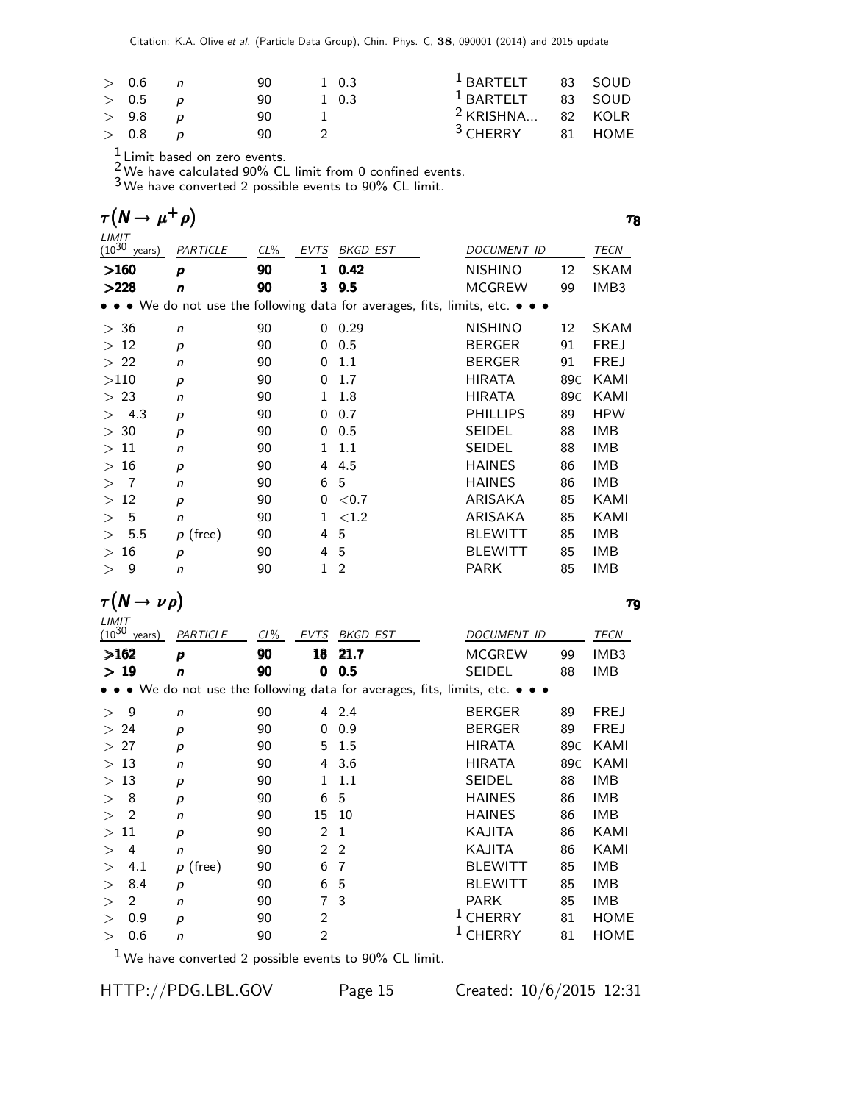Citation: K.A. Olive et al. (Particle Data Group), Chin. Phys. C, 38, 090001 (2014) and 2015 update

| > 0.6 | $\overline{a}$ | 90 | 1 0.3 | $1$ BARTELT 83 SOUD          |         |
|-------|----------------|----|-------|------------------------------|---------|
| > 0.5 |                | 90 | 1 0.3 | <sup>1</sup> BARTELT 83 SOUD |         |
| > 9.8 |                | 90 |       | <sup>2</sup> KRISHNA 82 KOLR |         |
| > 0.8 |                | 90 |       | $3$ CHERRY                   | 81 HOME |

 $\frac{1}{2}$  Limit based on zero events.

 $2$  We have calculated 90% CL limit from 0 confined events.

3 We have converted 2 possible events to 90% CL limit.

| $\tau(N \rightarrow$          |                  |        |      |                                                                               |                    |                 | 78          |
|-------------------------------|------------------|--------|------|-------------------------------------------------------------------------------|--------------------|-----------------|-------------|
| LIMIT<br>$(10^{30}$<br>years) | PARTICLE         | $CL\%$ | EVTS | <b>BKGD EST</b>                                                               | <b>DOCUMENT ID</b> |                 | <b>TECN</b> |
| >160                          | p                | 90     | 1    | 0.42                                                                          | <b>NISHINO</b>     | 12              | <b>SKAM</b> |
| >228                          | n                | 90     | 3    | 9.5                                                                           | <b>MCGREW</b>      | 99              | IMB3        |
|                               |                  |        |      | • • • We do not use the following data for averages, fits, limits, etc. • • • |                    |                 |             |
| > 36                          | $\mathsf{n}$     | 90     | 0    | 0.29                                                                          | <b>NISHINO</b>     | 12              | <b>SKAM</b> |
| >12                           | p                | 90     | 0    | 0.5                                                                           | <b>BERGER</b>      | 91              | <b>FREJ</b> |
| > 22                          | n                | 90     | 0    | 1.1                                                                           | <b>BERGER</b>      | 91              | <b>FREJ</b> |
| >110                          | p                | 90     | 0    | 1.7                                                                           | <b>HIRATA</b>      | 89C             | KAMI        |
| >23                           | n                | 90     | 1    | 1.8                                                                           | <b>HIRATA</b>      | 89 <sub>C</sub> | KAMI        |
| 4.3                           | p                | 90     | 0    | 0.7                                                                           | <b>PHILLIPS</b>    | 89              | <b>HPW</b>  |
| > 30                          | $\boldsymbol{p}$ | 90     | 0    | 0.5                                                                           | <b>SEIDEL</b>      | 88              | <b>IMB</b>  |
| 11<br>$\geq$                  | n                | 90     | 1.   | 1.1                                                                           | <b>SEIDEL</b>      | 88              | <b>IMB</b>  |
| 16<br>$\geq$                  | $\boldsymbol{p}$ | 90     | 4    | 4.5                                                                           | <b>HAINES</b>      | 86              | <b>IMB</b>  |
| $\overline{7}$                | n                | 90     | 6    | 5                                                                             | <b>HAINES</b>      | 86              | <b>IMB</b>  |
| 12<br>$\geq$                  | $\boldsymbol{p}$ | 90     | 0    | ${<}0.7$                                                                      | ARISAKA            | 85              | KAMI        |
| 5                             | n                | 90     | 1    | ${<}1.2$                                                                      | ARISAKA            | 85              | KAMI        |
| 5.5                           | $p$ (free)       | 90     | 4    | 5                                                                             | <b>BLEWITT</b>     | 85              | <b>IMB</b>  |
| 16<br>>                       | $\boldsymbol{p}$ | 90     | 4    | 5                                                                             | <b>BLEWITT</b>     | 85              | <b>IMB</b>  |
| 9<br>>                        | n                | 90     | 1    | $\overline{2}$                                                                | <b>PARK</b>        | 85              | <b>IMB</b>  |

 $\tau(N \to \nu \, \rho)$   $\tau_{9}$ 

 $\tau_9$ 

| $LIMIT$<br>$(10^{30}$ | years) | PARTICLE         | $CL\%$ | <b>EVTS</b>    | <b>BKGD EST</b> | <b>DOCUMENT ID</b>                                                        |                 | TECN        |
|-----------------------|--------|------------------|--------|----------------|-----------------|---------------------------------------------------------------------------|-----------------|-------------|
| >162                  |        | p                | 90     | 18             | 21.7            | <b>MCGREW</b>                                                             | 99              | IMB3        |
| >19                   |        | n                | 90     | 0              | 0.5             | <b>SEIDEL</b>                                                             | 88              | IMB         |
|                       |        |                  |        |                |                 | • We do not use the following data for averages, fits, limits, etc. • • • |                 |             |
| $\rm{>}$              | 9      | n                | 90     |                | 4 2.4           | <b>BERGER</b>                                                             | 89              | <b>FREJ</b> |
| >24                   |        | $\boldsymbol{p}$ | 90     | 0              | 0.9             | <b>BERGER</b>                                                             | 89              | <b>FREJ</b> |
| >27                   |        | $\boldsymbol{p}$ | 90     | 5              | 1.5             | <b>HIRATA</b>                                                             | 89C             | KAMI        |
| >13                   |        | n                | 90     | 4              | 3.6             | <b>HIRATA</b>                                                             | 89 <sub>C</sub> | KAMI        |
| $\geq$                | 13     | $\boldsymbol{p}$ | 90     | 1              | 1.1             | <b>SEIDEL</b>                                                             | 88              | IMB         |
| $\rm{>}$              | 8      | $\boldsymbol{p}$ | 90     | 6              | 5               | <b>HAINES</b>                                                             | 86              | IMB         |
| $\rm{>}$              | 2      | n                | 90     | 15             | 10              | <b>HAINES</b>                                                             | 86              | IMB         |
| $\rm{>}$              | 11     | $\boldsymbol{p}$ | 90     | 2              | 1               | KAJITA                                                                    | 86              | KAMI        |
|                       | 4      | $\mathsf{n}$     | 90     | 2              | 2               | KAJITA                                                                    | 86              | KAMI        |
| $\rm{>}$              | 4.1    | $p$ (free)       | 90     | 6              | 7               | <b>BLEWITT</b>                                                            | 85              | IMB         |
| $\rm{>}$              | 8.4    | $\boldsymbol{p}$ | 90     | 6              | 5               | <b>BLEWITT</b>                                                            | 85              | IMB         |
| $\rm{>}$              | 2      | n                | 90     | 7              | 3               | <b>PARK</b>                                                               | 85              | <b>IMB</b>  |
|                       | 0.9    | p                | 90     | $\overline{2}$ |                 | <b>CHERRY</b>                                                             | 81              | <b>HOME</b> |
|                       | 0.6    | n                | 90     | $\overline{2}$ |                 | CHERRY                                                                    | 81              | <b>HOME</b> |
|                       |        |                  |        |                |                 |                                                                           |                 |             |

 $1$  We have converted 2 possible events to 90% CL limit.

HTTP://PDG.LBL.GOV Page 15 Created: 10/6/2015 12:31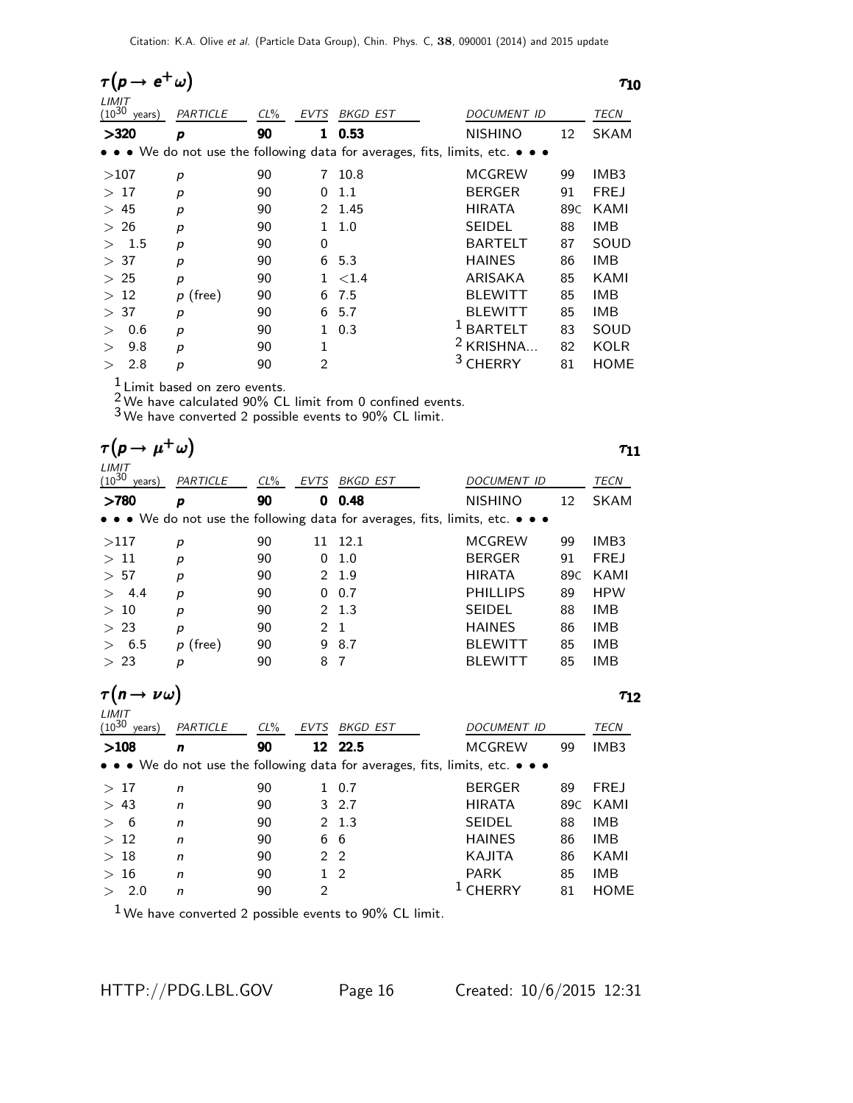| $e^+$<br>$\tau(p \rightarrow$ |                  |        |                 |                 |                                                                               | $\tau_{10}$      |
|-------------------------------|------------------|--------|-----------------|-----------------|-------------------------------------------------------------------------------|------------------|
| LIMIT<br>$(10^{30}$<br>years) | PARTICLE         | $CL\%$ | EVTS            | <b>BKGD EST</b> | <b>DOCUMENT ID</b>                                                            | <b>TECN</b>      |
| >320                          | p                | 90     | 1               | 0.53            | <b>NISHINO</b><br>12                                                          | <b>SKAM</b>      |
|                               |                  |        |                 |                 | • • • We do not use the following data for averages, fits, limits, etc. • • • |                  |
| >107                          | p                | 90     | 7               | 10.8            | MCGREW<br>99                                                                  | IMB <sub>3</sub> |
| >17                           | p                | 90     | 0               | 1.1             | <b>BERGER</b><br>91                                                           | <b>FREJ</b>      |
| >45                           | p                | 90     | $\mathcal{P}^-$ | 1.45            | <b>HIRATA</b><br>89C                                                          | KAMI             |
| >26                           | p                | 90     | 1.              | 1.0             | <b>SEIDEL</b><br>88                                                           | <b>IMB</b>       |
| 1.5                           | p                | 90     | $\Omega$        |                 | <b>BARTELT</b><br>87                                                          | SOUD             |
| 37<br>$\geq$                  | p                | 90     | 6               | 5.3             | <b>HAINES</b><br>86                                                           | IMB              |
| 25<br>$\geq$                  | p                | 90     |                 | ${<}1.4$        | ARISAKA<br>85                                                                 | KAMI             |
| >12                           | $p$ (free)       | 90     | 6               | 7.5             | <b>BLEWITT</b><br>85                                                          | IMB              |
| >37                           | p                | 90     | 6               | 5.7             | <b>BLEWITT</b><br>85                                                          | IMB              |
| 0.6                           | $\boldsymbol{p}$ | 90     | 1               | 0.3             | <b>BARTELT</b><br>83                                                          | SOUD             |
| 9.8<br>$\geq$                 | p                | 90     | 1               |                 | KRISHNA<br>82                                                                 | <b>KOLR</b>      |
| 2.8                           | р                | 90     | $\overline{2}$  |                 | CHERRY<br>81                                                                  | <b>HOME</b>      |

 $\frac{1}{2}$  Limit based on zero events.

 $\frac{2}{3}$  We have calculated 90% CL limit from 0 confined events.

3 We have converted 2 possible events to 90% CL limit.

| $\tau(p \to \mu^+ \omega)$         |                  |        |                |                 |                                                                               | T11         |
|------------------------------------|------------------|--------|----------------|-----------------|-------------------------------------------------------------------------------|-------------|
| LIMIT<br>$(10^{30}$<br>years)      | PARTICLE         | $CL\%$ | <b>EVTS</b>    | BKGD EST        | DOCUMENT ID                                                                   | TECN        |
| >780                               | p                | 90     | 0              | 0.48            | <b>NISHINO</b><br>12                                                          | <b>SKAM</b> |
|                                    |                  |        |                |                 | • • • We do not use the following data for averages, fits, limits, etc. • • • |             |
| >117                               | p                | 90     |                | 11 12.1         | <b>MCGREW</b><br>99                                                           | IMB3        |
| >11                                | p                | 90     | 0              | 1.0             | <b>BERGER</b><br>91                                                           | <b>FREJ</b> |
| > 57                               | р                | 90     | 2              | 1.9             | <b>HIRATA</b><br>89 <sub>C</sub>                                              | KAMI        |
| 4.4                                | p                | 90     | 0              | 0.7             | <b>PHILLIPS</b><br>89                                                         | <b>HPW</b>  |
| >10                                | p                | 90     | 2              | 1.3             | <b>SEIDEL</b><br>88                                                           | <b>IMB</b>  |
| >23                                | $\boldsymbol{p}$ | 90     | 2              | $\mathbf{1}$    | <b>HAINES</b><br>86                                                           | <b>IMB</b>  |
| 6.5                                | $p$ (free)       | 90     | 9              | 8.7             | <b>BLEWITT</b><br>85                                                          | <b>IMB</b>  |
| > 23                               | $\boldsymbol{p}$ | 90     | 8              | 7               | <b>BLEWITT</b><br>85                                                          | <b>IMB</b>  |
| $\tau(n\to\nu\omega)$              |                  |        |                |                 |                                                                               | $\tau_{12}$ |
| LIMIT<br>$(10^{30} \text{ years})$ | PARTICLE         | $CL\%$ | <b>EVTS</b>    | <b>BKGD EST</b> | DOCUMENT ID                                                                   | <b>TECN</b> |
| >108                               | $\mathbf n$      | 90     | 12             | 22.5            | <b>MCGREW</b><br>99                                                           | IMB3        |
|                                    |                  |        |                |                 | • • • We do not use the following data for averages, fits, limits, etc. • • • |             |
| >17                                | n                | 90     | 1              | 0.7             | <b>BERGER</b><br>89                                                           | <b>FREJ</b> |
| > 43                               | $\mathsf{n}$     | 90     | 3              | 2.7             | <b>HIRATA</b><br>89 <sub>C</sub>                                              | KAMI        |
| 6<br>$\geq$                        | n                | 90     | 2              | 1.3             | <b>SEIDEL</b><br>88                                                           | <b>IMB</b>  |
| 12<br>$\geq$                       | n                | 90     | 6              | 6               | <b>HAINES</b><br>86                                                           | <b>IMB</b>  |
| >18                                | $\mathsf{n}$     | 90     | $\overline{2}$ | 2               | KAJITA<br>86                                                                  | KAMI        |
| >16                                | n                | 90     | $\mathbf{1}$   | 2               | <b>PARK</b><br>85                                                             | <b>IMB</b>  |
| > 2.0                              | n                | 90     | $\overline{c}$ |                 | 1<br><b>CHERRY</b><br>81                                                      | <b>HOME</b> |

 $1$  We have converted 2 possible events to 90% CL limit.

HTTP://PDG.LBL.GOV Page 16 Created: 10/6/2015 12:31

1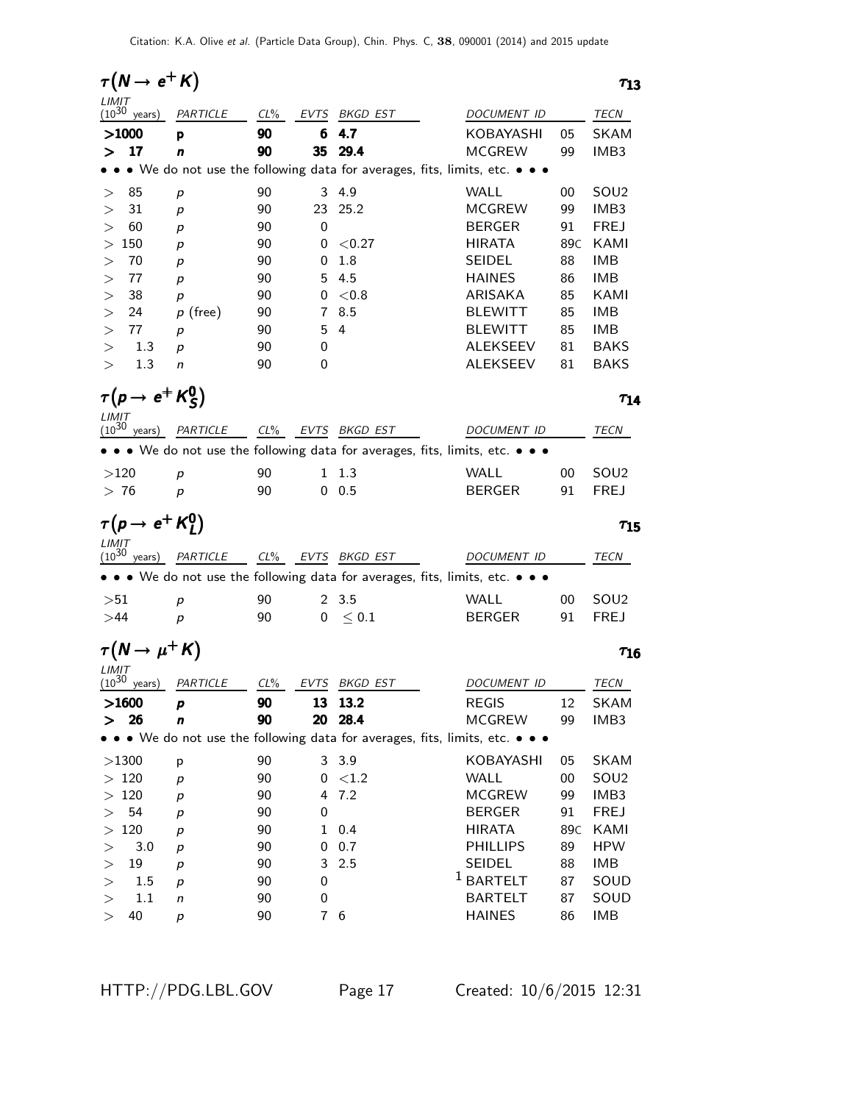| $\tau(N \rightarrow e^+ K)$        |                            |          |              |                       |                                                                                                                       |                          | $\tau_{13}$ |
|------------------------------------|----------------------------|----------|--------------|-----------------------|-----------------------------------------------------------------------------------------------------------------------|--------------------------|-------------|
| LIMIT<br>$(10^{30}$<br>years)      | PARTICLE                   | $CL\%$   | EVTS         | BKGD EST              | DOCUMENT ID                                                                                                           | TECN                     |             |
| >1000                              | p                          | 90       | 6            | 4.7                   | KOBAYASHI                                                                                                             | <b>SKAM</b><br>05        |             |
| 17<br>⋗                            | n                          | 90       | 35           | 29.4                  | <b>MCGREW</b>                                                                                                         | 99<br>IMB3               |             |
|                                    |                            |          |              |                       | • We do not use the following data for averages, fits, limits, etc. • • •                                             |                          |             |
| 85<br>>                            | p                          | 90       | 3            | 4.9                   | WALL                                                                                                                  | SOU <sub>2</sub><br>00   |             |
| 31<br>>                            | p                          | 90       | 23           | 25.2                  | <b>MCGREW</b>                                                                                                         | IMB3<br>99               |             |
| 60<br>>                            | p                          | 90       | 0            |                       | <b>BERGER</b>                                                                                                         | <b>FREJ</b><br>91        |             |
| 150<br>>                           | p                          | 90       | 0            | < 0.27                | <b>HIRATA</b>                                                                                                         | KAMI<br>89C              |             |
| 70<br>>                            | p                          | 90       | 0            | 1.8                   | <b>SEIDEL</b>                                                                                                         | <b>IMB</b><br>88         |             |
| 77<br>>                            | p                          | 90       | 5.           | 4.5                   | <b>HAINES</b>                                                                                                         | <b>IMB</b><br>86         |             |
| 38<br>>                            | p                          | 90       | 0            | $<$ 0.8               | ARISAKA                                                                                                               | KAMI<br>85               |             |
| 24<br>>                            | $p$ (free)                 | 90       | 7            | 8.5                   | <b>BLEWITT</b>                                                                                                        | <b>IMB</b><br>85         |             |
| 77<br>>                            | p                          | 90       | 5            | 4                     | <b>BLEWITT</b>                                                                                                        | <b>IMB</b><br>85         |             |
| 1.3<br>>                           | р                          | 90       | 0            |                       | ALEKSEEV                                                                                                              | 81<br><b>BAKS</b>        |             |
| 1.3<br>>                           | n                          | 90       | 0            |                       | ALEKSEEV                                                                                                              | <b>BAKS</b><br>81        |             |
| $\tau(p \to e^+ K^0_S)$            |                            |          |              |                       |                                                                                                                       |                          | $T_{14}$    |
| LIMIT<br>$(10^{30} \text{ years})$ | PARTICLE CL% EVTS BKGD EST |          |              |                       | DOCUMENT ID                                                                                                           | TECN                     |             |
|                                    |                            |          |              |                       | $\bullet \bullet \bullet$ We do not use the following data for averages, fits, limits, etc. $\bullet \bullet \bullet$ |                          |             |
|                                    |                            |          |              |                       |                                                                                                                       |                          |             |
| >120                               | p                          | 90       | 1            | 1.3                   | WALL                                                                                                                  | SOU <sub>2</sub><br>00   |             |
| >76                                | p                          | 90       |              | 0.5                   | <b>BERGER</b>                                                                                                         | 91<br><b>FREJ</b>        |             |
| $\tau(p \to e^+ K_l^0)$            |                            |          |              |                       |                                                                                                                       |                          | $\tau_{15}$ |
| LIMIT<br>$(10^{30}$ years)         | PARTICLE                   | $CL\%$   |              | EVTS BKGD EST         | DOCUMENT ID                                                                                                           | TECN                     |             |
|                                    |                            |          |              |                       | • • • We do not use the following data for averages, fits, limits, etc. • • •                                         |                          |             |
|                                    |                            |          |              |                       |                                                                                                                       |                          |             |
| >51                                | р                          | 90       |              | 2, 3.5                | WALL                                                                                                                  | 00<br>SOU <sub>2</sub>   |             |
| >44                                | p                          | 90       |              | $0 \leq 0.1$          | <b>BERGER</b>                                                                                                         | 91<br><b>FREJ</b>        |             |
| $\tau(N \to \mu^+ K)$              |                            |          |              |                       |                                                                                                                       |                          | $\tau_{16}$ |
| LIMIT<br>$(10^{30}$<br>vears)      | PARTICLE CL%               |          |              | EV <u>TS</u> BKGD EST | DOCUMENT ID                                                                                                           | TECN                     |             |
| >1600                              | p                          | 90       |              | 13 13.2               | <b>REGIS</b>                                                                                                          | <b>SKAM</b><br>12        |             |
| 26<br>ゝ                            | n                          | 90       | 20           | 28.4                  | <b>MCGREW</b>                                                                                                         | IMB3<br>99               |             |
|                                    |                            |          |              |                       | • We do not use the following data for averages, fits, limits, etc. • • •                                             |                          |             |
| >1300                              | p                          | 90       |              | 3 3.9                 | KOBAYASHI                                                                                                             | <b>SKAM</b><br>05        |             |
| $>120$                             | $\boldsymbol{p}$           | 90       | 0            | ${<}1.2$              | <b>WALL</b>                                                                                                           | SOU <sub>2</sub><br>00   |             |
| >120                               | $\boldsymbol{p}$           | 90       | 4            | 7.2                   | <b>MCGREW</b>                                                                                                         | IMB3<br>99               |             |
| 54<br>>                            | $\boldsymbol{p}$           | 90       | 0            |                       | <b>BERGER</b>                                                                                                         | <b>FREJ</b><br>91        |             |
| 120<br>>                           |                            | 90       | $\mathbf{1}$ | 0.4                   | <b>HIRATA</b>                                                                                                         | KAMI<br>89C              |             |
|                                    |                            |          |              |                       |                                                                                                                       |                          |             |
|                                    | $\boldsymbol{p}$           |          |              |                       |                                                                                                                       |                          |             |
| 3.0<br>>                           | p                          | 90       | 0<br>3       | 0.7                   | <b>PHILLIPS</b>                                                                                                       | <b>HPW</b><br>89         |             |
| 19<br>>                            | p                          | 90       | 0            | 2.5                   | SEIDEL                                                                                                                | IMB<br>88                |             |
| 1.5<br>$\,>$<br>1.1<br>>           | p<br>n                     | 90<br>90 | 0            |                       | <sup>1</sup> BARTELT<br><b>BARTELT</b>                                                                                | 87<br>SOUD<br>87<br>SOUD |             |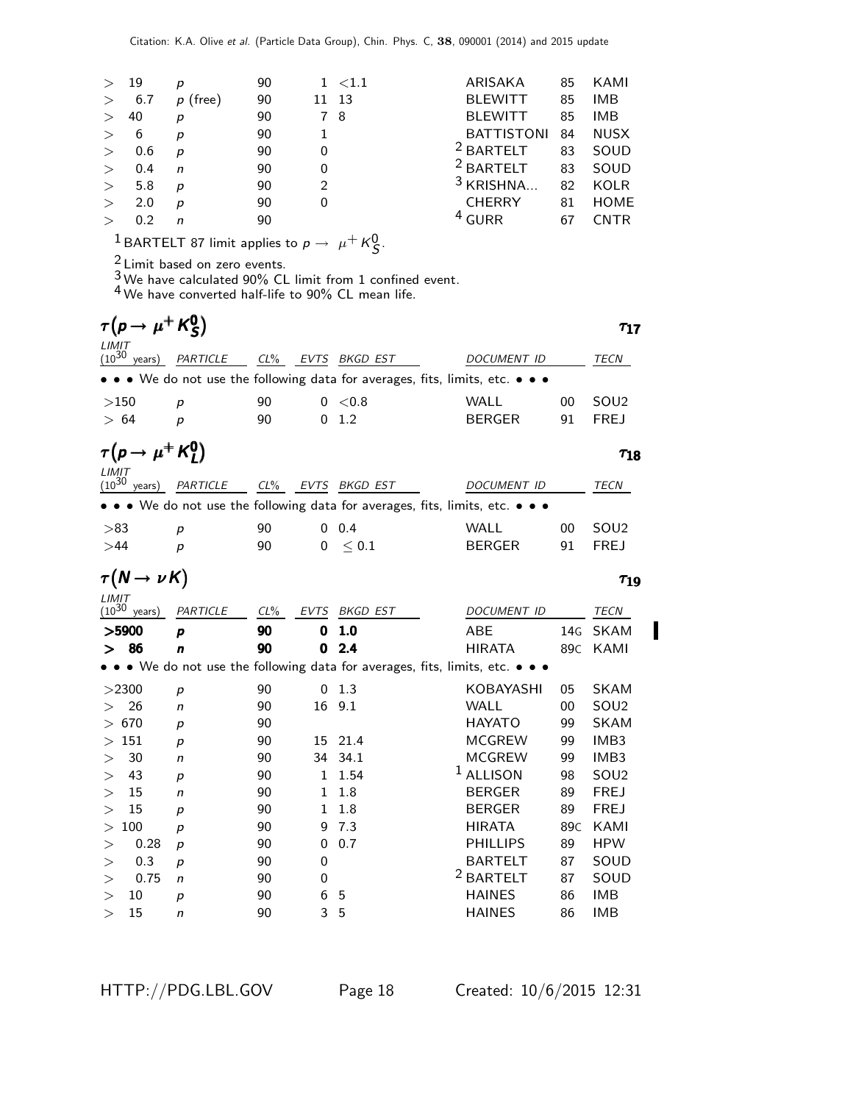| $\geq$ | 19  | р          | 90 | $1 \le 1.1$   | ARISAKA              | 85 | KAMI        |
|--------|-----|------------|----|---------------|----------------------|----|-------------|
| >      | 6.7 | $p$ (free) | 90 | -13<br>11     | <b>BLEWITT</b>       | 85 | IMB         |
| $\geq$ | 40  | р          | 90 | 78            | <b>BLEWITT</b>       | 85 | <b>IMB</b>  |
| $\geq$ | 6   | р          | 90 |               | <b>BATTISTONI</b>    | 84 | <b>NUSX</b> |
| $\geq$ | 0.6 | p          | 90 | 0             | <sup>2</sup> BARTELT | 83 | SOUD        |
| $\geq$ | 0.4 | n          | 90 | 0             | $2$ BARTELT          | 83 | SOUD        |
| $\geq$ | 5.8 | р          | 90 | $\mathcal{P}$ | <sup>3</sup> KRISHNA | 82 | <b>KOLR</b> |
| $\geq$ | 2.0 | р          | 90 | 0             | <b>CHERRY</b>        | 81 | <b>HOME</b> |
| $\geq$ | 0.2 | n          | 90 |               | <sup>4</sup> GURR    | 67 | <b>CNTR</b> |
|        |     |            |    |               |                      |    |             |

 $\frac{1}{\beta}$ BARTELT 87 limit applies to  $p \to \mu^+ K^0_S$ .

 $\frac{2}{3}$  Limit based on zero events.

 $3$  We have calculated 90% CL limit from 1 confined event.

4 We have converted half-life to 90% CL mean life.

| $\tau(p \to \mu^+ K^0_S)$           |                  |        |      |                   |                                                                             | $\tau_{17}$      |
|-------------------------------------|------------------|--------|------|-------------------|-----------------------------------------------------------------------------|------------------|
| LIMIT<br>$(10^{30}$<br>years)       | PARTICLE         | $CL\%$ | EVTS | BKGD EST          | DOCUMENT ID                                                                 | TECN             |
|                                     |                  |        |      |                   | • • We do not use the following data for averages, fits, limits, etc. • • • |                  |
| >150                                | р                | 90     |      | 0 < 0.8           | WALL<br>00                                                                  | SOU <sub>2</sub> |
| > 64                                | p                | 90     | 0    | 1.2               | <b>BERGER</b><br>91                                                         | <b>FREJ</b>      |
| $\tau(p \to \mu^+ K_l^0)$           |                  |        |      |                   |                                                                             | $\tau_{18}$      |
| $LIMIT$<br>(10 <sup>30</sup> years) | PARTICLE         |        |      | CL% EVTS BKGD EST | <b>DOCUMENT ID</b>                                                          | TECN             |
|                                     |                  |        |      |                   | • • We do not use the following data for averages, fits, limits, etc. •     |                  |
| >83                                 | p                | 90     | 0    | 0.4               | <b>WALL</b><br>00                                                           | SOU <sub>2</sub> |
| >44                                 | $\boldsymbol{p}$ | 90     | 0    | < 0.1             | <b>BERGER</b><br>91                                                         | <b>FREJ</b>      |
| $\tau(N \to \nu \kappa)$            |                  |        |      |                   |                                                                             | $\tau_{19}$      |
| LIMIT<br>$(10^{30}$ years)          | PARTICLE         | $CL\%$ | EVTS | BKGD EST          | DOCUMENT ID                                                                 | TECN             |
| >5900                               | p                | 90     | 0    | 1.0               | <b>ABE</b><br>14G                                                           | <b>SKAM</b>      |
| >86                                 | n                | 90     | 0    | 2.4               | <b>HIRATA</b><br>89C                                                        | KAMI             |
|                                     |                  |        |      |                   | • We do not use the following data for averages, fits, limits, etc. • • •   |                  |
| >2300                               | p                | 90     | 0    | 1.3               | KOBAYASHI<br>05                                                             | <b>SKAM</b>      |
| 26<br>$\,>$                         | n                | 90     | 16   | 9.1               | <b>WALL</b><br>00                                                           | SOU <sub>2</sub> |
| 670<br>$\rm{>}$                     | р                | 90     |      |                   | <b>HAYATO</b><br>99                                                         | <b>SKAM</b>      |
| 151<br>>                            | р                | 90     | 15   | 21.4              | <b>MCGREW</b><br>99                                                         | IMB3             |
| 30<br>$\rm{>}$                      | n                | 90     | 34   | 34.1              | <b>MCGREW</b><br>99                                                         | IMB3             |
| 43<br>>                             | р                | 90     | 1    | 1.54              | $1$ ALLISON<br>98                                                           | SOU <sub>2</sub> |
| 15<br>$\rm{>}$                      | n                | 90     | 1    | 1.8               | <b>BERGER</b><br>89                                                         | <b>FREJ</b>      |
| 15<br>$\rm{>}$                      | р                | 90     | 1    | 1.8               | <b>BERGER</b><br>89                                                         | <b>FREJ</b>      |
| 100<br>$\rm{>}$                     | p                | 90     | 9    | 7.3               | <b>HIRATA</b><br>89 <sub>C</sub>                                            | KAMI             |
| 0.28<br>>                           | р                | 90     | 0    | 0.7               | <b>PHILLIPS</b><br>89                                                       | <b>HPW</b>       |
| 0.3<br>>                            | р                | 90     | 0    |                   | <b>BARTELT</b><br>87                                                        | SOUD             |
| 0.75<br>$\geq$                      | n                | 90     | 0    |                   | <sup>2</sup> BARTELT<br>87                                                  | SOUD             |
| 10<br>>                             | р                | 90     | 6    | 5                 | <b>HAINES</b><br>86                                                         | <b>IMB</b>       |
| 15<br>>                             | n                | 90     | 3    | 5                 | <b>HAINES</b><br>86                                                         | <b>IMB</b>       |

 $\blacksquare$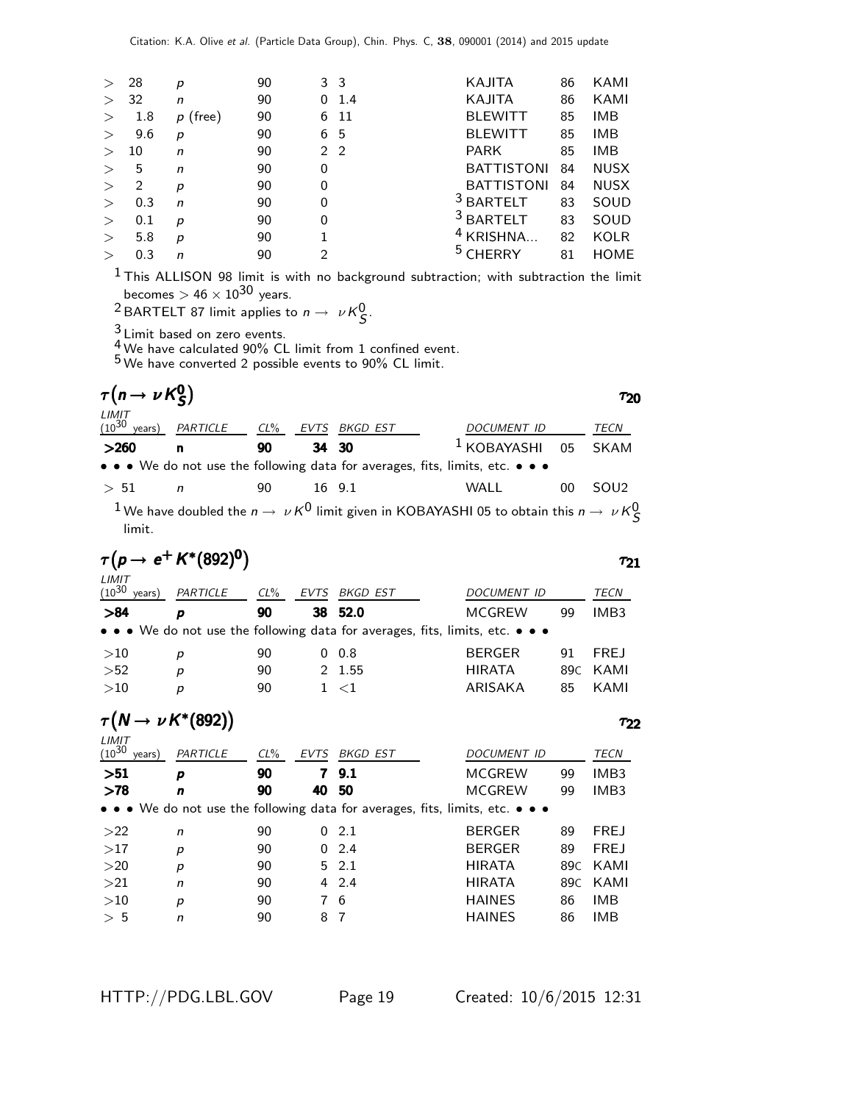| $\geq$ | 28  | р          | 90 |   | 3 3  | KAJITA               | 86 | KAMI        |
|--------|-----|------------|----|---|------|----------------------|----|-------------|
| $\geq$ | 32  | n          | 90 | 0 | 1.4  | KAJITA               | 86 | KAMI        |
| $\geq$ | 1.8 | $p$ (free) | 90 |   | 6 11 | <b>BLEWITT</b>       | 85 | <b>IMB</b>  |
| $\geq$ | 9.6 | р          | 90 |   | 6 5  | <b>BLEWITT</b>       | 85 | <b>IMB</b>  |
| $\geq$ | 10  | n          | 90 |   | 2 2  | <b>PARK</b>          | 85 | <b>IMB</b>  |
| $\geq$ | 5   | n          | 90 | 0 |      | <b>BATTISTONI</b>    | 84 | <b>NUSX</b> |
| $\geq$ | 2   | р          | 90 | 0 |      | <b>BATTISTONI</b>    | 84 | <b>NUSX</b> |
| $\geq$ | 0.3 | n          | 90 | 0 |      | <sup>3</sup> BARTELT | 83 | SOUD        |
| >      | 0.1 | р          | 90 | 0 |      | <sup>3</sup> BARTELT | 83 | SOUD        |
| $\geq$ | 5.8 | p          | 90 |   |      | $4$ KRISHNA          | 82 | <b>KOLR</b> |
| $\geq$ | 0.3 | n          | 90 | 2 |      |                      | 81 | <b>HOME</b> |
|        |     |            |    |   |      |                      |    |             |

 $<sup>1</sup>$ This ALLISON 98 limit is with no background subtraction; with subtraction the limit</sup> becomes  $>$  46  $\times$   $10^{30}$  years.

<sup>2</sup> BARTELT 87 limit applies to  $n \to \nu \kappa_S^0$ .

 $\frac{3}{1}$  Limit based on zero events.

 $\frac{4}{5}$  We have calculated 90% CL limit from 1 confined event.

5 We have converted 2 possible events to 90% CL limit.

| $\tau(n \to \nu K_S^0)$       |              |    |      |                                                                                                                       |                    |    | ፐንበ              |
|-------------------------------|--------------|----|------|-----------------------------------------------------------------------------------------------------------------------|--------------------|----|------------------|
| LIMIT<br>$(10^{30}$<br>years) | PARTICLE CL% |    | EVTS | BKGD EST                                                                                                              | <b>DOCUMENT ID</b> |    | TECN             |
| >260                          | n            | 90 |      | 34 30                                                                                                                 | $1$ KOBAYASHI 05   |    | SKAM             |
|                               |              |    |      | $\bullet \bullet \bullet$ We do not use the following data for averages, fits, limits, etc. $\bullet \bullet \bullet$ |                    |    |                  |
| > 51                          | n            | 90 |      | 16 9.1                                                                                                                | WALL               | 00 | SOU <sub>2</sub> |
|                               |              |    |      | $1$ We have doubled the $n \rightarrow \nu K^0$ limit given in KORAYASHI 05 to obtain this $n \rightarrow \nu K^0$    |                    |    |                  |

 $^1$  We have doubled the  $n\to~\nu\, \kappa^0$  limit given in KOBAYASHI 05 to obtain this  $n\to~\nu\, \kappa_S^0$ limit.

$$
\tau(\rho \to e^+ K^*(892)^0) \qquad \qquad \tau_{21}
$$

| $(10^{30}$<br>years) | PARTICLE                           | $CL\%$ | EVTS | BKGD EST                                                                                                              | DOCUMENT ID   |    | TECN        |
|----------------------|------------------------------------|--------|------|-----------------------------------------------------------------------------------------------------------------------|---------------|----|-------------|
| >84                  | D                                  | 90     |      | 38 52.0                                                                                                               | <b>MCGREW</b> | 99 | IMB3        |
|                      |                                    |        |      | $\bullet \bullet \bullet$ We do not use the following data for averages, fits, limits, etc. $\bullet \bullet \bullet$ |               |    |             |
| >10                  | р                                  | 90     |      | $0\quad 0.8$                                                                                                          | <b>BERGER</b> | 91 | <b>FREJ</b> |
| >52                  | p                                  | 90     |      | 2 1.55                                                                                                                | <b>HIRATA</b> |    | 89C KAMI    |
| >10                  | р                                  | 90     |      | 1 < 1                                                                                                                 | ARISAKA       | 85 | KAMI        |
| LIMIT                | $\tau(N \rightarrow \nu K^*(892))$ |        |      |                                                                                                                       |               |    | エフフ         |

| $(10^{30}$<br>years) | PARTICLE     | $CL\%$ | <b>EVTS</b> | BKGD EST     | <i>DOCUMENT ID</i>                                                                                                    |     | <b>TECN</b>      |
|----------------------|--------------|--------|-------------|--------------|-----------------------------------------------------------------------------------------------------------------------|-----|------------------|
| >51                  | p            | 90     | 7           | 9.1          | <b>MCGREW</b>                                                                                                         | 99  | IMB <sub>3</sub> |
| >78                  | n            | 90     | 40          | - 50         | <b>MCGREW</b>                                                                                                         | 99  | IMB3             |
|                      |              |        |             |              | $\bullet \bullet \bullet$ We do not use the following data for averages, fits, limits, etc. $\bullet \bullet \bullet$ |     |                  |
| >22                  | $\mathsf{n}$ | 90     |             | 02.1         | <b>BERGER</b>                                                                                                         | 89  | <b>FREJ</b>      |
| >17                  | p            | 90     |             | 0, 2.4       | <b>BERGER</b>                                                                                                         | 89  | <b>FREJ</b>      |
| >20                  | p            | 90     |             | $5\quad 2.1$ | <b>HIRATA</b>                                                                                                         | 89C | KAMI             |
| >21                  | n            | 90     |             | $4\quad 2.4$ | <b>HIRATA</b>                                                                                                         | 89C | KAMI             |
| >10                  | p            | 90     |             | 76           | <b>HAINES</b>                                                                                                         | 86  | IMB              |
| > 5                  | n            | 90     | 8           | -7           | <b>HAINES</b>                                                                                                         | 86  | IMB              |
|                      |              |        |             |              |                                                                                                                       |     |                  |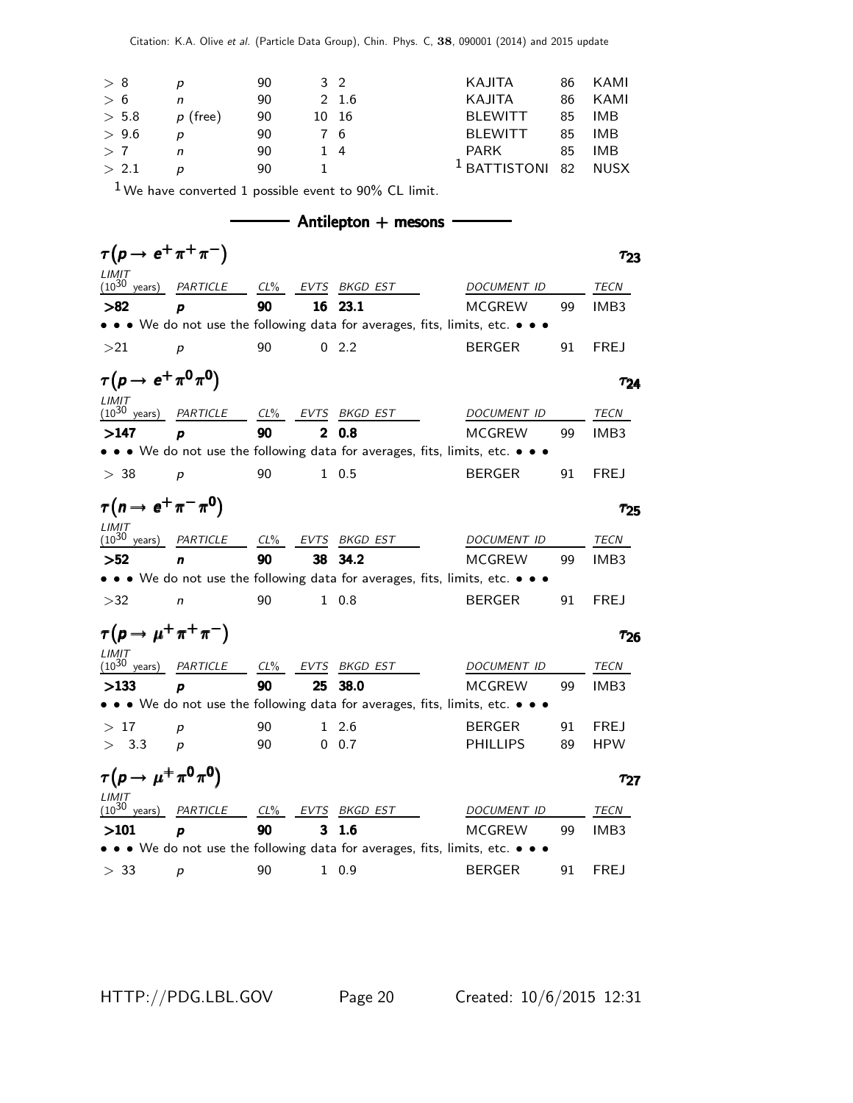| > 8   | D          | 90 | 3 2        |       | KAJITA                          | 86 KAMI |
|-------|------------|----|------------|-------|---------------------------------|---------|
| > 6   | n          | 90 |            | 2 1.6 | KAJITA                          | 86 KAMI |
| > 5.8 | $p$ (free) | 90 |            | 10 16 | BLEWITT                         | 85 IMB  |
| > 9.6 | D          | 90 | 76         |       | BLEWITT                         | 85 IMB  |
| >7    | n          | 90 | $1\quad 4$ |       | PARK                            | 85 IMB  |
| > 2.1 |            | 90 |            |       | <sup>1</sup> BATTISTONI 82 NUSX |         |

 $1$  We have converted 1 possible event to 90% CL limit.

|                                        | $\tau(p \rightarrow e^+ \pi^+ \pi^-)$                     |    |              |                   |                                                                               | 723                    |
|----------------------------------------|-----------------------------------------------------------|----|--------------|-------------------|-------------------------------------------------------------------------------|------------------------|
| LIMIT                                  | $(10^{30} \text{ years})$ <i>PARTICLE</i>                 |    |              | CL% EVTS BKGD EST | DOCUMENT ID                                                                   | TECN                   |
| >82                                    | D                                                         | 90 |              | 16 23.1           | <b>MCGREW</b>                                                                 | IMB <sub>3</sub><br>99 |
|                                        |                                                           |    |              |                   | • • • We do not use the following data for averages, fits, limits, etc. • • • |                        |
| >21                                    | p                                                         | 90 |              | 02.2              | <b>BERGER</b>                                                                 | 91<br><b>FREJ</b>      |
| $\tau(p \to e^+ \pi^0 \pi^0)$<br>LIMIT |                                                           |    |              |                   |                                                                               | T <sub>24</sub>        |
|                                        | $(10^{30} \text{ years})$ <i>PARTICLE</i> CL% <i>EVTS</i> |    |              | BKGD EST          | DOCUMENT ID                                                                   | TECN                   |
| >147                                   | p                                                         | 90 | $\mathbf{2}$ | 0.8               | <b>MCGREW</b>                                                                 | IMB <sub>3</sub><br>99 |
|                                        |                                                           |    |              |                   | • • • We do not use the following data for averages, fits, limits, etc. • • • |                        |
| > 38                                   | $\boldsymbol{p}$                                          | 90 |              | $1 \t0.5$         | <b>BERGER</b>                                                                 | 91<br><b>FREJ</b>      |
| $\tau(n \to e^+ \pi^- \pi^0)$<br>LIMIT |                                                           |    |              |                   |                                                                               | $\tau_{25}$            |
| $(10^{30}$                             | years) PARTICLE CL% EVTS BKGD EST                         |    |              |                   | <b>DOCUMENT ID</b>                                                            | TECN                   |
| >52                                    | n                                                         | 90 |              | 38 34.2           | <b>MCGREW</b>                                                                 | IMB <sub>3</sub><br>99 |
|                                        |                                                           |    |              |                   | • • • We do not use the following data for averages, fits, limits, etc. • • • |                        |
| >32                                    | $\mathsf{n}$                                              | 90 |              | $1 \t0.8$         | <b>BERGER</b>                                                                 | <b>FREJ</b><br>91      |

| .<br>$(10^{30}$<br>vears) | PARTICLE         | $CL\%$ | EVTS BKGD EST                                                                 | DOCUMENT ID     |    | TECN             |
|---------------------------|------------------|--------|-------------------------------------------------------------------------------|-----------------|----|------------------|
| >133                      | D                | 90     | 25 38.0                                                                       | <b>MCGREW</b>   | qq | IMB <sub>3</sub> |
|                           |                  |        | • • • We do not use the following data for averages, fits, limits, etc. • • • |                 |    |                  |
| >17                       | D                | 90     | 1 2.6                                                                         | BERGER          | 91 | <b>FREJ</b>      |
| > 3.3                     | $\boldsymbol{D}$ | 90     | $0\;\;0.7$                                                                    | <b>PHILLIPS</b> | 89 | <b>HPW</b>       |
|                           |                  |        |                                                                               |                 |    |                  |

| $\tau(p \to \mu^+ \pi^0 \pi^0)$ |                            |    |                                                                                                                       |               |    | T97              |
|---------------------------------|----------------------------|----|-----------------------------------------------------------------------------------------------------------------------|---------------|----|------------------|
| LIMIT<br>$(10^{30}$<br>years)   | PARTICLE CL% EVTS BKGD EST |    |                                                                                                                       | DOCUMENT ID   |    | TECN             |
| >101                            | D                          | 90 | 3 1.6                                                                                                                 | <b>MCGREW</b> | 99 | IMB <sub>3</sub> |
|                                 |                            |    | $\bullet \bullet \bullet$ We do not use the following data for averages, fits, limits, etc. $\bullet \bullet \bullet$ |               |    |                  |
| > 33                            | D                          | 90 | 1 0.9                                                                                                                 | <b>BERGER</b> | Q1 | FRE I            |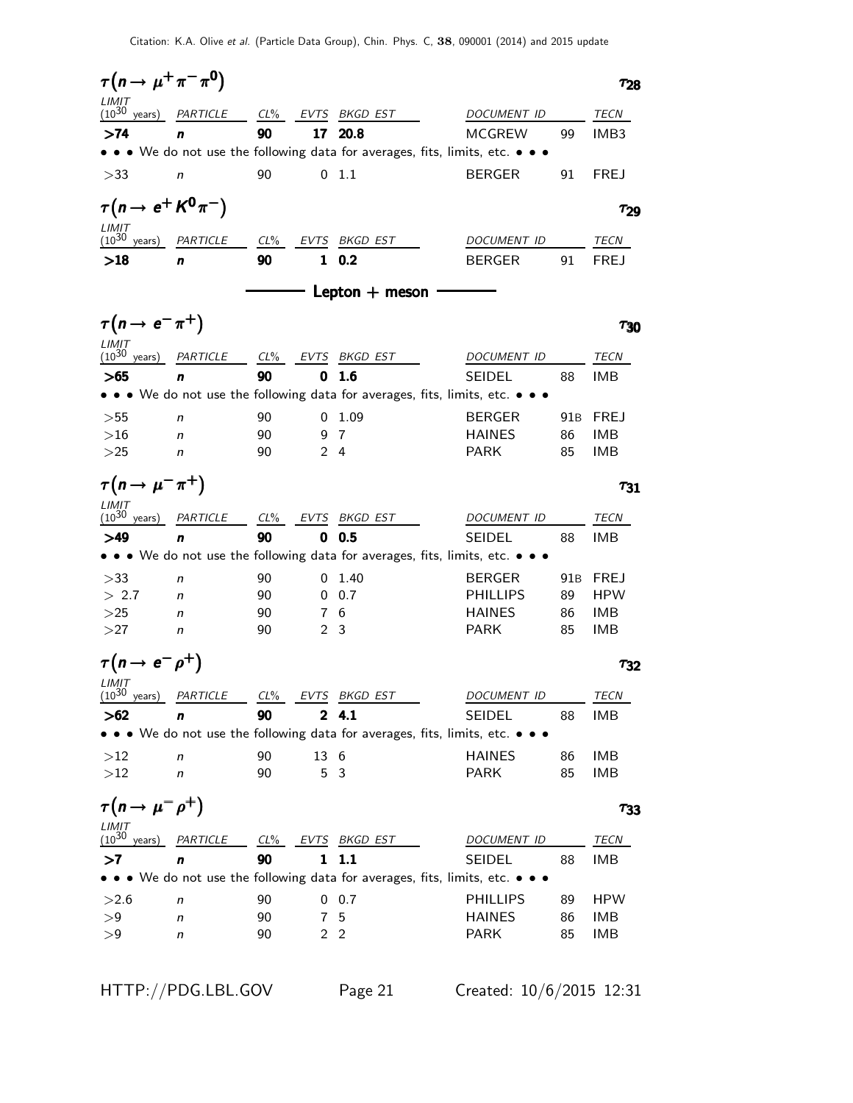$\tau(n \to \mu^+ \pi^- \pi^0)$   $\tau_{28}$  $(10^{30}$ years) PARTICLE CL% EVTS BKGD EST DOCUMENT ID TECN >74 n 90 17 20.8 MCGREW 99 IMB3 • • • We do not use the following data for averages, fits, limits, etc. • • • >33 n 90 0 1.1 BERGER 91 FREJ  $\tau(n \to e^+ K^0 \pi^-)$   $\tau_{29}$ τ  $\frac{LIMIT}{(10^{30} \text{ years})}$ PARTICLE CL% EVTS BKGD EST DOCUMENT ID TECN >18 n 90 1 0.2 BERGER 91 FREJ  $-$  Lepton  $+$  meson  $\tau(n \to e^- \pi^+)$   $\tau_{30}$  $\tau_{30}$  $LIMIT (10^{30})$ years) PARTICLE CL% EVTS BKGD EST DOCUMENT ID TECN >65 n 90 0 1.6 SEIDEL 88 IMB • • • We do not use the following data for averages, fits, limits, etc. • >55 n 90 0 1.09 BERGER 91B FREJ  $>16$  n 90 9 7 HAINES 86 IMB  $>$ 25 *n* 90 2 4 PARK 85 IMB  $\tau(n \to \mu^- \pi^+)$   $\tau_{31}$  $\tau_{31}$  $LIMIT$ <br> $(10^{30}$ years) PARTICLE CL% EVTS BKGD EST DOCUMENT ID TECN >49 n 90 0 0.5 SEIDEL 88 IMB • • • We do not use the following data for averages, fits, limits, etc. • • • >33 n 90 0 1.40 BERGER 91B FREJ  $> 2.7$  n 90 0.7 PHILLIPS 89 HPW  $>$ 25 *n* 90 7 6 HAINES 86 IMB  $>$ 27 n 90 2 3 PARK 85 IMB  $\tau(n \to e^- \rho^+)$   $\tau_{32}$  $\frac{LIMIT}{(10^{30})}$ years) PARTICLE CL<sup>%</sup> EVTS BKGD EST DOCUMENT ID TECN >62 n 90 2 4.1 SEIDEL 88 IMB • • • We do not use the following data for averages, fits, limits, etc. • • •  $>12$  n 90 13 6 HAINES 86 IMB  $>12$  n 90 5 3 PARK 85 IMB  $\tau(n \to \mu^- \rho^+)$   $\tau_{33}$  $LIMIT (10^{30}$ years) PARTICLE CL% EVTS BKGD EST DOCUMENT ID TECN >7 n 90 1 1.1 SEIDEL 88 IMB • • • We do not use the following data for averages, fits, limits, etc. • • •  $>2.6$  n 90 0 0.7 PHILLIPS 89 HPW >9 n 90 7 5 HAINES 86 IMB >9 n 90 2 2 PARK 85 IMB

HTTP://PDG.LBL.GOV Page 21 Created: 10/6/2015 12:31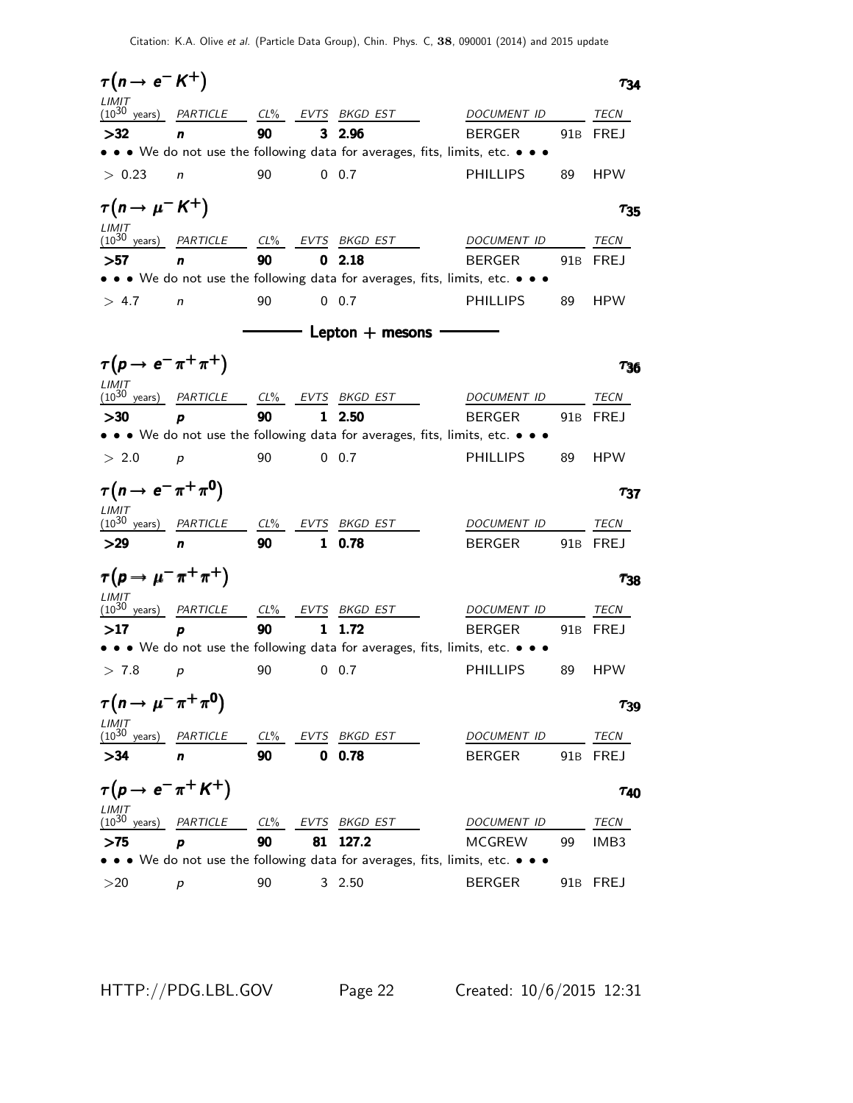| $\tau(n \rightarrow e^- K^+)$               |          |        |              |                            |                                                                               | 734         |
|---------------------------------------------|----------|--------|--------------|----------------------------|-------------------------------------------------------------------------------|-------------|
| LIMIT<br>$(10^{30}$<br>years)               | PARTICLE | $CL\%$ | EVTS         | BKGD EST                   | DOCUMENT ID                                                                   | TECN        |
| >32                                         | n        | 90     | 3            | 2.96                       | <b>BERGER</b><br>91B                                                          | FREJ        |
|                                             |          |        |              |                            | • • • We do not use the following data for averages, fits, limits, etc. • • • |             |
| > 0.23                                      | n        | 90     |              | $0\quad 0.7$               | <b>PHILLIPS</b><br>89                                                         | <b>HPW</b>  |
| $\tau(n \rightarrow \mu^- K^+)$             |          |        |              |                            |                                                                               | $\tau_{35}$ |
| LIMIT<br>$(10^{30} \text{ years})$          | PARTICLE |        |              | CL% EVTS BKGD EST          | DOCUMENT ID                                                                   | TECN        |
| >57                                         | n        | 90     | 0            | 2.18                       | <b>BERGER</b><br>91 <sub>B</sub>                                              | <b>FREJ</b> |
|                                             |          |        |              |                            | • • • We do not use the following data for averages, fits, limits, etc. • • • |             |
| > 4.7                                       | n        | 90     |              | $0\quad 0.7$               | <b>PHILLIPS</b><br>89                                                         | <b>HPW</b>  |
|                                             |          |        |              | $\equiv$ Lepton $+$ mesons |                                                                               |             |
| $\tau(p \rightarrow e^- \pi^+ \pi^+)$       |          |        |              |                            |                                                                               | 736         |
| LIMIT<br>$(10^{30} \text{ years})$          | PARTICLE | $CL\%$ | EVTS         | BKGD EST                   | DOCUMENT ID                                                                   | TECN        |
| >30                                         | p        | 90     | 1            | 2.50                       | <b>BERGER</b><br>91B                                                          | FREJ        |
|                                             |          |        |              |                            | • • • We do not use the following data for averages, fits, limits, etc. • • • |             |
| > 2.0                                       | p        | 90     |              | $0\quad 0.7$               | <b>PHILLIPS</b><br>89                                                         | <b>HPW</b>  |
| $\tau(n \to e^- \pi^+ \pi^0)$               |          |        |              |                            |                                                                               | $\tau_{37}$ |
| LIMIT<br>$(10^{30} \text{ years})$          | PARTICLE | $CL\%$ | EVTS         | BKGD EST                   | DOCUMENT ID                                                                   | TECN        |
| >29                                         | n        | 90     | $\mathbf{1}$ | 0.78                       | <b>BERGER</b><br>91B                                                          | FREJ        |
| $\tau(p \to \mu^- \pi^+ \pi^+)$             |          |        |              |                            |                                                                               | $\tau_{38}$ |
| LIMIT<br>$(10^{30} \text{ years})$ PARTICLE |          |        |              | CL% EVTS BKGD EST          | DOCUMENT ID                                                                   | TECN        |
| >17                                         | p        | 90     | 1            | 1.72                       | <b>BERGER</b><br>91 <sub>B</sub>                                              | FREJ        |
|                                             |          |        |              |                            | • • • We do not use the following data for averages, fits, limits, etc. • • • |             |
| > 7.8                                       | p        | 90     |              | $0\quad 0.7$               | PHILLIPS<br>89                                                                | <b>HPW</b>  |
| $\tau(n \to \mu^- \pi^+ \pi^0)$             |          |        |              |                            |                                                                               | $\tau_{39}$ |
| $\frac{LIMIT}{(10^{30} \text{ years})}$     | PARTICLE | $CL\%$ |              | EVTS BKGD EST              | DOCUMENT ID                                                                   | TECN        |
| >34                                         | n        | 90     | 0            | 0.78                       | <b>BERGER</b><br>91 <sub>B</sub>                                              | <b>FREJ</b> |
| $\tau(p \rightarrow e^- \pi^+ K^+)$         |          |        |              |                            |                                                                               | $\tau_{40}$ |
| $LIMIT$<br>(10 <sup>30</sup> years)         | PARTICLE | $CL\%$ | EVTS         | BKGD EST                   | <i>DOCUMENT ID</i>                                                            | TECN        |
| >75                                         | p        | 90     | 81           | 127.2                      | <b>MCGREW</b><br>99                                                           | IMB3        |
|                                             |          |        |              |                            | • • • We do not use the following data for averages, fits, limits, etc. • • • |             |
| >20                                         | p        | 90     |              | 32.50                      | <b>BERGER</b><br>91B                                                          | <b>FREJ</b> |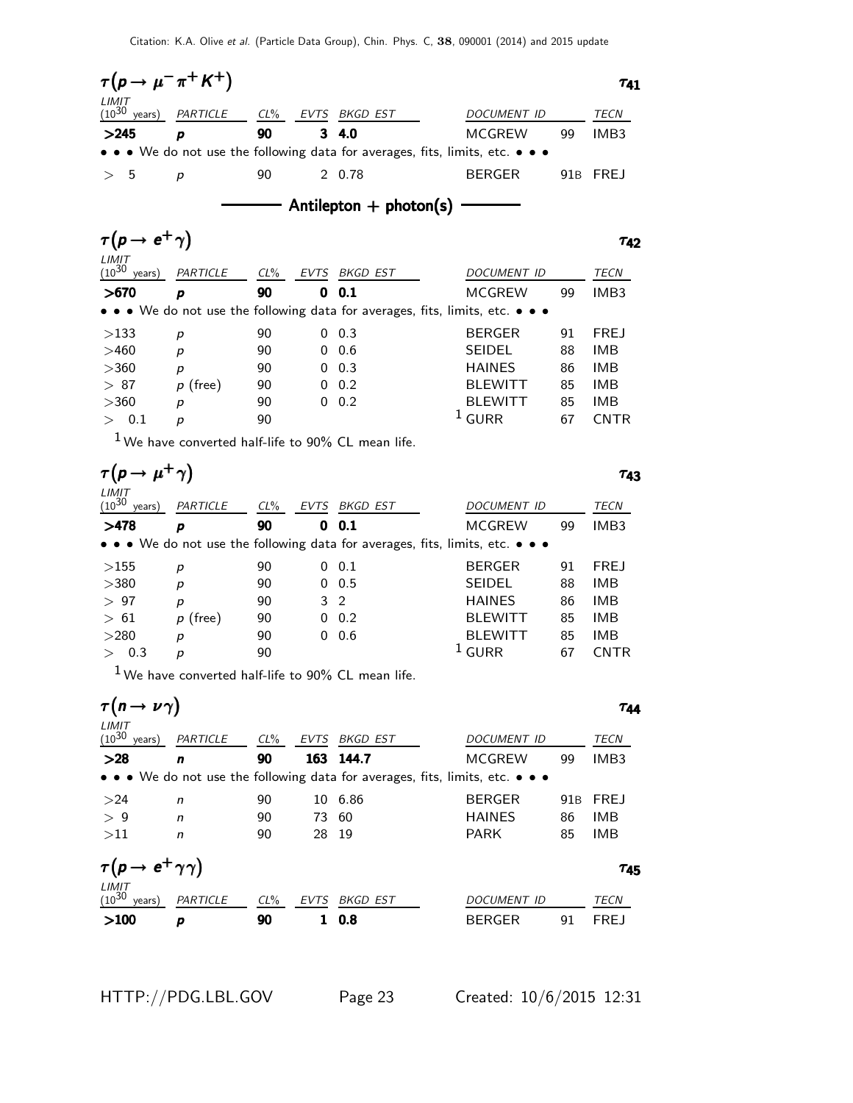| $\tau(p \to \mu^- \pi^+ K^+)$   |                            |    |                                                                               |                    |    | $\tau_{41}$      |
|---------------------------------|----------------------------|----|-------------------------------------------------------------------------------|--------------------|----|------------------|
| $LIMIT$<br>$(10^{30}$<br>years) | PARTICLE CL% EVTS BKGD EST |    |                                                                               | <b>DOCUMENT ID</b> |    | TECN             |
| >245                            | D                          | 90 | $3\quad 4.0$                                                                  | <b>MCGREW</b>      | 99 | IMB <sub>3</sub> |
|                                 |                            |    | • • • We do not use the following data for averages, fits, limits, etc. • • • |                    |    |                  |
| > 5                             | D                          | 90 | 2 0.78                                                                        | <b>BERGER</b>      |    | 91B FREJ         |

 $-$  Antilepton  $+$  photon(s)  $-$ 

|            |        |             |          |                                 |                                                                                                                       | T49              |
|------------|--------|-------------|----------|---------------------------------|-----------------------------------------------------------------------------------------------------------------------|------------------|
| PARTICLE   | $CL\%$ | <b>EVTS</b> | BKGD EST | DOCUMENT ID                     |                                                                                                                       | <b>TECN</b>      |
| p          | 90     | 0           |          | MCGREW                          | 99                                                                                                                    | IMB <sub>3</sub> |
|            |        |             |          |                                 |                                                                                                                       |                  |
| р          | 90     | 0           |          | <b>BERGER</b>                   | 91                                                                                                                    | <b>FREJ</b>      |
| p          | 90     | 0           |          | <b>SEIDEL</b>                   | 88                                                                                                                    | IMB              |
| р          | 90     | 0           |          | <b>HAINES</b>                   | 86                                                                                                                    | IMB              |
| $p$ (free) | 90     | 0           | 0.2      | <b>BLEWITT</b>                  | 85                                                                                                                    | <b>IMB</b>       |
| р          | 90     | 0           |          | <b>BLEWITT</b>                  | 85                                                                                                                    | IMB              |
| р          | 90     |             |          | GURR                            | 67                                                                                                                    | <b>CNTR</b>      |
|            |        |             |          | 0.1<br>0.3<br>0.6<br>0.3<br>0.2 | $\bullet \bullet \bullet$ We do not use the following data for averages, fits, limits, etc. $\bullet \bullet \bullet$ |                  |

 $1$  We have converted half-life to 90% CL mean life.

| $\tau(p \rightarrow$          |            |        |      |          |                                                                                                                       | 743              |
|-------------------------------|------------|--------|------|----------|-----------------------------------------------------------------------------------------------------------------------|------------------|
| LIMIT<br>$(10^{30}$<br>years) | PARTICLE   | $CL\%$ | EVTS | BKGD EST | DOCUMENT ID                                                                                                           | TECN             |
| >478                          | p          | 90     | 0    | 0.1      | MCGREW<br>99                                                                                                          | IMB <sub>3</sub> |
|                               |            |        |      |          | $\bullet \bullet \bullet$ We do not use the following data for averages, fits, limits, etc. $\bullet \bullet \bullet$ |                  |
| >155                          | р          | 90     | 0    | 0.1      | <b>BERGER</b><br>91                                                                                                   | <b>FREJ</b>      |
| >380                          | p          | 90     | 0    | 0.5      | <b>SEIDEL</b><br>88                                                                                                   | IMB              |
| >97                           | p          | 90     | 3    | -2       | <b>HAINES</b><br>86                                                                                                   | IMB              |
| >61                           | $p$ (free) | 90     | 0    | 0.2      | <b>BLEWITT</b><br>85                                                                                                  | <b>IMB</b>       |
| >280                          | р          | 90     | 0    | 0.6      | <b>BLEWITT</b><br>85                                                                                                  | <b>IMB</b>       |
| 0.3                           | р          | 90     |      |          | <b>GURR</b><br>67                                                                                                     | <b>CNTR</b>      |
|                               |            |        |      |          |                                                                                                                       |                  |

 $1$  We have converted half-life to  $90\%$  CL mean life.

| $\tau(n \rightarrow \nu \gamma)$         |              |        |             |                                                                                                                       |               |                 | Таа             |
|------------------------------------------|--------------|--------|-------------|-----------------------------------------------------------------------------------------------------------------------|---------------|-----------------|-----------------|
| LIMIT<br>$(10^{30}$<br>years)            | PARTICLE     | $CL\%$ | <b>EVTS</b> | <b>BKGD EST</b>                                                                                                       | DOCUMENT ID   |                 | <b>TECN</b>     |
| >28                                      | n            | 90     |             | 163 144.7                                                                                                             | MCGREW        | 99              | IMB3            |
|                                          |              |        |             | $\bullet \bullet \bullet$ We do not use the following data for averages, fits, limits, etc. $\bullet \bullet \bullet$ |               |                 |                 |
| >24                                      | n            | 90     |             | 10 6.86                                                                                                               | <b>BERGER</b> | 91 <sub>B</sub> | <b>FREJ</b>     |
| > 9                                      | $\mathsf{n}$ | 90     | 73          | 60                                                                                                                    | <b>HAINES</b> | 86              | <b>IMB</b>      |
| >11                                      | $\mathsf{n}$ | 90     | 28          | -19                                                                                                                   | <b>PARK</b>   | 85              | <b>IMB</b>      |
| $\tau(p \to e^+ \gamma \gamma)$<br>LIMIT |              |        |             |                                                                                                                       |               |                 | T <sub>45</sub> |
| $(10^{30}$<br>years)                     | PARTICLE     | $CL\%$ | <b>EVTS</b> | BKGD EST                                                                                                              | DOCUMENT ID   |                 | TECN            |
| >100                                     | p            | 90     | 1           | 0.8                                                                                                                   | <b>BERGER</b> | 91              | <b>FREJ</b>     |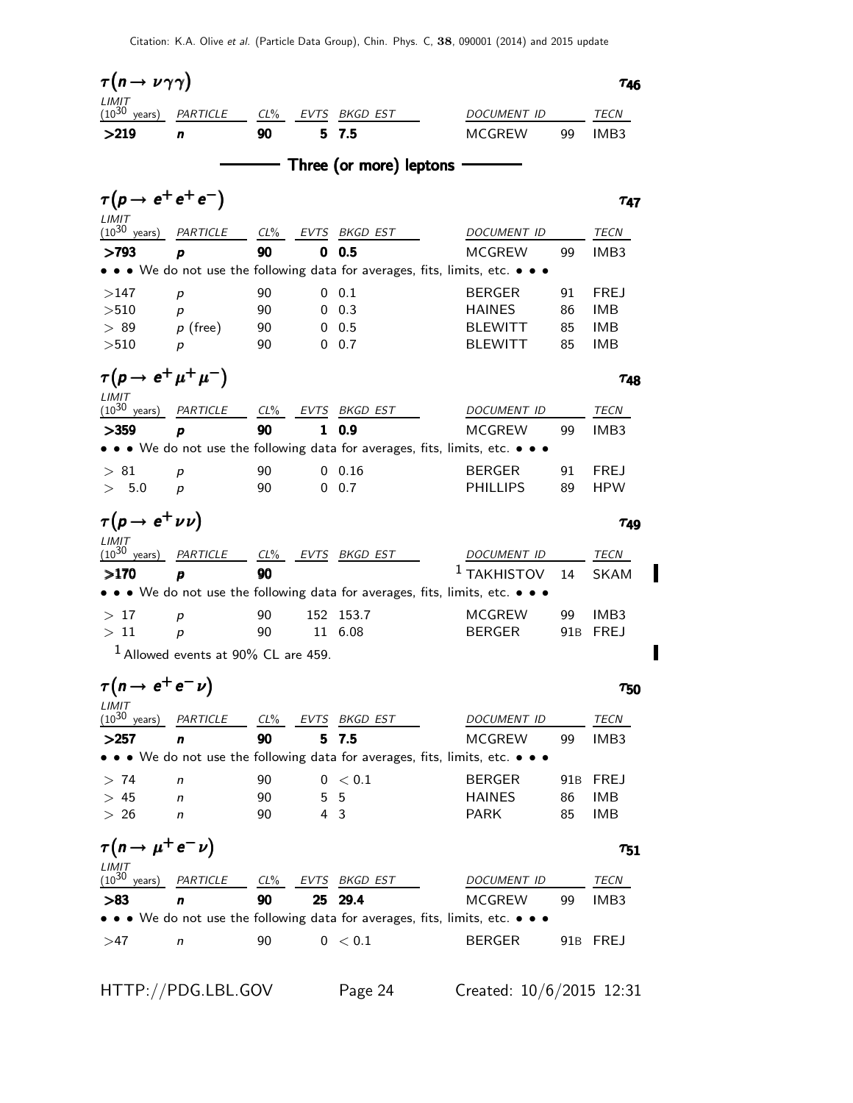| $\tau(n \to \nu \gamma \gamma)$       |                                       |        |                |                         |                                                                                                                       |     | $\tau_{46}$      |
|---------------------------------------|---------------------------------------|--------|----------------|-------------------------|-----------------------------------------------------------------------------------------------------------------------|-----|------------------|
| LIMIT<br>$(10^{30} \text{ years})$    | PARTICLE CL% EVTS BKGD EST            |        |                |                         | DOCUMENT ID                                                                                                           |     | TECN             |
| >219                                  | n                                     | 90     | 5              | 7.5                     | <b>MCGREW</b>                                                                                                         | 99  | IMB <sub>3</sub> |
|                                       |                                       |        |                | Three (or more) leptons |                                                                                                                       |     |                  |
|                                       |                                       |        |                |                         |                                                                                                                       |     |                  |
| $\tau(p \rightarrow e^+e^+e^-)$       |                                       |        |                |                         |                                                                                                                       |     | T47              |
| LIMIT<br>$(10^{30} \text{ years})$    | PARTICLE                              | $CL\%$ |                | EVTS BKGD EST           | DOCUMENT ID                                                                                                           |     | TECN             |
| >793                                  | p                                     | 90     | 0              | 0.5                     | <b>MCGREW</b>                                                                                                         | 99  | IMB <sub>3</sub> |
|                                       |                                       |        |                |                         | • • • We do not use the following data for averages, fits, limits, etc. • • •                                         |     |                  |
| >147                                  | p                                     | 90     | 0              | 0.1                     | <b>BERGER</b>                                                                                                         | 91  | <b>FREJ</b>      |
| >510                                  | p                                     | 90     | 0              | 0.3                     | <b>HAINES</b>                                                                                                         | 86  | <b>IMB</b>       |
| >89                                   | $p$ (free)                            | 90     | 0              | 0.5                     | BLEWITT                                                                                                               | 85  | <b>IMB</b>       |
| >510                                  | p                                     | 90     |                | $0\quad 0.7$            | <b>BLEWITT</b>                                                                                                        | 85  | <b>IMB</b>       |
| $\tau(p \rightarrow e^+ \mu^+ \mu^-)$ |                                       |        |                |                         |                                                                                                                       |     | Τ48              |
| LIMIT<br>$(10^{30} \text{ years})$    |                                       |        |                |                         |                                                                                                                       |     |                  |
|                                       | PARTICLE                              | $CL\%$ | EVTS           | BKGD EST                | DOCUMENT ID                                                                                                           |     | TECN             |
| >359                                  | p                                     | 90     | 1              | 0.9                     | <b>MCGREW</b><br>• • • We do not use the following data for averages, fits, limits, etc. • • •                        | 99  | IMB <sub>3</sub> |
|                                       |                                       |        |                |                         |                                                                                                                       |     |                  |
| >81                                   | p                                     | 90     | 0              | 0.16                    | <b>BERGER</b>                                                                                                         | 91  | <b>FREJ</b>      |
| 5.0                                   | р                                     | 90     | 0              | 0.7                     | <b>PHILLIPS</b>                                                                                                       | 89  | <b>HPW</b>       |
| $\tau(p \to e^+ \nu \nu)$             |                                       |        |                |                         |                                                                                                                       |     | T49              |
| LIMIT<br>$(10^{30} \text{ years})$    | PARTICLE                              | $CL\%$ |                | EVTS BKGD EST           | DOCUMENT ID                                                                                                           |     | TECN             |
| >170                                  | p                                     | 90     |                |                         | $^1$ TAKHISTOV                                                                                                        | 14  | <b>SKAM</b>      |
|                                       |                                       |        |                |                         | • • • We do not use the following data for averages, fits, limits, etc. • • •                                         |     |                  |
| >17                                   | p                                     | 90     | 152            | 153.7                   | <b>MCGREW</b>                                                                                                         | 99  | IMB <sub>3</sub> |
| >11                                   | $\boldsymbol{p}$                      | 90     |                | 11 6.08                 | <b>BERGER</b>                                                                                                         | 91B | <b>FREJ</b>      |
|                                       | $1$ Allowed events at 90% CL are 459. |        |                |                         |                                                                                                                       |     |                  |
| $\tau(n \rightarrow e^+e^-\nu)$       |                                       |        |                |                         |                                                                                                                       |     | $\tau_{50}$      |
| LIMIT                                 |                                       |        |                |                         |                                                                                                                       |     |                  |
| $(10^{30} \text{ years})$             | PARTICLE                              | $CL\%$ |                | EVTS BKGD EST           | DOCUMENT ID                                                                                                           |     | TECN             |
| >257                                  | n                                     | 90     | 5.             | 7.5                     | <b>MCGREW</b>                                                                                                         | 99  | IMB3             |
|                                       |                                       |        |                |                         | $\bullet \bullet \bullet$ We do not use the following data for averages, fits, limits, etc. $\bullet \bullet \bullet$ |     |                  |
| >74                                   | n                                     | 90     |                | $0\ < 0.1$              | <b>BERGER</b>                                                                                                         | 91B | <b>FREJ</b>      |
| >45                                   | n                                     | 90     | 5              | 5                       | <b>HAINES</b>                                                                                                         | 86  | IMB              |
| > 26                                  | n                                     | 90     | $\overline{4}$ | -3                      | <b>PARK</b>                                                                                                           | 85  | <b>IMB</b>       |
| $\tau(n \to \mu^+ e^- \nu)$           |                                       |        |                |                         |                                                                                                                       |     | $\tau_{51}$      |
| LIMIT<br>$(10^{30}$<br>years)         | PARTICLE                              | $CL\%$ | EVTS           | BKGD EST                | DOCUMENT ID                                                                                                           |     | TECN             |
|                                       |                                       | 90     | 25             | 29.4                    |                                                                                                                       | 99  |                  |
| > 83                                  | n                                     |        |                |                         | MCGREW<br>• • • We do not use the following data for averages, fits, limits, etc. • • •                               |     | IMB3             |
|                                       |                                       |        |                |                         |                                                                                                                       |     |                  |
| >47                                   | n                                     | 90     |                | 0 < 0.1                 | <b>BERGER</b>                                                                                                         |     | 91B FREJ         |
|                                       |                                       |        |                |                         |                                                                                                                       |     |                  |

HTTP://PDG.LBL.GOV Page 24 Created: 10/6/2015 12:31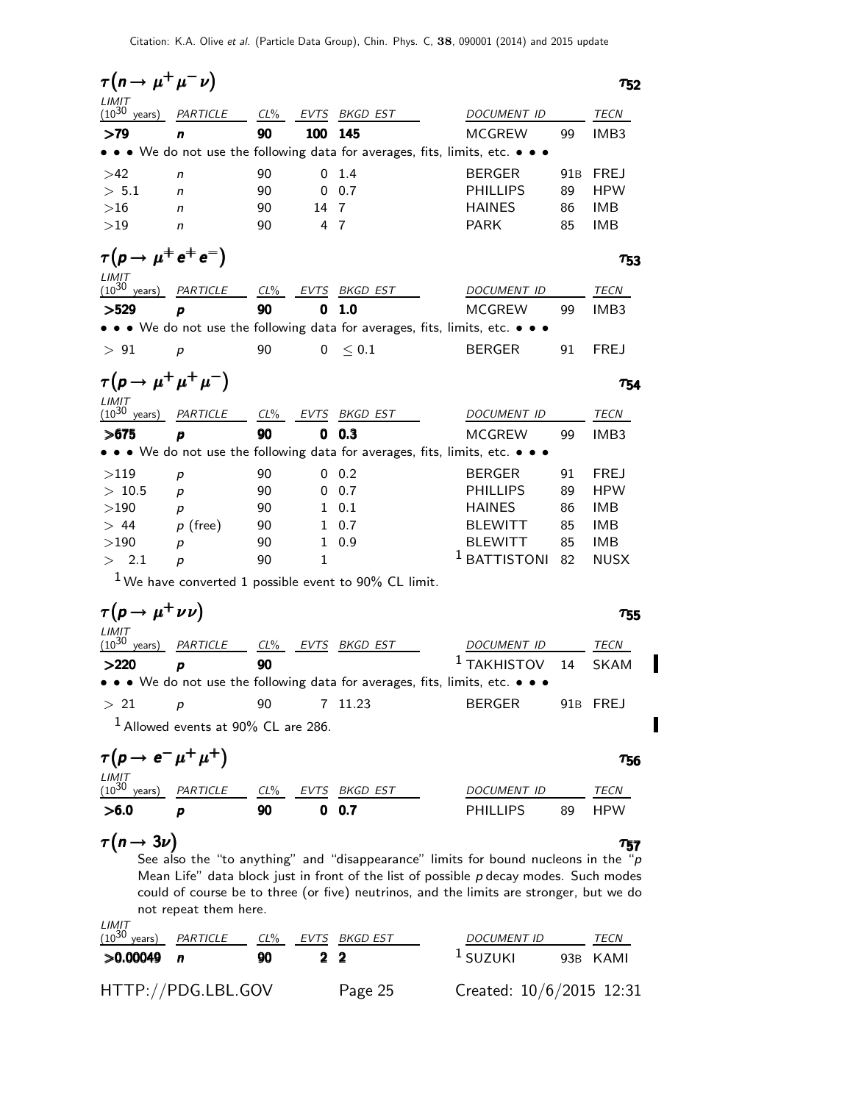$\tau(n \to \mu^+ \mu^- \nu)$   $\tau_{52}$  $\tau_{52}$  $(10^{30}$ years) PARTICLE CL% EVTS BKGD EST DOCUMENT ID TECN >79 n 90 100 145 MCGREW 99 IMB3 • • • We do not use the following data for averages, fits, limits, etc. • • • >42 n 90 0 1.4 BERGER 91B FREJ  $> 5.1$  n 90 0.7 PHILLIPS 89 HPW  $>16$  n 90 14 7 HAINES 86 IMB  $>19$  n 90 4 7 PARK 85 IMB  $\tau(p \to \mu^+ e^+ e^-)$   $\tau_{53}$  $\tau_{53}$  $(10^{30}$  years) PARTICLE CL% EVTS BKGD EST DOCUMENT ID TECN >529 p 90 0 1.0 MCGREW 99 IMB3 • • • We do not use the following data for averages, fits, limits, etc. • • •  $> 91$  p 90 0  $\leq 0.1$  BERGER 91 FREJ  $\tau(p \to \mu^+ \mu^+ \mu^-)$   $\tau_{54}$  $^{+}\mu^{-})$  754  $LIMIT$ <br>(10<sup>30</sup> years) PARTICLE CL% EVTS BKGD EST DOCUMENT ID TECN >675 p 90 0 0.3 MCGREW 99 IMB3 • • • We do not use the following data for averages, fits, limits, etc. • • •  $>119$   $p$  90 00.2 BERGER 91 FREJ  $> 10.5$  p 90 0 0.7 PHILLIPS 89 HPW  $>190$   $p$  90 1 0.1 HAINES 86 IMB  $> 44$  p (free) 90 1 0.7 BLEWITT 85 IMB  $>190$  p 90 1 0.9 BLEWITT 85 IMB  $>$  2.1 p 90 1  $^1$  BATTISTONI 82 NUSX  $1$  We have converted 1 possible event to 90% CL limit.  $\tau(p \to \mu^+ \nu \nu)$   $\tau_{55}$ LIMIT<br>(10<sup>30</sup> years) PARTICLE CL% EVTS BKGD EST DOCUMENT ID TECN  $>$ 220 p 90 90  $^1$  takhistov 14 skam • • • We do not use the following data for averages, fits, limits, etc. •  $> 21$  p 90 7 11.23 BERGER 91B FREJ  $1$  Allowed events at  $90\%$  CL are 286.  $\tau(p \to e^- \mu^+ \mu^+)$   $\tau_{56}$  $\frac{LIMIT}{(10^{30} \text{ years})}$ PARTICLE CL% EVTS BKGD EST DOCUMENT ID TECN  $>$ 6.0 p 90 0.7 phillips 89 hpw  $\tau(n \to 3\nu)$   $\tau_{57}$  $\tau(n \to 3\nu)$   $\tau_{57}$  $\tau_{57}$ See also the "to anything" and "disappearance" limits for bound nucleons in the "p Mean Life" data block just in front of the list of possible  $p$  decay modes. Such modes could of course be to three (or five) neutrinos, and the limits are stronger, but we do not repeat them here.  $LIMIT  
(10<sup>30</sup>$ </u> years) PARTICLE CL% EVTS BKGD EST DOCUMENT ID TECN  $>0.00049$  n 90 2 2 1 SUZUKI 93<sup>B</sup> KAMI HTTP://PDG.LBL.GOV Page 25 Created: 10/6/2015 12:31

Г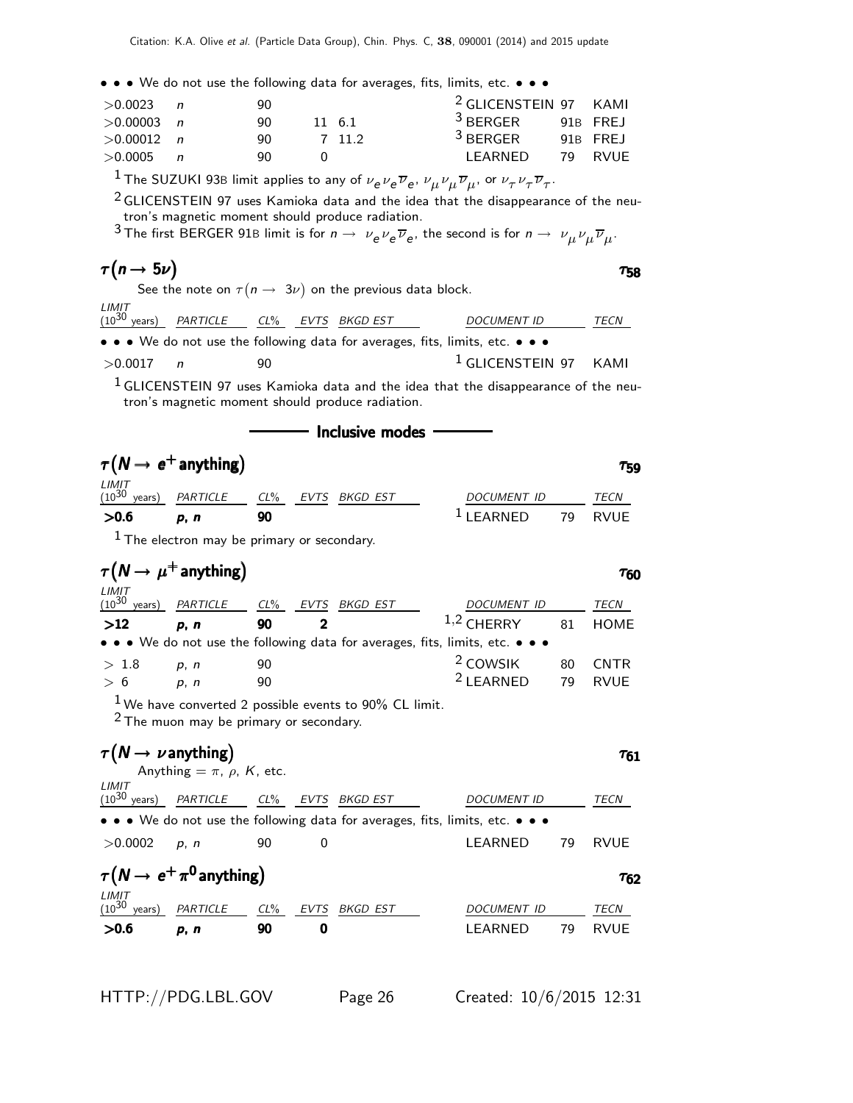• • • We do not use the following data for averages, fits, limits, etc. • • •

| $>0.0023$ n  | 90  |        | <sup>2</sup> GLICENSTEIN 97 KAMI |    |          |
|--------------|-----|--------|----------------------------------|----|----------|
| $>0.00003$ n | 90. | 11 6.1 | <sup>3</sup> BERGER              |    | 91B FREJ |
| $>0.00012$ n | 90. | 7 11 2 | $3$ BERGER                       |    | 91B FREJ |
| >0.0005      | 90. |        | I FARNED                         | 79 | RVUF     |

 $^1$  The SUZUKI 93B limit applies to any of  $\nu_e \nu_e \overline{\nu}_e$ ,  $\nu_\mu \nu_\mu \overline{\nu}_\mu$ , or  $\nu_\tau \nu_\tau \overline{\nu}_\tau.$ 

 $2$  GLICENSTEIN 97 uses Kamioka data and the idea that the disappearance of the neutron's magnetic moment should produce radiation.

 $^3$  The first BERGER 91B limit is for  $n\to\nu_e\nu_e\overline{\nu}_e$ , the second is for  $n\to\nu_\mu\nu_\mu\overline{\nu}_\mu.$ 

| $\tau(n \rightarrow 5\nu)$                                                                                            | 758                        |
|-----------------------------------------------------------------------------------------------------------------------|----------------------------|
| See the note on $\tau(n \to 3\nu)$ on the previous data block.                                                        |                            |
| LIMIT<br>$(10^{30} \text{ years})$ PARTICLE CL% EVTS BKGD EST                                                         | <b>DOCUMENT ID</b><br>TECN |
| $\bullet \bullet \bullet$ We do not use the following data for averages, fits, limits, etc. $\bullet \bullet \bullet$ |                            |

$$
>0.0017
$$
 n 90 10 LICENSTEIN 97 KAMI

- Inclusive modes

 $1$  GLICENSTEIN 97 uses Kamioka data and the idea that the disappearance of the neutron's magnetic moment should produce radiation.

 $\tau(N\to\,e^+$  anything $)$  and  $\tau_{59}$ LIMIT<br>(10<sup>30</sup> years) PARTICLE CL% EVTS BKGD EST DOCUMENT ID TECN  $>0.6$  p, n 90  $^1$  learned 79 rvue  $<sup>1</sup>$  The electron may be primary or secondary.</sup>  $\tau(\pmb{N}\to\mu^+$  anything $)$  τ60  $LIMIT$  $(10^{30}$ years) PARTICLE CL<sup>%</sup> EVTS BKGD EST DOCUMENT ID TECN  $>12$  p, n 90 2 1,2 CHERRY 81 HOME • • • We do not use the following data for averages, fits, limits, etc.  $> 1.8$  p, n 90  $^{2}$  COWSIK 80 CNTR

 $> 6$  p, n 90  $^2$  LEARNED 79 RVUE

 $1$  We have converted 2 possible events to 90% CL limit.

• • • We do not use the following data for averages, fits, limits, etc. •

2 The muon may be primary or secondary.

#### $\tau(N \to \nu \text{ anything})$   $\tau_{61}$ Anything  $= \pi$ ,  $\rho$ ,  $K$ , etc.

LIMIT

(10<sup>30</sup> years) PARTICLE CL% EVTS BKGD EST DOCUMENT ID TECN



>0.0002 p, n 90 0 LEARNED 79 RVUE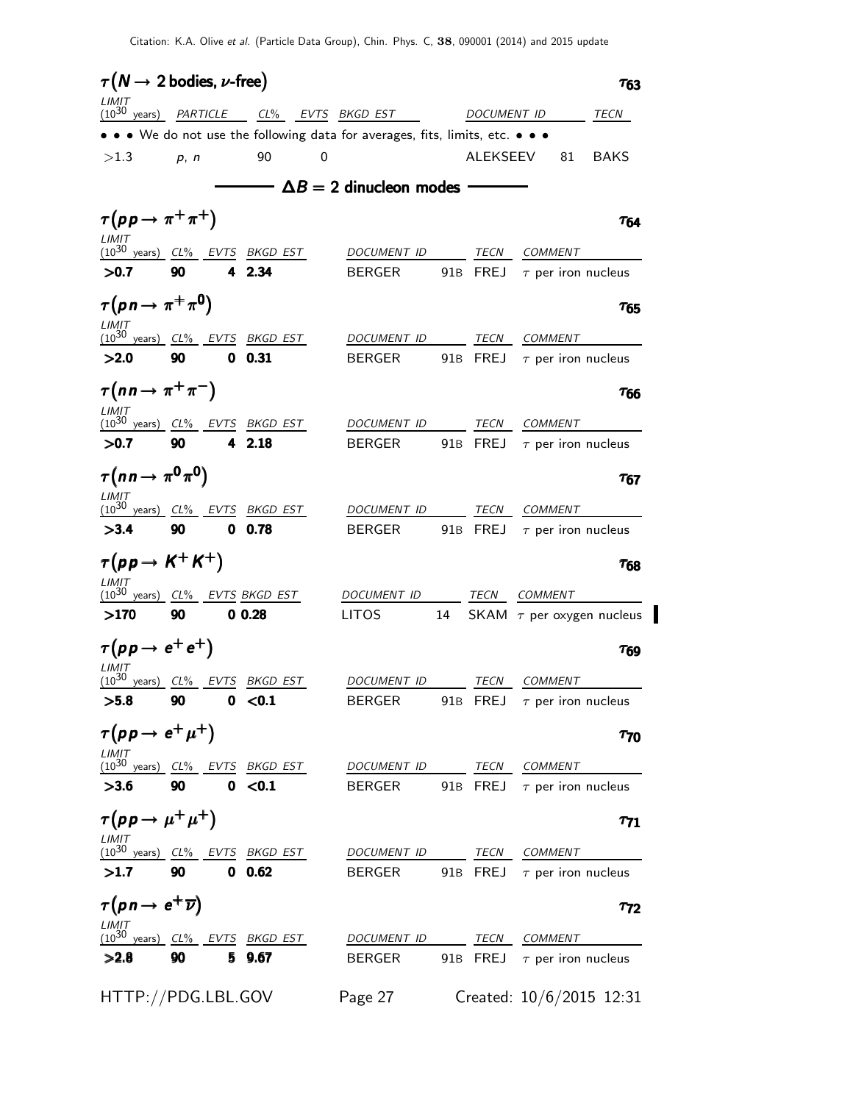| $\tau(N \rightarrow 2 \text{ bodies}, \nu\text{-free})$                                                                                 |      |               |   |                                                                               |    |              |                |    | $\tau_{63}$                      |
|-----------------------------------------------------------------------------------------------------------------------------------------|------|---------------|---|-------------------------------------------------------------------------------|----|--------------|----------------|----|----------------------------------|
| LIMIT<br>(10 <sup>30</sup> years) PARTICLE CL% EVTS BKGD EST                                                                            |      |               |   |                                                                               |    | DOCUMENT ID  |                |    | TECN                             |
|                                                                                                                                         |      |               |   | • • • We do not use the following data for averages, fits, limits, etc. • • • |    |              |                |    |                                  |
| >1.3                                                                                                                                    | p, n | 90            | 0 |                                                                               |    | ALEKSEEV     |                | 81 | <b>BAKS</b>                      |
|                                                                                                                                         |      |               |   | $\longrightarrow \Delta B = 2$ dinucleon modes -                              |    |              |                |    |                                  |
| $\tau(p p \rightarrow \pi^+ \pi^+)$                                                                                                     |      |               |   |                                                                               |    |              |                |    | $\tau_{64}$                      |
| LIMIT                                                                                                                                   |      |               |   |                                                                               |    |              |                |    |                                  |
| (10 <sup>30</sup> years) CL% EVTS BKGD EST<br>>0.7                                                                                      | 90   | 4 2.34        |   | DOCUMENT ID<br><b>BERGER</b>                                                  |    |              | TECN COMMENT   |    | 91B FREJ $\tau$ per iron nucleus |
|                                                                                                                                         |      |               |   |                                                                               |    |              |                |    |                                  |
| $\tau(p \, n \rightarrow \pi^+ \pi^0)$                                                                                                  |      |               |   |                                                                               |    |              |                |    | $\tau_{65}$                      |
| LIMIT<br>$(10^{30} \text{ years})$ $CL\%$ EVTS BKGD EST                                                                                 |      |               |   | DOCUMENT ID                                                                   |    | TECN         | <b>COMMENT</b> |    |                                  |
| >2.0                                                                                                                                    | 90   | $0\quad 0.31$ |   | <b>BERGER</b>                                                                 |    | 91B FREJ     |                |    | $\tau$ per iron nucleus          |
| $\tau(nn \to \pi^+\pi^-)$                                                                                                               |      |               |   |                                                                               |    |              |                |    | <b>T<sub>66</sub></b>            |
| LIMIT<br>$(10^{30} \text{ years})$ $CL\%$ EVTS BKGD EST                                                                                 |      |               |   | DOCUMENT ID                                                                   |    | TECN         | <b>COMMENT</b> |    |                                  |
| >0.7                                                                                                                                    | 90   | 4 2.18        |   | <b>BERGER</b>                                                                 |    |              |                |    | 91B FREJ $\tau$ per iron nucleus |
| $\tau(n n \rightarrow \pi^0 \pi^0)$                                                                                                     |      |               |   |                                                                               |    |              |                |    | $\tau_{67}$                      |
| LIMIT<br>$(10^{30}$ years) $CL\%$ EVTS BKGD EST                                                                                         |      |               |   | DOCUMENT ID                                                                   |    | TECN         | COMMENT        |    |                                  |
| >3.4                                                                                                                                    | 90   | $0\quad 0.78$ |   | <b>BERGER</b>                                                                 |    |              |                |    | 91B FREJ $\tau$ per iron nucleus |
| $\tau(p p \rightarrow K^+ K^+)$                                                                                                         |      |               |   |                                                                               |    |              |                |    |                                  |
| LIMIT                                                                                                                                   |      |               |   |                                                                               |    |              |                |    | $\tau_{68}$                      |
| $(10^{30} \text{ years})$ $CL\%$ EVTS BKGD EST                                                                                          |      |               |   | DOCUMENT ID                                                                   |    | TECN COMMENT |                |    |                                  |
| >170                                                                                                                                    | 90   | 0.028         |   | <b>LITOS</b>                                                                  | 14 |              |                |    | SKAM $\tau$ per oxygen nucleus   |
| $\tau(p p \rightarrow e^+ e^+)$                                                                                                         |      |               |   |                                                                               |    |              |                |    | $\tau_{69}$                      |
| LIMIT<br>(10 <sup>30</sup> years) CL% EVTS BKGD EST                                                                                     |      |               |   | DOCUMENT ID                                                                   |    | TECN         | <b>COMMENT</b> |    |                                  |
| >5.8                                                                                                                                    | 90   | 0 < 0.1       |   | <b>BERGER</b>                                                                 |    |              |                |    | 91B FREJ $\tau$ per iron nucleus |
| $\tau(p p \rightarrow e^+ \mu^+)$                                                                                                       |      |               |   |                                                                               |    |              |                |    | $\tau_{70}$                      |
| $\frac{(10^{30} \text{ years})}{(10^{30} \text{ years})}$ $\frac{CL\%}{(10^{30} \text{ years})}$ $\frac{EVTS}{(10^{30} \text{ years})}$ |      |               |   | DOCUMENT ID                                                                   |    |              | TECN COMMENT   |    |                                  |
| >3.6                                                                                                                                    | 90   | 0 < 0.1       |   | <b>BERGER</b>                                                                 |    |              |                |    | 91B FREJ $\tau$ per iron nucleus |
| $\tau(p p \rightarrow \mu^+ \mu^+)$                                                                                                     |      |               |   |                                                                               |    |              |                |    | $\tau_{71}$                      |
| LIMIT<br><u>(10<sup>30</sup> years) CL% EVTS</u> BKGD EST                                                                               |      |               |   |                                                                               |    |              |                |    |                                  |
|                                                                                                                                         |      |               |   | DOCUMENT ID                                                                   |    | <b>TECN</b>  | <b>COMMENT</b> |    |                                  |
| >1.7                                                                                                                                    | 90   | 0 0.62        |   | <b>BERGER</b>                                                                 |    |              |                |    | 91B FREJ $\tau$ per iron nucleus |
| $\tau(p \, n \rightarrow e^+ \overline{\nu})$                                                                                           |      |               |   |                                                                               |    |              |                |    | $\tau_{72}$                      |
|                                                                                                                                         |      |               |   | DOCUMENT ID                                                                   |    | TECN COMMENT |                |    |                                  |
| >2.8                                                                                                                                    | 90   | 5 9.67        |   | <b>BERGER</b>                                                                 |    |              |                |    | 91B FREJ $\tau$ per iron nucleus |
| HTTP://PDG.LBL.GOV                                                                                                                      |      |               |   | Page 27                                                                       |    |              |                |    | Created: 10/6/2015 12:31         |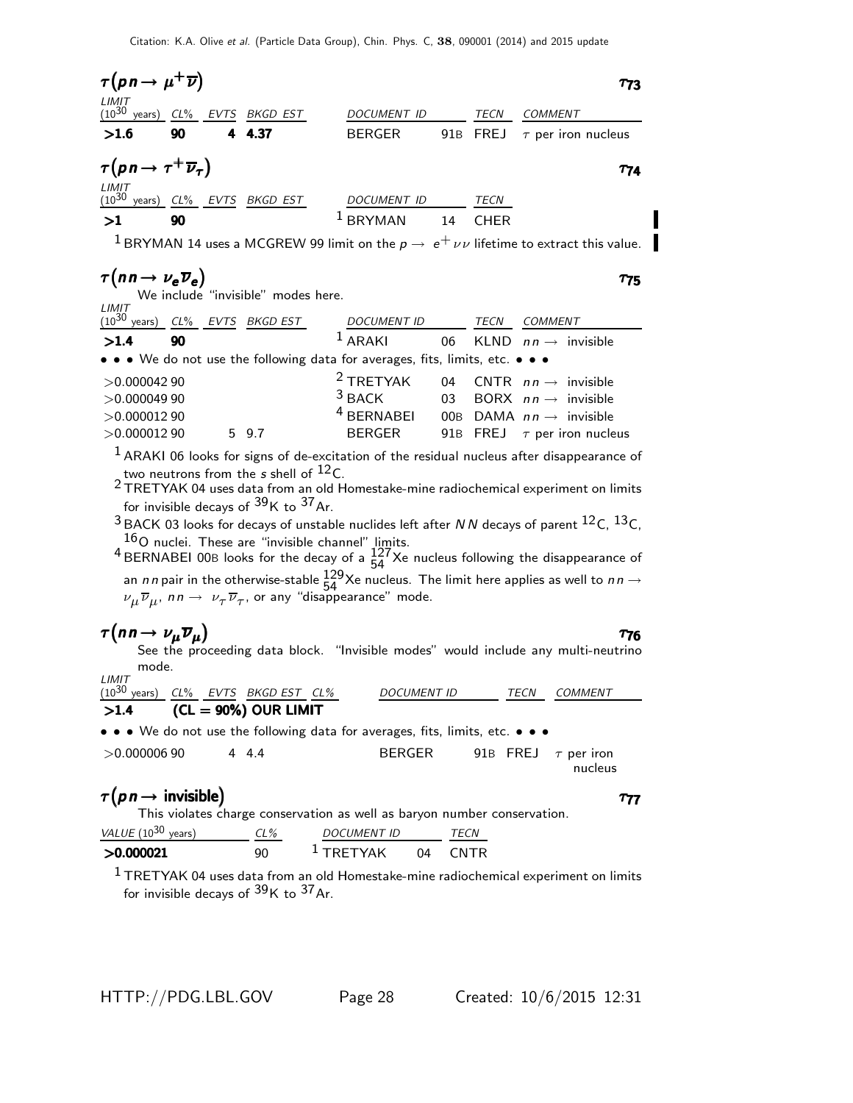| $\tau(p \, n \rightarrow \mu^+ \overline{\nu})$         |    |               |               |    |             | T73                                                                                      |
|---------------------------------------------------------|----|---------------|---------------|----|-------------|------------------------------------------------------------------------------------------|
| LIMIT<br>$(10^{30}$<br>years) $CL\%$                    |    | EVTS BKGD EST | DOCUMENT ID   |    | TECN        | COMMENT                                                                                  |
| >1.6                                                    | 90 | 4 4.37        | <b>BERGER</b> |    |             | 91B FREJ $\tau$ per iron nucleus                                                         |
| $\tau(p \, n \rightarrow \tau^+ \overline{\nu}_{\tau})$ |    |               |               |    |             | T74                                                                                      |
| LIMIT<br>$(10^{30}$<br>years) $CL\%$                    |    | EVTS BKGD EST | DOCUMENT ID   |    | TECN        |                                                                                          |
| >1                                                      | 90 |               | $1$ BRYMAN    | 14 | <b>CHER</b> |                                                                                          |
| $\begin{array}{c} \n\end{array}$                        |    | MCGDUM(22)    |               |    |             | $\mathbf{r}$ , and $\mathbf{r}$ , and $\mathbf{r}$ , and $\mathbf{r}$ , and $\mathbf{r}$ |

<sup>1</sup> BRYMAN 14 uses a MCGREW 99 limit on the  $p \to e^+ \nu \nu$  lifetime to extract this value.

### $\tau(n \, n \to \nu_e \, \overline{\nu}_e)$  τ<sub>75</sub>

We include "invisible" modes here.

| LIMIT<br>(10 <sup>30</sup> years)<br>$CL\%$ | EVTS BKGD EST                                                                                                         | <b>DOCUMENT ID</b>    |                 | TECN | <b>COMMENT</b>                      |
|---------------------------------------------|-----------------------------------------------------------------------------------------------------------------------|-----------------------|-----------------|------|-------------------------------------|
| >1.4<br>90                                  |                                                                                                                       | $1$ ARAKI             | 06              |      | KLND $nn \rightarrow$ invisible     |
|                                             | $\bullet \bullet \bullet$ We do not use the following data for averages, fits, limits, etc. $\bullet \bullet \bullet$ |                       |                 |      |                                     |
| >0.00004290                                 |                                                                                                                       | $2$ TRETYAK           |                 |      | 04 CNTR $nn \rightarrow$ invisible  |
| >0.00004990                                 |                                                                                                                       | $3$ BACK              | $\overline{03}$ |      | BORX $nn \rightarrow$ invisible     |
| >0.00001290                                 |                                                                                                                       | <sup>4</sup> BERNABEI |                 |      | 00B DAMA $nn \rightarrow$ invisible |
| >0.00001290                                 | 5 9.7                                                                                                                 | BERGER                |                 |      | 91B FREJ $\tau$ per iron nucleus    |

 $1$  ARAKI 06 looks for signs of de-excitation of the residual nucleus after disappearance of two neutrons from the  $s$  shell of  $^{12}$ C.

 $2$  TRETYAK 04 uses data from an old Homestake-mine radiochemical experiment on limits for invisible decays of  $^{39}\mathrm{K}$  to  $^{37}\mathrm{Ar}.$ 

 $3$  BACK 03 looks for decays of unstable nuclides left after N N decays of parent  $^{12}$ C,  $^{13}$ C,  $^{16}$ O nuclei. These are "invisible channel" limits.

<sup>4</sup> BERNABEI 00B looks for the decay of a  $\frac{127}{54}$  Xe nucleus following the disappearance of an nn pair in the otherwise-stable  $^{129}_{54}$ Xe nucleus. The limit here applies as well to nn  $\rightarrow$  $\nu_\mu \overline{\nu}_\mu$ , nn  $\rightarrow \ \nu_\tau \overline{\nu}_\tau$ , or any "disappearance" mode.

## $\tau(n \, n \to \nu_\mu \overline{\nu}_\mu)$  τ<sub>76</sub>

See the proceeding data block. "Invisible modes" would include any multi-neutrino mode. LIMIT

| $(10^{30} \text{ years})$ CL% EVTS BKGD EST CL% |  |                        | <i>DOCUMENT ID</i>                                                                                                    | <b>TFCN</b> | COMMENT |
|-------------------------------------------------|--|------------------------|-----------------------------------------------------------------------------------------------------------------------|-------------|---------|
| >1.4                                            |  | (CL $=$ 90%) OUR LIMIT |                                                                                                                       |             |         |
|                                                 |  |                        | $\bullet \bullet \bullet$ We do not use the following data for averages, fits, limits, etc. $\bullet \bullet \bullet$ |             |         |

 $>0.00000690$  4 4.4 BERGER 91B FREJ  $\tau$  per iron nucleus

## $\tau(p \, n \to \text{invisible})$   $\tau_{77}$

This violates charge conservation as well as baryon number conservation.

| $VALUE(10^{30} \text{ years})$ | CL% | <b>DOCUMENT ID</b> |    | <b>TFCN</b> |
|--------------------------------|-----|--------------------|----|-------------|
| >0.000021                      | 90  | $1$ TRFTYAK        | 04 | <b>CNTR</b> |

 $1$  TRETYAK 04 uses data from an old Homestake-mine radiochemical experiment on limits for invisible decays of  $39K$  to  $37Ar$ .

 $\tau_{77}$ 

 $\tau_{75}$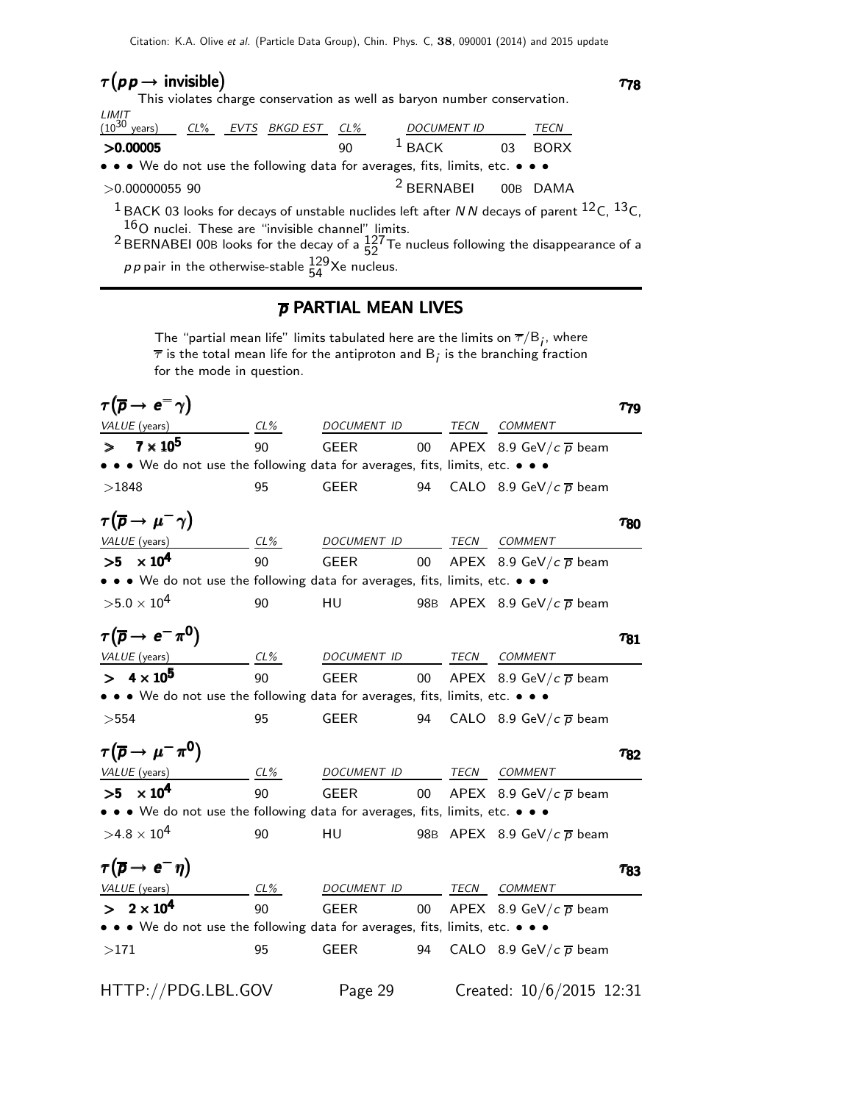### $\tau(p\,p\to\text{invisible})$   $\tau_{78}$

This violates charge conservation as well as baryon number conservation. LIMIT

| LIMIT<br>(10 <sup>30</sup> years) |  | CL% EVTS BKGD EST CL% |     | <b>DOCUMENT ID</b>                                                                                                    | <i>TECN</i> |
|-----------------------------------|--|-----------------------|-----|-----------------------------------------------------------------------------------------------------------------------|-------------|
| >0.00005                          |  |                       | 90. | $^1$ BACK                                                                                                             | 03 BORX     |
|                                   |  |                       |     | $\bullet \bullet \bullet$ We do not use the following data for averages, fits, limits, etc. $\bullet \bullet \bullet$ |             |
| $>0.00000055$ 90                  |  |                       |     | <sup>2</sup> BERNABEI 00B DAMA                                                                                        |             |

 $1$  BACK 03 looks for decays of unstable nuclides left after N N decays of parent  $^{12}$ C,  $^{13}$ C,  $^{16}$ O nuclei. These are "invisible channel" limits.

<sup>2</sup> BERNABEI 00B looks for the decay of a  $\frac{127}{52}$  Te nucleus following the disappearance of a *pp* pair in the otherwise-stable  $\frac{129}{54}$ Xe nucleus.

#### p PARTIAL MEAN LIVES

The "partial mean life" limits tabulated here are the limits on  $\overline{\tau}/\boldsymbol{\mathsf{B}}_{\widetilde{l}},$  where  $\overline{\tau}$  is the total mean life for the antiproton and  $\boldsymbol{\mathsf{B}}_{\boldsymbol{j}}$  is the branching fraction for the mode in question.

|       | $\tau(\overline{p} \rightarrow e^- \gamma)$                                                                                          |        |             |        |              |                                    | $\tau_{79}$     |
|-------|--------------------------------------------------------------------------------------------------------------------------------------|--------|-------------|--------|--------------|------------------------------------|-----------------|
|       | VALUE (years)                                                                                                                        | $CL\%$ | DOCUMENT ID |        | TECN         | COMMENT                            |                 |
|       | $> 7 \times 10^5$                                                                                                                    | 90     | <b>GEER</b> | $00\,$ |              | APEX 8.9 GeV/c $\overline{p}$ beam |                 |
|       | $\bullet\,\bullet\,\bullet\,$ We do not use the following data for averages, fits, limits, etc. $\bullet\,\bullet\,\bullet\,\bullet$ |        |             |        |              |                                    |                 |
| >1848 |                                                                                                                                      | 95     | <b>GEER</b> | 94     |              | CALO 8.9 GeV/ $c\bar{p}$ beam      |                 |
|       | $\tau(\overline{p} \rightarrow \mu^- \gamma)$                                                                                        |        |             |        |              |                                    | T <sub>80</sub> |
|       | VALUE (years)                                                                                                                        | CL%    | DOCUMENT ID |        | TECN         | <b>COMMENT</b>                     |                 |
|       | $>5 \times 10^4$                                                                                                                     | 90     | <b>GEER</b> | $00\,$ |              | APEX 8.9 GeV/ $c\bar{p}$ beam      |                 |
|       | • • We do not use the following data for averages, fits, limits, etc. • • •                                                          |        |             |        |              |                                    |                 |
|       | $>5.0\times10^{4}$                                                                                                                   | 90     | HU          |        |              | 98B APEX 8.9 GeV/ $c\bar{p}$ beam  |                 |
|       | $\tau(\overline{p} \rightarrow e^- \pi^0)$                                                                                           |        |             |        |              |                                    | $\tau_{81}$     |
|       | VALUE (years)<br>$CL\%$                                                                                                              |        | DOCUMENT ID |        | TEC <u>N</u> | COMMENT                            |                 |
|       | $> 4 \times 10^5$                                                                                                                    | 90     | GEER        | $00\,$ |              | APEX 8.9 GeV/ $c\bar{p}$ beam      |                 |
|       | • • We do not use the following data for averages, fits, limits, etc. • • •                                                          |        |             |        |              |                                    |                 |
| >554  |                                                                                                                                      | 95     | GEER        | 94     |              | CALO 8.9 GeV/c $\overline{p}$ beam |                 |
|       | $\tau(\overline{p} \to \mu^- \pi^0)$                                                                                                 |        |             |        |              |                                    | T82             |
|       | VALUE (years)                                                                                                                        | CL%    | DOCUMENT ID |        |              | TECN COMMENT                       |                 |
|       | $>5 \times 10^4$                                                                                                                     | 90     | <b>GEER</b> | $00\,$ |              | APEX 8.9 GeV/c $\overline{p}$ beam |                 |
|       | • • • We do not use the following data for averages, fits, limits, etc. • • •                                                        |        |             |        |              |                                    |                 |
|       | $>4.8\times10^{4}$                                                                                                                   | 90     | HU          |        |              | 98B APEX 8.9 GeV/ $c\bar{p}$ beam  |                 |
|       | $\tau(\overline{p} \rightarrow e^{-}\eta)$                                                                                           |        |             |        |              |                                    | $\tau_{83}$     |
|       | VALUE (years)                                                                                                                        | $CL\%$ | DOCUMENT ID |        | TECN         | COMMENT                            |                 |
|       | $> 2 \times 10^4$                                                                                                                    | 90     | <b>GEER</b> | $00\,$ |              | APEX 8.9 GeV/c $\overline{p}$ beam |                 |
|       | • • • We do not use the following data for averages, fits, limits, etc. • • •                                                        |        |             |        |              |                                    |                 |
| >171  |                                                                                                                                      | 95     | GEER        | 94     |              | CALO 8.9 GeV/ $c\bar{p}$ beam      |                 |
|       | HTTP://PDG.LBL.GOV                                                                                                                   |        | Page 29     |        |              | Created: 10/6/2015 12:31           |                 |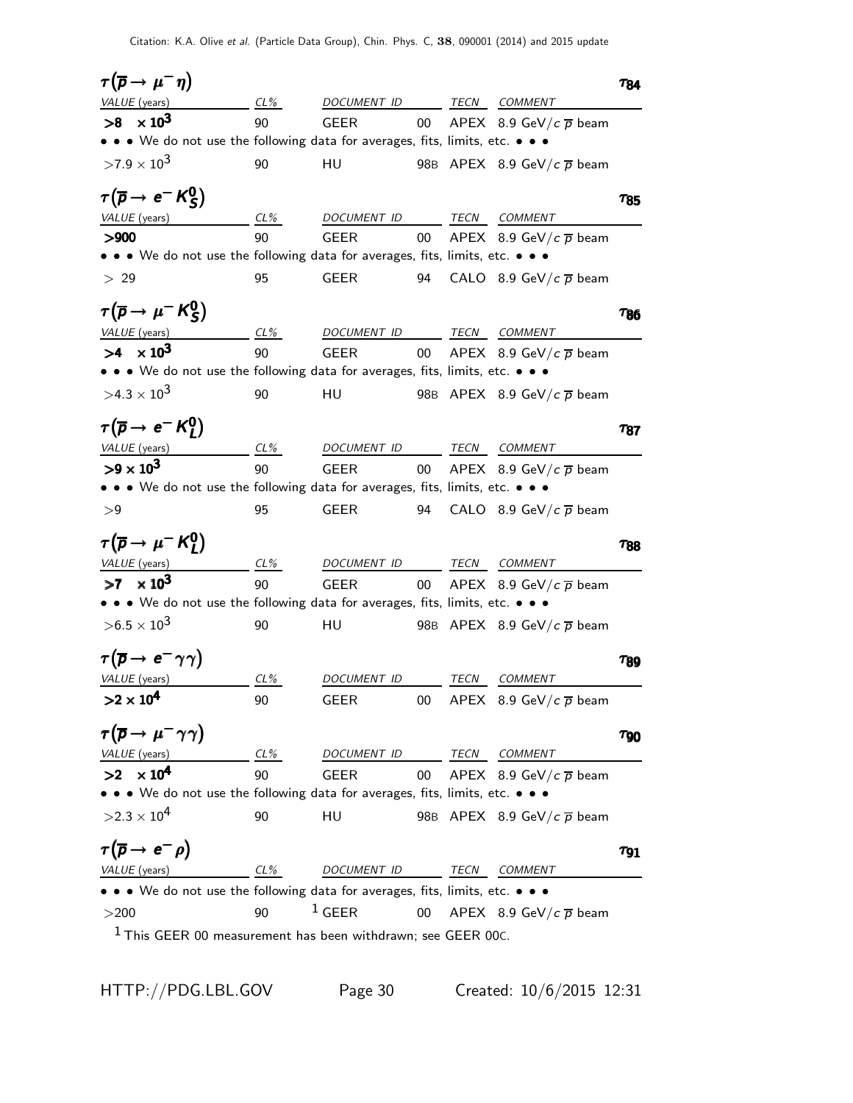| $\tau(\overline{p} \to \mu^- \eta)$                                           |                     |             |        |             |                                        | Τ84         |
|-------------------------------------------------------------------------------|---------------------|-------------|--------|-------------|----------------------------------------|-------------|
| VALUE (years)                                                                 | $CL_{\frac{\%}{2}}$ | DOCUMENT ID |        | TECN        | <b>COMMENT</b>                         |             |
| $>8 \times 10^3$                                                              | 90                  | <b>GEER</b> | 00     |             | APEX 8.9 GeV/c $\overline{p}$ beam     |             |
| • • We do not use the following data for averages, fits, limits, etc. • •     |                     |             |        |             |                                        |             |
| $>7.9\times10^{3}$                                                            | 90                  | HU          |        |             | 98B APEX 8.9 GeV/ $c\bar{p}$ beam      |             |
| $\tau(\overline{p} \rightarrow e^{-} K_{S}^{0})$                              |                     |             |        |             |                                        | 785         |
| VALUE (years)                                                                 | CL%                 | DOCUMENT ID |        | TECN        | <b>COMMENT</b>                         |             |
| > 900                                                                         | 90                  | <b>GEER</b> | $00\,$ |             | APEX 8.9 GeV/ $c\bar{p}$ beam          |             |
| • • • We do not use the following data for averages, fits, limits, etc. • • • |                     |             |        |             |                                        |             |
| > 29                                                                          | 95                  | GEER        | 94     |             | CALO 8.9 GeV/c $\overline{p}$ beam     |             |
| $\tau(\overline{p} \rightarrow \mu^- K_S^0)$                                  |                     |             |        |             |                                        | T86         |
| VALUE (years)                                                                 | CL%                 | DOCUMENT ID |        | TECN        | <b>COMMENT</b>                         |             |
| $>4 \times 10^3$                                                              | 90                  | <b>GEER</b> | $00\,$ |             | APEX 8.9 GeV/ $c\bar{p}$ beam          |             |
| • • • We do not use the following data for averages, fits, limits, etc. • • • |                     |             |        |             |                                        |             |
| $>4.3\times10^{3}$                                                            | 90                  | HU          |        |             | 98B APEX 8.9 GeV/ $c\bar{p}$ beam      |             |
| $\tau(\overline{p} \rightarrow e^- K_1^0)$                                    |                     |             |        |             |                                        | $\tau_{87}$ |
| VALUE (years)                                                                 | CL%                 | DOCUMENT ID |        | TECN        | COMMENT                                |             |
| $>9 \times 10^3$                                                              | 90                  | <b>GEER</b> | $00\,$ |             | APEX 8.9 GeV/ $c\bar{p}$ beam          |             |
| • • • We do not use the following data for averages, fits, limits, etc. • • • |                     |             |        |             |                                        |             |
| >9                                                                            | 95                  | GEER        | 94     |             | CALO 8.9 GeV/c $\overline{p}$ beam     |             |
| $\tau(\overline{p} \rightarrow \mu^- K_I^0)$                                  |                     |             |        |             |                                        | T88         |
| VALUE (years)                                                                 | CL%                 | DOCUMENT ID |        | TECN        | COMMENT                                |             |
| $>7 \times 10^3$                                                              | 90                  | <b>GEER</b> | 00     |             | APEX 8.9 GeV/ $c\bar{p}$ beam          |             |
| • • • We do not use the following data for averages, fits, limits, etc. • • • |                     |             |        |             |                                        |             |
| $> 6.5 \times 10^{3}$                                                         | 90                  | HU          |        |             | 98B APEX 8.9 GeV/ $c\overline{p}$ beam |             |
| $\tau(\overline{p} \rightarrow e^- \gamma \gamma)$                            |                     |             |        |             |                                        | $\tau_{89}$ |
| VALUE (years)                                                                 | CL%                 | DOCUMENT ID |        | TECN        | <b>COMMENT</b>                         |             |
| $>2 \times 10^4$                                                              | 90                  | GEER        | 00     |             | APEX 8.9 GeV/c $\overline{p}$ beam     |             |
|                                                                               |                     |             |        |             |                                        |             |
| $\tau(\overline{p} \to \mu^- \gamma \gamma)$                                  |                     |             |        |             |                                        | $\tau_{90}$ |
| VALUE (years)                                                                 | CL%                 | DOCUMENT ID |        | <u>TECN</u> | <b>COMMENT</b>                         |             |
| $>2 \times 10^4$                                                              | 90                  | <b>GEER</b> | 00     |             | APEX 8.9 GeV/c $\overline{p}$ beam     |             |
| • • We do not use the following data for averages, fits, limits, etc. • • •   |                     |             |        |             |                                        |             |
| $>2.3\times10^{4}$                                                            | 90                  | HU          |        |             | 98B APEX 8.9 GeV/ $c\bar{p}$ beam      |             |
| $\tau(\overline{p} \rightarrow e^- \rho)$                                     |                     |             |        |             |                                        | $\tau_{91}$ |
| VALUE (years)                                                                 | CL%                 | DOCUMENT ID |        | TECN        | COMMENT                                |             |
| • • • We do not use the following data for averages, fits, limits, etc. • • • |                     |             |        |             |                                        |             |
| >200                                                                          | 90                  | $1$ GEER    | 00     |             | APEX 8.9 GeV/c $\overline{p}$ beam     |             |
| $1$ This GEER 00 measurement has been withdrawn; see GEER 00C.                |                     |             |        |             |                                        |             |

HTTP://PDG.LBL.GOV Page 30 Created: 10/6/2015 12:31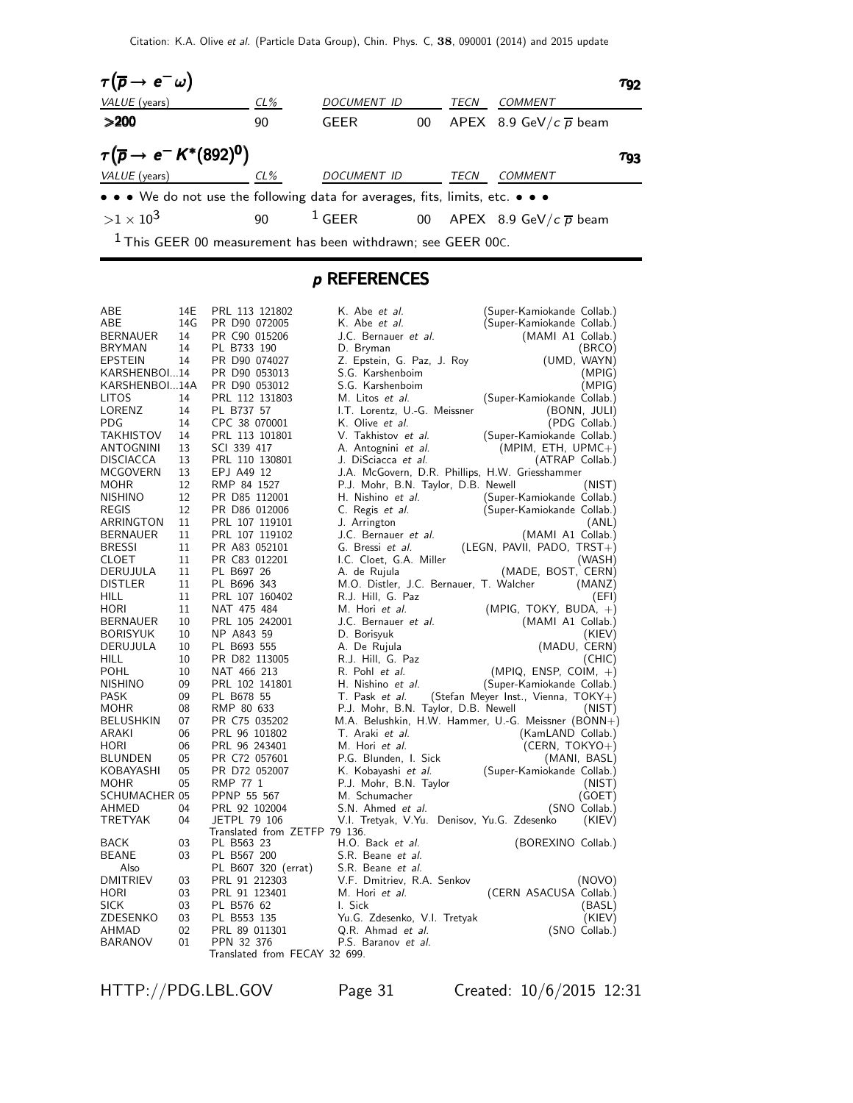

#### p REFERENCES

| ABE                  | 14E | PRL 113 121802                | K. Abe et al.                                       | (Super-Kamiokande Collab.)            |
|----------------------|-----|-------------------------------|-----------------------------------------------------|---------------------------------------|
| ABE                  | 14G | PR D90 072005                 | K. Abe et al.                                       | (Super-Kamiokande Collab.)            |
| <b>BERNAUER</b>      | 14  | PR C90 015206                 | J.C. Bernauer et al.                                | (MAMI A1 Collab.)                     |
| <b>BRYMAN</b>        | 14  | PL B733 190                   | D. Bryman                                           | (BRCO)                                |
| EPSTEIN              | 14  | PR D90 074027                 | Z. Epstein, G. Paz, J. Roy                          | (UMD, WAYN)                           |
| KARSHENBOI14         |     | PR D90 053013                 | S.G. Karshenboim                                    | (MPIG)                                |
| KARSHENBOI14A        |     | PR D90 053012                 | S.G. Karshenboim                                    | (MPIG)                                |
| LITOS                | 14  | PRL 112 131803                | M. Litos et al.                                     | (Super-Kamiokande Collab.)            |
| LORENZ               | 14  | PL B737 57                    | I.T. Lorentz, U.-G. Meissner                        | (BONN, JULI)                          |
| PDG                  | 14  | CPC 38 070001                 | K. Olive et al.                                     | (PDG Collab.)                         |
| TAKHISTOV            | 14  | PRL 113 101801                | V. Takhistov et al.                                 | (Super-Kamiokande Collab.)            |
| ANTOGNINI            | 13  | SCI 339 417                   | A. Antognini et al.                                 | $(MPIM, ETH, UPMC+)$                  |
| DISCIACCA            | 13  | PRL 110 130801                | J. DiSciacca et al.                                 | (ATRAP Collab.)                       |
| MCGOVERN             | 13  | EPJ A49 12                    | J.A. McGovern, D.R. Phillips, H.W. Griesshammer     |                                       |
| MOHR                 | 12  | RMP 84 1527                   | P.J. Mohr, B.N. Taylor, D.B. Newell                 | (NIST)                                |
| <b>NISHINO</b>       | 12  | PR D85 112001                 | H. Nishino et al.                                   | (Super-Kamiokande Collab.)            |
| REGIS                | 12  | PR D86 012006                 | C. Regis <i>et al.</i>                              | (Super-Kamiokande Collab.)            |
| ARRINGTON            | 11  | PRL 107 119101                | J. Arrington                                        | (ANL)                                 |
| <b>BERNAUER</b>      | 11  | PRL 107 119102                | J.C. Bernauer et al.                                | (MAMI A1 Collab.)                     |
| <b>BRESSI</b>        | 11  | PR A83 052101                 | G. Bressi et al.                                    | (LEGN, PAVII, PADO, $TRST+$ )         |
| CLOET                | 11  | PR C83 012201                 | I.C. Cloet, G.A. Miller                             | (WASH)                                |
| DERUJULA             | 11  | PL B697 26                    | A. de Rujula                                        | (MADE, BOST, CERN)                    |
| <b>DISTLER</b>       | 11  | PL B696 343                   | M.O. Distler, J.C. Bernauer, T. Walcher             | (MANZ)                                |
| HILL                 | 11  | PRL 107 160402                | R.J. Hill, G. Paz                                   | (EFI)                                 |
| HORI                 | 11  | NAT 475 484                   | M. Hori et al.                                      |                                       |
|                      | 10  |                               |                                                     | (MPIG, TOKY, BUDA, $+$ )              |
| <b>BERNAUER</b>      |     | PRL 105 242001                | J.C. Bernauer et al.                                | (MAMI A1 Collab.)                     |
| BORISYUK             | 10  | NP A843 59                    | D. Borisyuk                                         | (KIEV)                                |
| DERUJULA             | 10  | PL B693 555                   | A. De Rujula                                        | (MADU, CERN)                          |
| HILL                 | 10  | PR D82 113005                 | R.J. Hill, G. Paz                                   | (CHIC)                                |
| POHL                 | 10  | NAT 466 213                   | R. Pohl et al.                                      | $(MPIQ, ENSP, COIM, +)$               |
| <b>NISHINO</b>       | 09  | PRL 102 141801                | H. Nishino et al.                                   | (Super-Kamiokande Collab.)            |
| <b>PASK</b>          | 09  | PL B678 55                    | T. Pask et al.                                      | (Stefan Meyer Inst., Vienna, $TOKY+)$ |
| MOHR                 | 08  | RMP 80 633                    | P.J. Mohr, B.N. Taylor, D.B. Newell                 | (NIST)                                |
| <b>BELUSHKIN</b>     | 07  | PR C75 035202                 | M.A. Belushkin, H.W. Hammer, U.-G. Meissner (BONN+) |                                       |
| ARAKI                | 06  | PRL 96 101802                 | T. Araki et al.                                     | (KamLAND Collab.)                     |
| HORI                 | 06  | PRL 96 243401                 | M. Hori et al.                                      | $(CERN, TOKYO+)$                      |
| BLUNDEN              | 05  | PR C72 057601                 | P.G. Blunden, I. Sick                               | (MANI, BASL)                          |
| KOBAYASHI            | 05  | PR D72 052007                 | K. Kobayashi et al.                                 | (Super-Kamiokande Collab.)            |
| MOHR                 | 05  | RMP 77 1                      | P.J. Mohr, B.N. Taylor                              | (NIST)                                |
| <b>SCHUMACHER 05</b> |     | PPNP 55 567                   | M. Schumacher                                       | (GOET)                                |
| AHMED                | 04  | PRL 92 102004                 | S.N. Ahmed et al.                                   | (SNO Collab.)                         |
| TRETYAK              | 04  | <b>JETPL 79 106</b>           | V.I. Tretyak, V.Yu. Denisov, Yu.G. Zdesenko         | (KIEV)                                |
|                      |     | Translated from ZETFP 79 136. |                                                     |                                       |
| BACK                 | 03  | PL B563 23                    | H.O. Back et al.                                    | (BOREXINO Collab.)                    |
| <b>BEANE</b>         | 03  | PL B567 200                   | S.R. Beane et al.                                   |                                       |
| Also                 |     | PL B607 320 (errat)           | S.R. Beane et al.                                   |                                       |
| <b>DMITRIEV</b>      | 03  | PRL 91 212303                 | V.F. Dmitriev, R.A. Senkov                          | (NOVO)                                |
| <b>HORI</b>          | 03  | PRL 91 123401                 | M. Hori et al.                                      | (CERN ASACUSA Collab.)                |
| SICK                 | 03  | PL B576 62                    | I. Sick                                             | (BASL)                                |
| ZDESENKO             | 03  | PL B553 135                   | Yu.G. Zdesenko, V.I. Tretyak                        | (KIEV)                                |
| AHMAD                | 02  | PRL 89 011301                 | Q.R. Ahmad et al.                                   | (SNO Collab.)                         |
| <b>BARANOV</b>       | 01  | PPN 32 376                    | P.S. Baranov et al.                                 |                                       |
|                      |     | Translated from FECAY 32 699. |                                                     |                                       |

HTTP://PDG.LBL.GOV Page 31 Created: 10/6/2015 12:31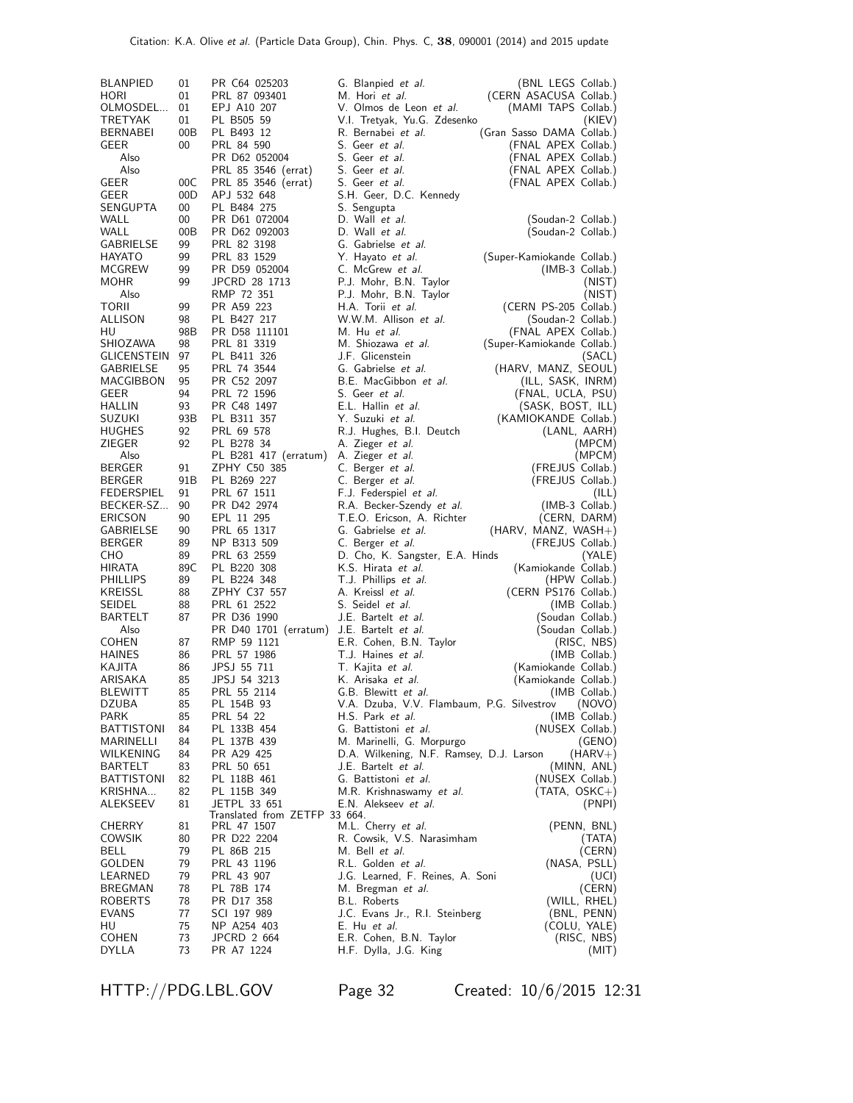| BLANPIED<br>HORI              | 01<br>01<br>01 | PR C64 025203<br>PRL 87 093401 | G. Blanpied <i>et al.</i><br>M. Hori et al.                  | (BNL LEGS Collab.)<br>(CERN ASACUSA Collab.) |
|-------------------------------|----------------|--------------------------------|--------------------------------------------------------------|----------------------------------------------|
| OLMOSDEL<br>TRETYAK           | 01             | EPJ A10 207<br>PL B505 59      | V. Olmos de Leon et al.<br>V.I. Tretyak, Yu.G. Zdesenko      | (MAMI TAPS Collab.)<br>(KIEV)                |
| BERNABEI                      | 00B            | PL B493 12                     | R. Bernabei <i>et al.</i>                                    | (Gran Sasso DAMA Collab.)                    |
| GEER                          | 00             | PRL 84 590                     | S. Geer et al.                                               | (FNAL APEX Collab.)                          |
| Also                          |                | PR D62 052004                  | S. Geer et al.                                               | (FNAL APEX Collab.)                          |
| Also                          |                | PRL 85 3546 (errat)            | S. Geer et al.                                               | (FNAL APEX Collab.)                          |
| GEER                          | 00C            | PRL 85 3546 (errat)            | S. Geer et al.                                               | (FNAL APEX Collab.)                          |
| GEER<br>SENGUPTA              | 00D<br>00      | APJ 532 648<br>PL B484 275     | S.H. Geer, D.C. Kennedy<br>S. Sengupta                       |                                              |
| WALL                          | 00             | PR D61 072004                  | D. Wall et al.                                               | (Soudan-2 Collab.)                           |
| WALL                          | 00B            | PR D62 092003                  | D. Wall et al.                                               | (Soudan-2 Collab.)                           |
| GABRIELSE                     | 99             | PRL 82 3198                    | G. Gabrielse et al.                                          |                                              |
| HAYATO                        | 99             | PRL 83 1529                    | Y. Hayato <i>et al.</i>                                      | (Super-Kamiokande Collab.)                   |
| MCGREW                        | 99             | PR D59 052004                  | C. McGrew et al.                                             | (IMB-3 Collab.)                              |
| MOHR<br>Also                  | 99             | JPCRD 28 1713<br>RMP 72 351    | P.J. Mohr, B.N. Taylor                                       | (NIST)                                       |
| TORII                         | 99             | PR A59 223                     | P.J. Mohr, B.N. Taylor<br>H.A. Torii et al.                  | (NIST)<br>(CERN PS-205 Collab.)              |
| ALLISON                       | 98             | PL B427 217                    | W.W.M. Allison et al.                                        | (Soudan-2 Collab.)                           |
| HU                            | 98B            | PR D58 111101                  | M. Hu et al.                                                 | (FNAL APEX Collab.)                          |
| SHIOZAWA                      | 98             | PRL 81 3319                    | M. Shiozawa et al.                                           | (Super-Kamiokande Collab.)                   |
| GLICENSTEIN                   | 97             | PL B411 326                    | J.F. Glicenstein                                             | (SACL)                                       |
| GABRIELSE                     | 95<br>95       | PRL 74 3544                    | G. Gabrielse et al.<br>B.E. MacGibbon et al.                 | (HARV, MANZ, SEOUL)                          |
| MACGIBBON<br>GEER             | 94             | PR C52 2097<br>PRL 72 1596     | S. Geer et al.                                               | (ILL, SASK, INRM)<br>(FNAL, UCLA, PSU)       |
| HALLIN                        | 93             | PR C48 1497                    | E.L. Hallin et al.                                           | (SASK, BOST, ILL)                            |
| SUZUKI                        | 93B            | PL B311 357                    | Y. Suzuki <i>et al.</i>                                      | (KAMIOKANDE Collab.)                         |
| <b>HUGHES</b>                 | 92             | PRL 69 578                     | R.J. Hughes, B.I. Deutch                                     | (LANL, AARH)                                 |
| ZIEGER                        | 92             | PL B278 34                     | A. Zieger <i>et al.</i>                                      | (MPCM)                                       |
| Also                          |                | PL B281 417 (erratum)          | A. Zieger et al.                                             | (MPCM)                                       |
| BERGER<br>BERGER              | 91<br>91B      | ZPHY C50 385<br>PL B269 227    | C. Berger et al.<br>C. Berger <i>et al.</i>                  | (FREJUS Collab.)<br>(FREJUS Collab.)         |
| FEDERSPIEL                    | 91             | PRL 67 1511                    | F.J. Federspiel <i>et al.</i>                                | (ILL)                                        |
| BECKER-SZ                     | 90             | PR D42 2974                    | R.A. Becker-Szendy et al.                                    | (IMB-3 Collab.)                              |
| ERICSON                       | 90             | EPL 11 295                     | T.E.O. Ericson, A. Richter                                   | (CERN, DARM)                                 |
| GABRIELSE                     | 90             | PRL 65 1317                    | G. Gabrielse et al.                                          | $(HARV, MANZ, WASH+)$                        |
| BERGER                        | 89             | NP B313 509                    | C. Berger <i>et al.</i>                                      | (FREJUS Collab.)                             |
| СНО<br>HIRATA                 | 89<br>89C      | PRL 63 2559<br>PL B220 308     | D. Cho, K. Sangster, E.A. Hinds<br>K.S. Hirata et al.        | (YALE)<br>(Kamiokande Collab.)               |
| PHILLIPS                      | 89             | PL B224 348                    | T.J. Phillips et al.                                         | (HPW Collab.)                                |
| KREISSL                       | 88             | ZPHY C37 557                   | A. Kreissl <i>et al.</i>                                     | (CERN PS176 Collab.)                         |
| SEIDEL                        | 88             | PRL 61 2522                    | S. Seidel <i>et al.</i>                                      | (IMB Collab.)                                |
| BARTELT                       | 87             | PR D36 1990                    | J.E. Bartelt et al.                                          | (Soudan Collab.)                             |
| Also                          |                | PR D40 1701 (erratum)          | J.E. Bartelt et al.                                          | (Soudan Collab.)                             |
| <b>COHEN</b><br><b>HAINES</b> | 87<br>86       | RMP 59 1121<br>PRL 57 1986     | E.R. Cohen, B.N. Taylor<br>T.J. Haines et al.                | (RISC, NBS)<br>(IMB Collab.)                 |
| KAJITA                        | 86             | JPSJ 55 711                    | T. Kajita <i>et al.</i>                                      | (Kamiokande Collab.)                         |
| ARISAKA                       | 85             | JPSJ 54 3213                   | K. Arisaka <i>et al.</i>                                     | (Kamiokande Collab.)                         |
| BLEWITT                       | 85             | PRL 55 2114                    | G.B. Blewitt et al.                                          | (IMB Collab.)                                |
| DZUBA                         | 85             | PL 154B 93                     | V.A. Dzuba, V.V. Flambaum, P.G. Silvestrov                   | (NOVO)                                       |
| PARK<br>BATTISTONI            | 85<br>84       | PRL 54 22<br>PL 133B 454       | H.S. Park et al.<br>G. Battistoni et al.                     | (IMB Collab.)<br>(NUSEX Collab.)             |
| MARINELLI                     | 84             | PL 137B 439                    | M. Marinelli, G. Morpurgo                                    | (GENO)                                       |
| WILKENING                     | 84             | PR A29 425                     | D.A. Wilkening, N.F. Ramsey, D.J. Larson                     | $(HARV+)$                                    |
| BARTELT                       | 83             | PRL 50 651                     | J.E. Bartelt <i>et al.</i>                                   | (MINN, ANL)                                  |
| BATTISTONI                    | 82             | PL 118B 461                    | G. Battistoni et al.                                         | (NUSEX Collab.)                              |
| KRISHNA<br>ALEKSEEV           | 82<br>81       | PL 115B 349<br>JETPL 33 651    | M.R. Krishnaswamy et al.                                     | (TATA, OSKC+)                                |
|                               |                | Translated from ZETFP 33 664.  | E.N. Alekseev et al.                                         | (PNPI)                                       |
| CHERRY                        | 81             | PRL 47 1507                    | M.L. Cherry <i>et al.</i>                                    | (PENN, BNL)                                  |
| COWSIK                        | 80             | PR D22 2204                    | R. Cowsik, V.S. Narasimham                                   | (TATA)                                       |
| BELL                          | 79             | PL 86B 215                     | M. Bell <i>et al.</i>                                        | (CERN)                                       |
| GOLDEN                        | 79<br>79       | PRL 43 1196                    | R.L. Golden et al.                                           | (NASA, PSLL)                                 |
| LEARNED<br>BREGMAN            | 78             | PRL 43 907<br>PL 78B 174       | J.G. Learned, F. Reines, A. Soni<br>M. Bregman <i>et al.</i> | (UCI)<br>(CERN)                              |
| ROBERTS                       | 78             | PR D17 358                     | B.L. Roberts                                                 | (WILL, RHEL)                                 |
| EVANS                         | 77             | SCI 197 989                    | J.C. Evans Jr., R.I. Steinberg                               | (BNL, PENN)                                  |
| HU                            | 75             | NP A254 403                    | E. Hu et al.                                                 | (COLU, YALE)                                 |
| COHEN<br><b>DYLLA</b>         | 73<br>73       | JPCRD 2 664                    | E.R. Cohen, B.N. Taylor                                      | (RISC, NBS)                                  |
|                               |                | PR A7 1224                     | H.F. Dylla, J.G. King                                        | (MIT)                                        |

HTTP://PDG.LBL.GOV Page 32 Created: 10/6/2015 12:31